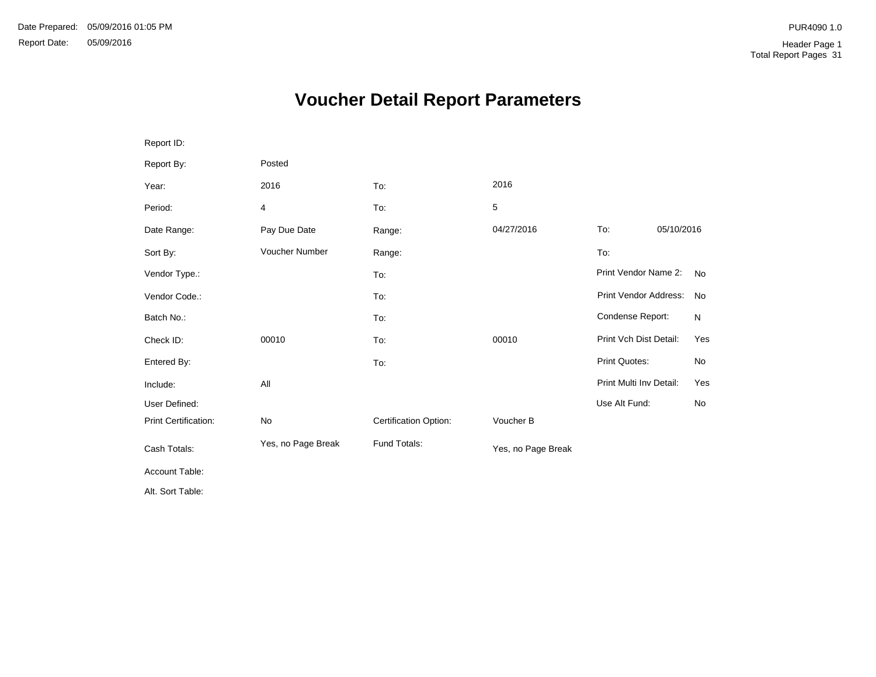# **Voucher Detail Report Parameters**

| Report ID:                  |                    |                       |                    |                              |            |              |
|-----------------------------|--------------------|-----------------------|--------------------|------------------------------|------------|--------------|
| Report By:                  | Posted             |                       |                    |                              |            |              |
| Year:                       | 2016               | To:                   | 2016               |                              |            |              |
| Period:                     | 4                  | To:                   | 5                  |                              |            |              |
| Date Range:                 | Pay Due Date       | Range:                | 04/27/2016         | To:                          | 05/10/2016 |              |
| Sort By:                    | Voucher Number     | Range:                |                    | To:                          |            |              |
| Vendor Type.:               |                    | To:                   |                    | Print Vendor Name 2:         |            | <b>No</b>    |
| Vendor Code.:               |                    | To:                   |                    | <b>Print Vendor Address:</b> |            | <b>No</b>    |
| Batch No.:                  |                    | To:                   |                    | Condense Report:             |            | $\mathsf{N}$ |
| Check ID:                   | 00010              | To:                   | 00010              | Print Vch Dist Detail:       |            | Yes          |
| Entered By:                 |                    | To:                   |                    | <b>Print Quotes:</b>         |            | No           |
| Include:                    | All                |                       |                    | Print Multi Inv Detail:      |            | Yes          |
| User Defined:               |                    |                       |                    | Use Alt Fund:                |            | <b>No</b>    |
| <b>Print Certification:</b> | No                 | Certification Option: | Voucher B          |                              |            |              |
| Cash Totals:                | Yes, no Page Break | Fund Totals:          | Yes, no Page Break |                              |            |              |
| Account Table:              |                    |                       |                    |                              |            |              |
| Alt. Sort Table:            |                    |                       |                    |                              |            |              |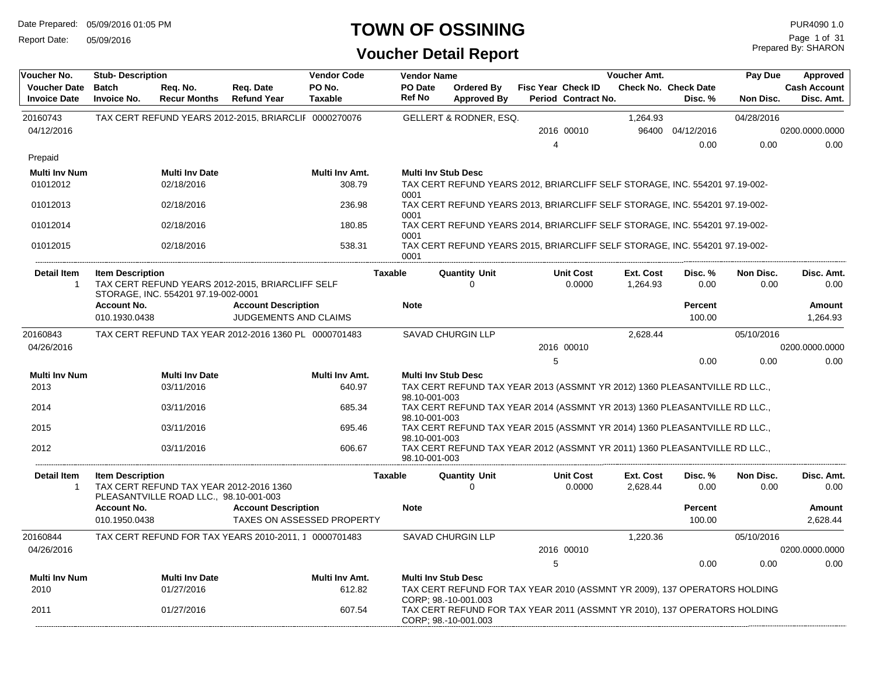Report Date: 05/09/2016

#### **TOWN OF OSSINING**

### **Voucher Detail Report**

Prepared By: SHARON Page 1 of 31

| Voucher No.                                | <b>Stub-Description</b>             |                                                                                   |                                                          | <b>Vendor Code</b>       |                | <b>Vendor Name</b>         |                                                                                                   |   |                                           | Voucher Amt.          |                                        | Pay Due           | Approved                          |
|--------------------------------------------|-------------------------------------|-----------------------------------------------------------------------------------|----------------------------------------------------------|--------------------------|----------------|----------------------------|---------------------------------------------------------------------------------------------------|---|-------------------------------------------|-----------------------|----------------------------------------|-------------------|-----------------------------------|
| <b>Voucher Date</b><br><b>Invoice Date</b> | <b>Batch</b><br><b>Invoice No.</b>  | Req. No.<br><b>Recur Months</b>                                                   | Req. Date<br><b>Refund Year</b>                          | PO No.<br><b>Taxable</b> |                | PO Date<br>Ref No          | <b>Ordered By</b><br><b>Approved By</b>                                                           |   | Fisc Year Check ID<br>Period Contract No. |                       | <b>Check No. Check Date</b><br>Disc. % | Non Disc.         | <b>Cash Account</b><br>Disc. Amt. |
| 20160743                                   |                                     |                                                                                   | TAX CERT REFUND YEARS 2012-2015, BRIARCLIF 0000270076    |                          |                |                            | <b>GELLERT &amp; RODNER, ESQ.</b>                                                                 |   |                                           | 1,264.93              |                                        | 04/28/2016        |                                   |
| 04/12/2016                                 |                                     |                                                                                   |                                                          |                          |                |                            |                                                                                                   |   | 2016 00010                                |                       | 96400 04/12/2016                       |                   | 0200.0000.0000                    |
|                                            |                                     |                                                                                   |                                                          |                          |                |                            |                                                                                                   | 4 |                                           |                       | 0.00                                   | 0.00              | 0.00                              |
| Prepaid                                    |                                     |                                                                                   |                                                          |                          |                |                            |                                                                                                   |   |                                           |                       |                                        |                   |                                   |
| <b>Multi Inv Num</b><br>01012012           |                                     | <b>Multi Inv Date</b><br>02/18/2016                                               |                                                          | Multi Inv Amt.<br>308.79 |                | <b>Multi Inv Stub Desc</b> | TAX CERT REFUND YEARS 2012, BRIARCLIFF SELF STORAGE, INC. 554201 97.19-002-                       |   |                                           |                       |                                        |                   |                                   |
| 01012013                                   |                                     | 02/18/2016                                                                        |                                                          | 236.98                   | 0001<br>0001   |                            | TAX CERT REFUND YEARS 2013, BRIARCLIFF SELF STORAGE, INC. 554201 97.19-002-                       |   |                                           |                       |                                        |                   |                                   |
| 01012014                                   |                                     | 02/18/2016                                                                        |                                                          | 180.85                   | 0001           |                            | TAX CERT REFUND YEARS 2014, BRIARCLIFF SELF STORAGE, INC. 554201 97.19-002-                       |   |                                           |                       |                                        |                   |                                   |
| 01012015                                   |                                     | 02/18/2016                                                                        |                                                          | 538.31                   | 0001           |                            | TAX CERT REFUND YEARS 2015, BRIARCLIFF SELF STORAGE, INC. 554201 97.19-002-                       |   |                                           |                       |                                        |                   |                                   |
| <b>Detail Item</b><br>$\mathbf{1}$         | <b>Item Description</b>             |                                                                                   | TAX CERT REFUND YEARS 2012-2015, BRIARCLIFF SELF         |                          | <b>Taxable</b> |                            | Quantity Unit<br>$\Omega$                                                                         |   | <b>Unit Cost</b><br>0.0000                | Ext. Cost<br>1,264.93 | Disc. %<br>0.00                        | Non Disc.<br>0.00 | Disc. Amt.<br>0.00                |
|                                            |                                     | STORAGE, INC. 554201 97.19-002-0001                                               |                                                          |                          |                |                            |                                                                                                   |   |                                           |                       |                                        |                   |                                   |
|                                            | <b>Account No.</b>                  |                                                                                   | <b>Account Description</b>                               |                          |                | <b>Note</b>                |                                                                                                   |   |                                           |                       | <b>Percent</b>                         |                   | Amount                            |
|                                            | 010.1930.0438                       |                                                                                   | JUDGEMENTS AND CLAIMS                                    |                          |                |                            |                                                                                                   |   |                                           |                       | 100.00                                 |                   | 1,264.93                          |
| 20160843                                   |                                     |                                                                                   | TAX CERT REFUND TAX YEAR 2012-2016 1360 PL 0000701483    |                          |                |                            | <b>SAVAD CHURGIN LLP</b>                                                                          |   |                                           | 2,628.44              |                                        | 05/10/2016        |                                   |
| 04/26/2016                                 |                                     |                                                                                   |                                                          |                          |                |                            |                                                                                                   |   | 2016 00010                                |                       |                                        |                   | 0200.0000.0000                    |
|                                            |                                     |                                                                                   |                                                          |                          |                |                            |                                                                                                   |   | 5                                         |                       | 0.00                                   | 0.00              | 0.00                              |
| <b>Multi Inv Num</b><br>2013               |                                     | <b>Multi Inv Date</b><br>03/11/2016                                               |                                                          | Multi Inv Amt.<br>640.97 |                | <b>Multi Inv Stub Desc</b> | TAX CERT REFUND TAX YEAR 2013 (ASSMNT YR 2012) 1360 PLEASANTVILLE RD LLC.,                        |   |                                           |                       |                                        |                   |                                   |
|                                            |                                     |                                                                                   |                                                          |                          |                | 98.10-001-003              |                                                                                                   |   |                                           |                       |                                        |                   |                                   |
| 2014                                       |                                     | 03/11/2016                                                                        |                                                          | 685.34                   |                | 98.10-001-003              | TAX CERT REFUND TAX YEAR 2014 (ASSMNT YR 2013) 1360 PLEASANTVILLE RD LLC.,                        |   |                                           |                       |                                        |                   |                                   |
| 2015                                       |                                     | 03/11/2016                                                                        |                                                          | 695.46                   |                | 98.10-001-003              | TAX CERT REFUND TAX YEAR 2015 (ASSMNT YR 2014) 1360 PLEASANTVILLE RD LLC.,                        |   |                                           |                       |                                        |                   |                                   |
| 2012                                       |                                     | 03/11/2016                                                                        |                                                          | 606.67                   |                | 98.10-001-003              | TAX CERT REFUND TAX YEAR 2012 (ASSMNT YR 2011) 1360 PLEASANTVILLE RD LLC.,                        |   |                                           |                       |                                        |                   |                                   |
| <b>Detail Item</b><br>$\mathbf{1}$         | <b>Item Description</b>             | TAX CERT REFUND TAX YEAR 2012-2016 1360<br>PLEASANTVILLE ROAD LLC., 98.10-001-003 |                                                          |                          | <b>Taxable</b> |                            | <b>Quantity Unit</b><br>$\Omega$                                                                  |   | <b>Unit Cost</b><br>0.0000                | Ext. Cost<br>2,628.44 | Disc. %<br>0.00                        | Non Disc.<br>0.00 | Disc. Amt.<br>0.00                |
|                                            | <b>Account No.</b><br>010.1950.0438 |                                                                                   | <b>Account Description</b><br>TAXES ON ASSESSED PROPERTY |                          |                | <b>Note</b>                |                                                                                                   |   |                                           |                       | <b>Percent</b><br>100.00               |                   | Amount<br>2,628.44                |
| 20160844                                   |                                     |                                                                                   | TAX CERT REFUND FOR TAX YEARS 2010-2011, 1 0000701483    |                          |                |                            | <b>SAVAD CHURGIN LLP</b>                                                                          |   |                                           | 1,220.36              |                                        | 05/10/2016        |                                   |
| 04/26/2016                                 |                                     |                                                                                   |                                                          |                          |                |                            |                                                                                                   |   | 2016 00010                                |                       |                                        |                   | 0200.0000.0000                    |
|                                            |                                     |                                                                                   |                                                          |                          |                |                            |                                                                                                   |   | 5                                         |                       | 0.00                                   | 0.00              | 0.00                              |
| <b>Multi Inv Num</b>                       |                                     | <b>Multi Inv Date</b>                                                             |                                                          | Multi Inv Amt.           |                | <b>Multi Inv Stub Desc</b> |                                                                                                   |   |                                           |                       |                                        |                   |                                   |
| 2010                                       |                                     | 01/27/2016                                                                        |                                                          | 612.82                   |                |                            | TAX CERT REFUND FOR TAX YEAR 2010 (ASSMNT YR 2009), 137 OPERATORS HOLDING<br>CORP; 98.-10-001.003 |   |                                           |                       |                                        |                   |                                   |
| 2011                                       |                                     | 01/27/2016                                                                        |                                                          | 607.54                   |                |                            | TAX CERT REFUND FOR TAX YEAR 2011 (ASSMNT YR 2010), 137 OPERATORS HOLDING<br>CORP: 98.-10-001.003 |   |                                           |                       |                                        |                   |                                   |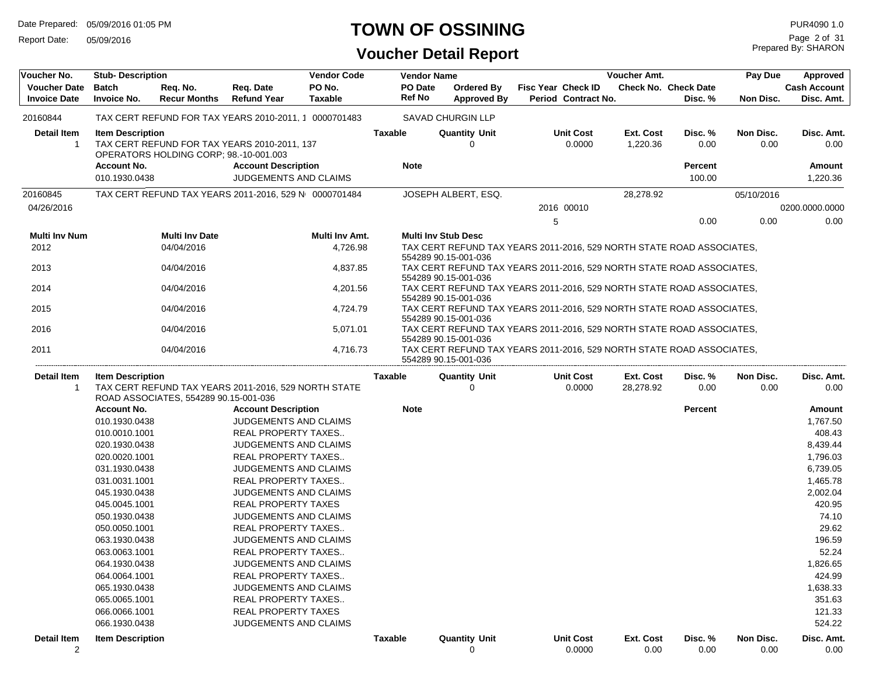Report Date: 05/09/2016

### **TOWN OF OSSINING**

| Voucher No.                                | <b>Stub-Description</b>                       |                                        |                                                                            | <b>Vendor Code</b>       | <b>Vendor Name</b>     |                                                                                               |                    |                            | Voucher Amt.                 |                                        | Pay Due           | Approved                          |
|--------------------------------------------|-----------------------------------------------|----------------------------------------|----------------------------------------------------------------------------|--------------------------|------------------------|-----------------------------------------------------------------------------------------------|--------------------|----------------------------|------------------------------|----------------------------------------|-------------------|-----------------------------------|
| <b>Voucher Date</b><br><b>Invoice Date</b> | <b>Batch</b><br><b>Invoice No.</b>            | Req. No.<br><b>Recur Months</b>        | Req. Date<br><b>Refund Year</b>                                            | PO No.<br><b>Taxable</b> | PO Date<br>Ref No      | Ordered By<br><b>Approved By</b>                                                              | Fisc Year Check ID | Period Contract No.        |                              | <b>Check No. Check Date</b><br>Disc. % | Non Disc.         | <b>Cash Account</b><br>Disc. Amt. |
| 20160844                                   |                                               |                                        | TAX CERT REFUND FOR TAX YEARS 2010-2011, 1 0000701483                      |                          |                        | <b>SAVAD CHURGIN LLP</b>                                                                      |                    |                            |                              |                                        |                   |                                   |
| <b>Detail Item</b><br>-1                   | <b>Item Description</b><br><b>Account No.</b> | OPERATORS HOLDING CORP; 98.-10-001.003 | TAX CERT REFUND FOR TAX YEARS 2010-2011, 137<br><b>Account Description</b> |                          | Taxable<br><b>Note</b> | <b>Quantity Unit</b><br>0                                                                     |                    | <b>Unit Cost</b><br>0.0000 | <b>Ext. Cost</b><br>1,220.36 | Disc.%<br>0.00<br><b>Percent</b>       | Non Disc.<br>0.00 | Disc. Amt.<br>0.00<br>Amount      |
|                                            | 010.1930.0438                                 |                                        | JUDGEMENTS AND CLAIMS                                                      |                          |                        |                                                                                               |                    |                            |                              | 100.00                                 |                   | 1,220.36                          |
| 20160845                                   |                                               |                                        | TAX CERT REFUND TAX YEARS 2011-2016, 529 N 0000701484                      |                          |                        | JOSEPH ALBERT, ESQ.                                                                           |                    |                            | 28,278.92                    |                                        | 05/10/2016        |                                   |
| 04/26/2016                                 |                                               |                                        |                                                                            |                          |                        |                                                                                               |                    | 2016 00010                 |                              |                                        |                   | 0200.0000.0000                    |
|                                            |                                               |                                        |                                                                            |                          |                        |                                                                                               | 5                  |                            |                              | 0.00                                   | 0.00              | 0.00                              |
| <b>Multi Inv Num</b>                       |                                               | <b>Multi Inv Date</b>                  |                                                                            | Multi Inv Amt.           |                        | <b>Multi Inv Stub Desc</b>                                                                    |                    |                            |                              |                                        |                   |                                   |
| 2012                                       |                                               | 04/04/2016                             |                                                                            | 4,726.98                 |                        | TAX CERT REFUND TAX YEARS 2011-2016, 529 NORTH STATE ROAD ASSOCIATES,<br>554289 90.15-001-036 |                    |                            |                              |                                        |                   |                                   |
| 2013                                       |                                               | 04/04/2016                             |                                                                            | 4,837.85                 |                        | TAX CERT REFUND TAX YEARS 2011-2016, 529 NORTH STATE ROAD ASSOCIATES,<br>554289 90.15-001-036 |                    |                            |                              |                                        |                   |                                   |
| 2014                                       |                                               | 04/04/2016                             |                                                                            | 4,201.56                 |                        | TAX CERT REFUND TAX YEARS 2011-2016, 529 NORTH STATE ROAD ASSOCIATES,<br>554289 90.15-001-036 |                    |                            |                              |                                        |                   |                                   |
| 2015                                       |                                               | 04/04/2016                             |                                                                            | 4,724.79                 |                        | TAX CERT REFUND TAX YEARS 2011-2016, 529 NORTH STATE ROAD ASSOCIATES,<br>554289 90.15-001-036 |                    |                            |                              |                                        |                   |                                   |
| 2016                                       |                                               | 04/04/2016                             |                                                                            | 5,071.01                 |                        | TAX CERT REFUND TAX YEARS 2011-2016, 529 NORTH STATE ROAD ASSOCIATES,<br>554289 90.15-001-036 |                    |                            |                              |                                        |                   |                                   |
| 2011                                       |                                               | 04/04/2016                             |                                                                            | 4,716.73                 |                        | TAX CERT REFUND TAX YEARS 2011-2016, 529 NORTH STATE ROAD ASSOCIATES,<br>554289 90.15-001-036 |                    |                            |                              |                                        |                   |                                   |
| Detail Item                                | <b>Item Description</b>                       |                                        |                                                                            |                          | Taxable                | <b>Quantity Unit</b>                                                                          |                    | <b>Unit Cost</b>           | Ext. Cost                    | Disc. %                                | Non Disc.         | Disc. Amt.                        |
| -1                                         |                                               | ROAD ASSOCIATES, 554289 90.15-001-036  | TAX CERT REFUND TAX YEARS 2011-2016, 529 NORTH STATE                       |                          |                        | $\Omega$                                                                                      |                    | 0.0000                     | 28,278.92                    | 0.00                                   | 0.00              | 0.00                              |
|                                            | <b>Account No.</b>                            |                                        | <b>Account Description</b>                                                 |                          | <b>Note</b>            |                                                                                               |                    |                            |                              | <b>Percent</b>                         |                   | Amount                            |
|                                            | 010.1930.0438                                 |                                        | JUDGEMENTS AND CLAIMS                                                      |                          |                        |                                                                                               |                    |                            |                              |                                        |                   | 1,767.50                          |
|                                            | 010.0010.1001                                 |                                        | REAL PROPERTY TAXES                                                        |                          |                        |                                                                                               |                    |                            |                              |                                        |                   | 408.43                            |
|                                            | 020.1930.0438                                 |                                        | JUDGEMENTS AND CLAIMS                                                      |                          |                        |                                                                                               |                    |                            |                              |                                        |                   | 8,439.44                          |
|                                            | 020.0020.1001                                 |                                        | REAL PROPERTY TAXES                                                        |                          |                        |                                                                                               |                    |                            |                              |                                        |                   | 1,796.03                          |
|                                            | 031.1930.0438                                 |                                        | <b>JUDGEMENTS AND CLAIMS</b>                                               |                          |                        |                                                                                               |                    |                            |                              |                                        |                   | 6,739.05                          |
|                                            | 031.0031.1001                                 |                                        | REAL PROPERTY TAXES                                                        |                          |                        |                                                                                               |                    |                            |                              |                                        |                   | 1,465.78                          |
|                                            | 045.1930.0438                                 |                                        | JUDGEMENTS AND CLAIMS                                                      |                          |                        |                                                                                               |                    |                            |                              |                                        |                   | 2,002.04                          |
|                                            | 045.0045.1001                                 |                                        | <b>REAL PROPERTY TAXES</b>                                                 |                          |                        |                                                                                               |                    |                            |                              |                                        |                   | 420.95                            |
|                                            | 050.1930.0438                                 |                                        | <b>JUDGEMENTS AND CLAIMS</b>                                               |                          |                        |                                                                                               |                    |                            |                              |                                        |                   | 74.10                             |
|                                            | 050.0050.1001                                 |                                        | REAL PROPERTY TAXES                                                        |                          |                        |                                                                                               |                    |                            |                              |                                        |                   | 29.62                             |
|                                            | 063.1930.0438                                 |                                        | JUDGEMENTS AND CLAIMS                                                      |                          |                        |                                                                                               |                    |                            |                              |                                        |                   | 196.59                            |
|                                            | 063.0063.1001                                 |                                        | REAL PROPERTY TAXES                                                        |                          |                        |                                                                                               |                    |                            |                              |                                        |                   | 52.24                             |
|                                            | 064.1930.0438                                 |                                        | JUDGEMENTS AND CLAIMS                                                      |                          |                        |                                                                                               |                    |                            |                              |                                        |                   | 1,826.65                          |
|                                            | 064.0064.1001                                 |                                        | REAL PROPERTY TAXES                                                        |                          |                        |                                                                                               |                    |                            |                              |                                        |                   | 424.99                            |
|                                            | 065.1930.0438                                 |                                        | <b>JUDGEMENTS AND CLAIMS</b>                                               |                          |                        |                                                                                               |                    |                            |                              |                                        |                   | 1,638.33                          |
|                                            | 065.0065.1001                                 |                                        | REAL PROPERTY TAXES                                                        |                          |                        |                                                                                               |                    |                            |                              |                                        |                   | 351.63                            |
|                                            | 066.0066.1001                                 |                                        | <b>REAL PROPERTY TAXES</b>                                                 |                          |                        |                                                                                               |                    |                            |                              |                                        |                   | 121.33                            |
|                                            | 066.1930.0438                                 |                                        | <b>JUDGEMENTS AND CLAIMS</b>                                               |                          |                        |                                                                                               |                    |                            |                              |                                        |                   | 524.22                            |
| <b>Detail Item</b><br>$\overline{2}$       | <b>Item Description</b>                       |                                        |                                                                            |                          | <b>Taxable</b>         | <b>Quantity Unit</b><br>0                                                                     |                    | <b>Unit Cost</b><br>0.0000 | Ext. Cost<br>0.00            | Disc.%<br>0.00                         | Non Disc.<br>0.00 | Disc. Amt.<br>0.00                |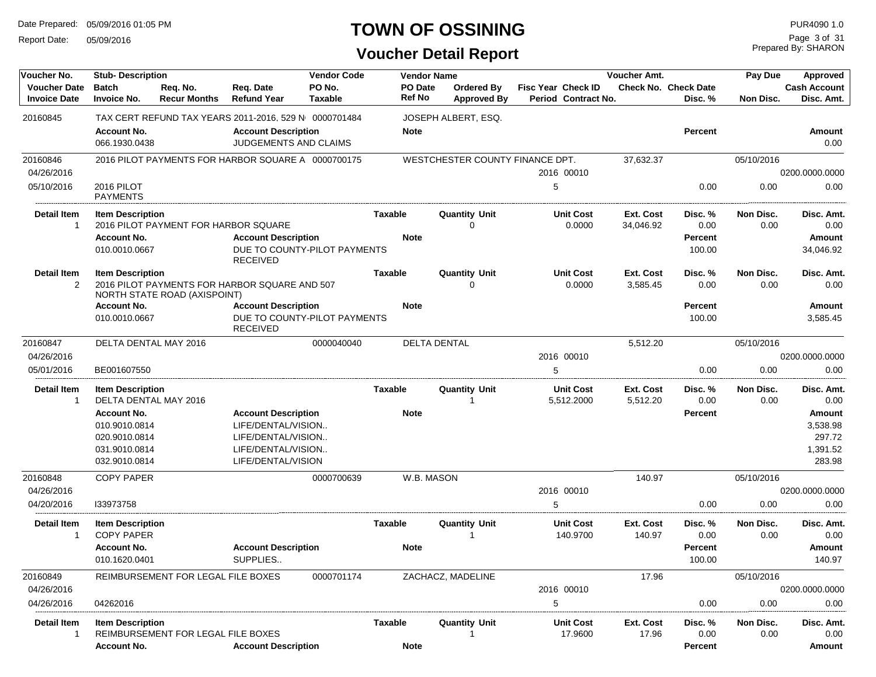Report Date: 05/09/2016

#### **TOWN OF OSSINING**

Prepared By: SHARON Page 3 of 31

| PO No.<br>PO Date<br><b>Cash Account</b><br><b>Voucher Date</b><br><b>Batch</b><br>Req. Date<br><b>Fisc Year Check ID</b><br><b>Check No. Check Date</b><br>Reg. No.<br><b>Ordered By</b><br><b>Ref No</b><br><b>Invoice Date</b><br><b>Refund Year</b><br><b>Taxable</b><br>Period Contract No.<br>Disc. Amt.<br><b>Invoice No.</b><br><b>Recur Months</b><br><b>Approved By</b><br>Disc. %<br>Non Disc.<br>20160845<br>TAX CERT REFUND TAX YEARS 2011-2016, 529 N 0000701484<br>JOSEPH ALBERT, ESQ.<br><b>Account No.</b><br><b>Percent</b><br><b>Account Description</b><br><b>Note</b><br><b>Amount</b><br>JUDGEMENTS AND CLAIMS<br>066.1930.0438<br>0.00<br>20160846<br>2016 PILOT PAYMENTS FOR HARBOR SQUARE A 0000700175<br>WESTCHESTER COUNTY FINANCE DPT.<br>37,632.37<br>05/10/2016<br>04/26/2016<br>2016 00010<br>0200.0000.0000<br>05/10/2016<br>0.00<br>2016 PILOT<br>5<br>0.00<br>0.00<br>PAYMENTS<br><b>Detail Item</b><br><b>Unit Cost</b><br><b>Item Description</b><br><b>Quantity Unit</b><br>Ext. Cost<br>Disc. %<br>Non Disc.<br>Taxable<br>Disc. Amt.<br>2016 PILOT PAYMENT FOR HARBOR SQUARE<br>0.0000<br>0.00<br>0.00<br>$\mathbf{1}$<br>∩<br>34,046.92<br>0.00<br><b>Note</b><br><b>Account No.</b><br><b>Account Description</b><br>Percent<br>Amount<br>DUE TO COUNTY-PILOT PAYMENTS<br>010.0010.0667<br>100.00<br>34,046.92<br><b>RECEIVED</b><br><b>Detail Item</b><br><b>Taxable</b><br><b>Quantity Unit</b><br><b>Unit Cost</b><br>Ext. Cost<br>Disc. %<br>Non Disc.<br>Disc. Amt.<br><b>Item Description</b><br>2<br>2016 PILOT PAYMENTS FOR HARBOR SQUARE AND 507<br>0.0000<br>3,585.45<br>0.00<br>0.00<br>0.00<br>O<br>NORTH STATE ROAD (AXISPOINT)<br><b>Account No.</b><br><b>Account Description</b><br><b>Percent</b><br><b>Note</b><br>Amount<br>DUE TO COUNTY-PILOT PAYMENTS<br>100.00<br>010.0010.0667<br>3,585.45<br><b>RECEIVED</b><br>DELTA DENTAL<br>20160847<br>DELTA DENTAL MAY 2016<br>0000040040<br>5,512.20<br>05/10/2016<br>04/26/2016<br>2016 00010<br>0200.0000.0000<br>05/01/2016<br>5<br>0.00<br>BE001607550<br>0.00<br>0.00<br><b>Detail Item</b><br><b>Quantity Unit</b><br><b>Unit Cost</b><br>Non Disc.<br><b>Item Description</b><br>Taxable<br>Ext. Cost<br>Disc. %<br>Disc. Amt.<br>DELTA DENTAL MAY 2016<br>5,512.2000<br>5,512.20<br>0.00<br>0.00<br>0.00<br>$\mathbf{1}$<br><b>Account Description</b><br><b>Account No.</b><br><b>Note</b><br>Percent<br>Amount<br>010.9010.0814<br>LIFE/DENTAL/VISION<br>3,538.98<br>297.72<br>020.9010.0814<br>LIFE/DENTAL/VISION<br>1,391.52<br>031.9010.0814<br>LIFE/DENTAL/VISION<br>032.9010.0814<br>LIFE/DENTAL/VISION<br>283.98<br>0000700639<br>20160848<br><b>COPY PAPER</b><br>W.B. MASON<br>140.97<br>05/10/2016<br>04/26/2016<br>2016 00010<br>0200.0000.0000<br>04/20/2016<br>0.00<br>0.00<br>0.00<br>133973758<br><b>Detail Item</b><br>Ext. Cost<br><b>Item Description</b><br>Taxable<br><b>Quantity Unit</b><br><b>Unit Cost</b><br>Disc. %<br>Non Disc.<br>Disc. Amt.<br><b>COPY PAPER</b><br>140.9700<br>0.00<br>0.00<br>140.97<br>0.00<br>-1<br>-1<br><b>Account Description</b><br><b>Account No.</b><br><b>Note</b><br>Percent<br>Amount<br>010.1620.0401<br>SUPPLIES<br>100.00<br>140.97<br>20160849<br>0000701174<br>ZACHACZ, MADELINE<br>17.96<br>05/10/2016<br>REIMBURSEMENT FOR LEGAL FILE BOXES<br>04/26/2016<br>2016 00010<br>0200.0000.0000<br>04/26/2016<br>04262016<br>5<br>0.00<br>0.00<br>0.00<br><b>Detail Item</b><br><b>Unit Cost</b><br><b>Item Description</b><br>Taxable<br><b>Quantity Unit</b><br>Ext. Cost<br>Disc. %<br>Non Disc.<br>Disc. Amt.<br>REIMBURSEMENT FOR LEGAL FILE BOXES<br>17.9600<br>17.96<br>0.00<br>0.00<br>0.00<br>-1<br><b>Account Description</b><br><b>Note</b> | Voucher No. | <b>Stub-Description</b> |  | <b>Vendor Code</b> | <b>Vendor Name</b> | Voucher Amt. |  |  |         | Pay Due | Approved |
|-------------------------------------------------------------------------------------------------------------------------------------------------------------------------------------------------------------------------------------------------------------------------------------------------------------------------------------------------------------------------------------------------------------------------------------------------------------------------------------------------------------------------------------------------------------------------------------------------------------------------------------------------------------------------------------------------------------------------------------------------------------------------------------------------------------------------------------------------------------------------------------------------------------------------------------------------------------------------------------------------------------------------------------------------------------------------------------------------------------------------------------------------------------------------------------------------------------------------------------------------------------------------------------------------------------------------------------------------------------------------------------------------------------------------------------------------------------------------------------------------------------------------------------------------------------------------------------------------------------------------------------------------------------------------------------------------------------------------------------------------------------------------------------------------------------------------------------------------------------------------------------------------------------------------------------------------------------------------------------------------------------------------------------------------------------------------------------------------------------------------------------------------------------------------------------------------------------------------------------------------------------------------------------------------------------------------------------------------------------------------------------------------------------------------------------------------------------------------------------------------------------------------------------------------------------------------------------------------------------------------------------------------------------------------------------------------------------------------------------------------------------------------------------------------------------------------------------------------------------------------------------------------------------------------------------------------------------------------------------------------------------------------------------------------------------------------------------------------------------------------------------------------------------------------------------------------------------------------------------------------------------------------------------------------------------------------------------------------------------------------------------------------------------------------------------------------------------------------------------------------------------------------------------------------------------------------------------------------------------------------------------------------------------------------------------------------------------------------------------|-------------|-------------------------|--|--------------------|--------------------|--------------|--|--|---------|---------|----------|
|                                                                                                                                                                                                                                                                                                                                                                                                                                                                                                                                                                                                                                                                                                                                                                                                                                                                                                                                                                                                                                                                                                                                                                                                                                                                                                                                                                                                                                                                                                                                                                                                                                                                                                                                                                                                                                                                                                                                                                                                                                                                                                                                                                                                                                                                                                                                                                                                                                                                                                                                                                                                                                                                                                                                                                                                                                                                                                                                                                                                                                                                                                                                                                                                                                                                                                                                                                                                                                                                                                                                                                                                                                                                                                                                     |             |                         |  |                    |                    |              |  |  |         |         |          |
|                                                                                                                                                                                                                                                                                                                                                                                                                                                                                                                                                                                                                                                                                                                                                                                                                                                                                                                                                                                                                                                                                                                                                                                                                                                                                                                                                                                                                                                                                                                                                                                                                                                                                                                                                                                                                                                                                                                                                                                                                                                                                                                                                                                                                                                                                                                                                                                                                                                                                                                                                                                                                                                                                                                                                                                                                                                                                                                                                                                                                                                                                                                                                                                                                                                                                                                                                                                                                                                                                                                                                                                                                                                                                                                                     |             |                         |  |                    |                    |              |  |  |         |         |          |
|                                                                                                                                                                                                                                                                                                                                                                                                                                                                                                                                                                                                                                                                                                                                                                                                                                                                                                                                                                                                                                                                                                                                                                                                                                                                                                                                                                                                                                                                                                                                                                                                                                                                                                                                                                                                                                                                                                                                                                                                                                                                                                                                                                                                                                                                                                                                                                                                                                                                                                                                                                                                                                                                                                                                                                                                                                                                                                                                                                                                                                                                                                                                                                                                                                                                                                                                                                                                                                                                                                                                                                                                                                                                                                                                     |             |                         |  |                    |                    |              |  |  |         |         |          |
|                                                                                                                                                                                                                                                                                                                                                                                                                                                                                                                                                                                                                                                                                                                                                                                                                                                                                                                                                                                                                                                                                                                                                                                                                                                                                                                                                                                                                                                                                                                                                                                                                                                                                                                                                                                                                                                                                                                                                                                                                                                                                                                                                                                                                                                                                                                                                                                                                                                                                                                                                                                                                                                                                                                                                                                                                                                                                                                                                                                                                                                                                                                                                                                                                                                                                                                                                                                                                                                                                                                                                                                                                                                                                                                                     |             |                         |  |                    |                    |              |  |  |         |         |          |
|                                                                                                                                                                                                                                                                                                                                                                                                                                                                                                                                                                                                                                                                                                                                                                                                                                                                                                                                                                                                                                                                                                                                                                                                                                                                                                                                                                                                                                                                                                                                                                                                                                                                                                                                                                                                                                                                                                                                                                                                                                                                                                                                                                                                                                                                                                                                                                                                                                                                                                                                                                                                                                                                                                                                                                                                                                                                                                                                                                                                                                                                                                                                                                                                                                                                                                                                                                                                                                                                                                                                                                                                                                                                                                                                     |             |                         |  |                    |                    |              |  |  |         |         |          |
|                                                                                                                                                                                                                                                                                                                                                                                                                                                                                                                                                                                                                                                                                                                                                                                                                                                                                                                                                                                                                                                                                                                                                                                                                                                                                                                                                                                                                                                                                                                                                                                                                                                                                                                                                                                                                                                                                                                                                                                                                                                                                                                                                                                                                                                                                                                                                                                                                                                                                                                                                                                                                                                                                                                                                                                                                                                                                                                                                                                                                                                                                                                                                                                                                                                                                                                                                                                                                                                                                                                                                                                                                                                                                                                                     |             |                         |  |                    |                    |              |  |  |         |         |          |
|                                                                                                                                                                                                                                                                                                                                                                                                                                                                                                                                                                                                                                                                                                                                                                                                                                                                                                                                                                                                                                                                                                                                                                                                                                                                                                                                                                                                                                                                                                                                                                                                                                                                                                                                                                                                                                                                                                                                                                                                                                                                                                                                                                                                                                                                                                                                                                                                                                                                                                                                                                                                                                                                                                                                                                                                                                                                                                                                                                                                                                                                                                                                                                                                                                                                                                                                                                                                                                                                                                                                                                                                                                                                                                                                     |             |                         |  |                    |                    |              |  |  |         |         |          |
|                                                                                                                                                                                                                                                                                                                                                                                                                                                                                                                                                                                                                                                                                                                                                                                                                                                                                                                                                                                                                                                                                                                                                                                                                                                                                                                                                                                                                                                                                                                                                                                                                                                                                                                                                                                                                                                                                                                                                                                                                                                                                                                                                                                                                                                                                                                                                                                                                                                                                                                                                                                                                                                                                                                                                                                                                                                                                                                                                                                                                                                                                                                                                                                                                                                                                                                                                                                                                                                                                                                                                                                                                                                                                                                                     |             |                         |  |                    |                    |              |  |  |         |         |          |
|                                                                                                                                                                                                                                                                                                                                                                                                                                                                                                                                                                                                                                                                                                                                                                                                                                                                                                                                                                                                                                                                                                                                                                                                                                                                                                                                                                                                                                                                                                                                                                                                                                                                                                                                                                                                                                                                                                                                                                                                                                                                                                                                                                                                                                                                                                                                                                                                                                                                                                                                                                                                                                                                                                                                                                                                                                                                                                                                                                                                                                                                                                                                                                                                                                                                                                                                                                                                                                                                                                                                                                                                                                                                                                                                     |             |                         |  |                    |                    |              |  |  |         |         |          |
|                                                                                                                                                                                                                                                                                                                                                                                                                                                                                                                                                                                                                                                                                                                                                                                                                                                                                                                                                                                                                                                                                                                                                                                                                                                                                                                                                                                                                                                                                                                                                                                                                                                                                                                                                                                                                                                                                                                                                                                                                                                                                                                                                                                                                                                                                                                                                                                                                                                                                                                                                                                                                                                                                                                                                                                                                                                                                                                                                                                                                                                                                                                                                                                                                                                                                                                                                                                                                                                                                                                                                                                                                                                                                                                                     |             |                         |  |                    |                    |              |  |  |         |         |          |
|                                                                                                                                                                                                                                                                                                                                                                                                                                                                                                                                                                                                                                                                                                                                                                                                                                                                                                                                                                                                                                                                                                                                                                                                                                                                                                                                                                                                                                                                                                                                                                                                                                                                                                                                                                                                                                                                                                                                                                                                                                                                                                                                                                                                                                                                                                                                                                                                                                                                                                                                                                                                                                                                                                                                                                                                                                                                                                                                                                                                                                                                                                                                                                                                                                                                                                                                                                                                                                                                                                                                                                                                                                                                                                                                     |             |                         |  |                    |                    |              |  |  |         |         |          |
|                                                                                                                                                                                                                                                                                                                                                                                                                                                                                                                                                                                                                                                                                                                                                                                                                                                                                                                                                                                                                                                                                                                                                                                                                                                                                                                                                                                                                                                                                                                                                                                                                                                                                                                                                                                                                                                                                                                                                                                                                                                                                                                                                                                                                                                                                                                                                                                                                                                                                                                                                                                                                                                                                                                                                                                                                                                                                                                                                                                                                                                                                                                                                                                                                                                                                                                                                                                                                                                                                                                                                                                                                                                                                                                                     |             |                         |  |                    |                    |              |  |  |         |         |          |
|                                                                                                                                                                                                                                                                                                                                                                                                                                                                                                                                                                                                                                                                                                                                                                                                                                                                                                                                                                                                                                                                                                                                                                                                                                                                                                                                                                                                                                                                                                                                                                                                                                                                                                                                                                                                                                                                                                                                                                                                                                                                                                                                                                                                                                                                                                                                                                                                                                                                                                                                                                                                                                                                                                                                                                                                                                                                                                                                                                                                                                                                                                                                                                                                                                                                                                                                                                                                                                                                                                                                                                                                                                                                                                                                     |             |                         |  |                    |                    |              |  |  |         |         |          |
|                                                                                                                                                                                                                                                                                                                                                                                                                                                                                                                                                                                                                                                                                                                                                                                                                                                                                                                                                                                                                                                                                                                                                                                                                                                                                                                                                                                                                                                                                                                                                                                                                                                                                                                                                                                                                                                                                                                                                                                                                                                                                                                                                                                                                                                                                                                                                                                                                                                                                                                                                                                                                                                                                                                                                                                                                                                                                                                                                                                                                                                                                                                                                                                                                                                                                                                                                                                                                                                                                                                                                                                                                                                                                                                                     |             |                         |  |                    |                    |              |  |  |         |         |          |
|                                                                                                                                                                                                                                                                                                                                                                                                                                                                                                                                                                                                                                                                                                                                                                                                                                                                                                                                                                                                                                                                                                                                                                                                                                                                                                                                                                                                                                                                                                                                                                                                                                                                                                                                                                                                                                                                                                                                                                                                                                                                                                                                                                                                                                                                                                                                                                                                                                                                                                                                                                                                                                                                                                                                                                                                                                                                                                                                                                                                                                                                                                                                                                                                                                                                                                                                                                                                                                                                                                                                                                                                                                                                                                                                     |             |                         |  |                    |                    |              |  |  |         |         |          |
|                                                                                                                                                                                                                                                                                                                                                                                                                                                                                                                                                                                                                                                                                                                                                                                                                                                                                                                                                                                                                                                                                                                                                                                                                                                                                                                                                                                                                                                                                                                                                                                                                                                                                                                                                                                                                                                                                                                                                                                                                                                                                                                                                                                                                                                                                                                                                                                                                                                                                                                                                                                                                                                                                                                                                                                                                                                                                                                                                                                                                                                                                                                                                                                                                                                                                                                                                                                                                                                                                                                                                                                                                                                                                                                                     |             |                         |  |                    |                    |              |  |  |         |         |          |
|                                                                                                                                                                                                                                                                                                                                                                                                                                                                                                                                                                                                                                                                                                                                                                                                                                                                                                                                                                                                                                                                                                                                                                                                                                                                                                                                                                                                                                                                                                                                                                                                                                                                                                                                                                                                                                                                                                                                                                                                                                                                                                                                                                                                                                                                                                                                                                                                                                                                                                                                                                                                                                                                                                                                                                                                                                                                                                                                                                                                                                                                                                                                                                                                                                                                                                                                                                                                                                                                                                                                                                                                                                                                                                                                     |             |                         |  |                    |                    |              |  |  |         |         |          |
|                                                                                                                                                                                                                                                                                                                                                                                                                                                                                                                                                                                                                                                                                                                                                                                                                                                                                                                                                                                                                                                                                                                                                                                                                                                                                                                                                                                                                                                                                                                                                                                                                                                                                                                                                                                                                                                                                                                                                                                                                                                                                                                                                                                                                                                                                                                                                                                                                                                                                                                                                                                                                                                                                                                                                                                                                                                                                                                                                                                                                                                                                                                                                                                                                                                                                                                                                                                                                                                                                                                                                                                                                                                                                                                                     |             |                         |  |                    |                    |              |  |  |         |         |          |
|                                                                                                                                                                                                                                                                                                                                                                                                                                                                                                                                                                                                                                                                                                                                                                                                                                                                                                                                                                                                                                                                                                                                                                                                                                                                                                                                                                                                                                                                                                                                                                                                                                                                                                                                                                                                                                                                                                                                                                                                                                                                                                                                                                                                                                                                                                                                                                                                                                                                                                                                                                                                                                                                                                                                                                                                                                                                                                                                                                                                                                                                                                                                                                                                                                                                                                                                                                                                                                                                                                                                                                                                                                                                                                                                     |             |                         |  |                    |                    |              |  |  |         |         |          |
|                                                                                                                                                                                                                                                                                                                                                                                                                                                                                                                                                                                                                                                                                                                                                                                                                                                                                                                                                                                                                                                                                                                                                                                                                                                                                                                                                                                                                                                                                                                                                                                                                                                                                                                                                                                                                                                                                                                                                                                                                                                                                                                                                                                                                                                                                                                                                                                                                                                                                                                                                                                                                                                                                                                                                                                                                                                                                                                                                                                                                                                                                                                                                                                                                                                                                                                                                                                                                                                                                                                                                                                                                                                                                                                                     |             |                         |  |                    |                    |              |  |  |         |         |          |
|                                                                                                                                                                                                                                                                                                                                                                                                                                                                                                                                                                                                                                                                                                                                                                                                                                                                                                                                                                                                                                                                                                                                                                                                                                                                                                                                                                                                                                                                                                                                                                                                                                                                                                                                                                                                                                                                                                                                                                                                                                                                                                                                                                                                                                                                                                                                                                                                                                                                                                                                                                                                                                                                                                                                                                                                                                                                                                                                                                                                                                                                                                                                                                                                                                                                                                                                                                                                                                                                                                                                                                                                                                                                                                                                     |             |                         |  |                    |                    |              |  |  |         |         |          |
|                                                                                                                                                                                                                                                                                                                                                                                                                                                                                                                                                                                                                                                                                                                                                                                                                                                                                                                                                                                                                                                                                                                                                                                                                                                                                                                                                                                                                                                                                                                                                                                                                                                                                                                                                                                                                                                                                                                                                                                                                                                                                                                                                                                                                                                                                                                                                                                                                                                                                                                                                                                                                                                                                                                                                                                                                                                                                                                                                                                                                                                                                                                                                                                                                                                                                                                                                                                                                                                                                                                                                                                                                                                                                                                                     |             |                         |  |                    |                    |              |  |  |         |         |          |
|                                                                                                                                                                                                                                                                                                                                                                                                                                                                                                                                                                                                                                                                                                                                                                                                                                                                                                                                                                                                                                                                                                                                                                                                                                                                                                                                                                                                                                                                                                                                                                                                                                                                                                                                                                                                                                                                                                                                                                                                                                                                                                                                                                                                                                                                                                                                                                                                                                                                                                                                                                                                                                                                                                                                                                                                                                                                                                                                                                                                                                                                                                                                                                                                                                                                                                                                                                                                                                                                                                                                                                                                                                                                                                                                     |             |                         |  |                    |                    |              |  |  |         |         |          |
|                                                                                                                                                                                                                                                                                                                                                                                                                                                                                                                                                                                                                                                                                                                                                                                                                                                                                                                                                                                                                                                                                                                                                                                                                                                                                                                                                                                                                                                                                                                                                                                                                                                                                                                                                                                                                                                                                                                                                                                                                                                                                                                                                                                                                                                                                                                                                                                                                                                                                                                                                                                                                                                                                                                                                                                                                                                                                                                                                                                                                                                                                                                                                                                                                                                                                                                                                                                                                                                                                                                                                                                                                                                                                                                                     |             |                         |  |                    |                    |              |  |  |         |         |          |
|                                                                                                                                                                                                                                                                                                                                                                                                                                                                                                                                                                                                                                                                                                                                                                                                                                                                                                                                                                                                                                                                                                                                                                                                                                                                                                                                                                                                                                                                                                                                                                                                                                                                                                                                                                                                                                                                                                                                                                                                                                                                                                                                                                                                                                                                                                                                                                                                                                                                                                                                                                                                                                                                                                                                                                                                                                                                                                                                                                                                                                                                                                                                                                                                                                                                                                                                                                                                                                                                                                                                                                                                                                                                                                                                     |             |                         |  |                    |                    |              |  |  |         |         |          |
|                                                                                                                                                                                                                                                                                                                                                                                                                                                                                                                                                                                                                                                                                                                                                                                                                                                                                                                                                                                                                                                                                                                                                                                                                                                                                                                                                                                                                                                                                                                                                                                                                                                                                                                                                                                                                                                                                                                                                                                                                                                                                                                                                                                                                                                                                                                                                                                                                                                                                                                                                                                                                                                                                                                                                                                                                                                                                                                                                                                                                                                                                                                                                                                                                                                                                                                                                                                                                                                                                                                                                                                                                                                                                                                                     |             |                         |  |                    |                    |              |  |  |         |         |          |
|                                                                                                                                                                                                                                                                                                                                                                                                                                                                                                                                                                                                                                                                                                                                                                                                                                                                                                                                                                                                                                                                                                                                                                                                                                                                                                                                                                                                                                                                                                                                                                                                                                                                                                                                                                                                                                                                                                                                                                                                                                                                                                                                                                                                                                                                                                                                                                                                                                                                                                                                                                                                                                                                                                                                                                                                                                                                                                                                                                                                                                                                                                                                                                                                                                                                                                                                                                                                                                                                                                                                                                                                                                                                                                                                     |             |                         |  |                    |                    |              |  |  |         |         |          |
|                                                                                                                                                                                                                                                                                                                                                                                                                                                                                                                                                                                                                                                                                                                                                                                                                                                                                                                                                                                                                                                                                                                                                                                                                                                                                                                                                                                                                                                                                                                                                                                                                                                                                                                                                                                                                                                                                                                                                                                                                                                                                                                                                                                                                                                                                                                                                                                                                                                                                                                                                                                                                                                                                                                                                                                                                                                                                                                                                                                                                                                                                                                                                                                                                                                                                                                                                                                                                                                                                                                                                                                                                                                                                                                                     |             |                         |  |                    |                    |              |  |  |         |         |          |
|                                                                                                                                                                                                                                                                                                                                                                                                                                                                                                                                                                                                                                                                                                                                                                                                                                                                                                                                                                                                                                                                                                                                                                                                                                                                                                                                                                                                                                                                                                                                                                                                                                                                                                                                                                                                                                                                                                                                                                                                                                                                                                                                                                                                                                                                                                                                                                                                                                                                                                                                                                                                                                                                                                                                                                                                                                                                                                                                                                                                                                                                                                                                                                                                                                                                                                                                                                                                                                                                                                                                                                                                                                                                                                                                     |             |                         |  |                    |                    |              |  |  |         |         |          |
|                                                                                                                                                                                                                                                                                                                                                                                                                                                                                                                                                                                                                                                                                                                                                                                                                                                                                                                                                                                                                                                                                                                                                                                                                                                                                                                                                                                                                                                                                                                                                                                                                                                                                                                                                                                                                                                                                                                                                                                                                                                                                                                                                                                                                                                                                                                                                                                                                                                                                                                                                                                                                                                                                                                                                                                                                                                                                                                                                                                                                                                                                                                                                                                                                                                                                                                                                                                                                                                                                                                                                                                                                                                                                                                                     |             |                         |  |                    |                    |              |  |  |         |         |          |
|                                                                                                                                                                                                                                                                                                                                                                                                                                                                                                                                                                                                                                                                                                                                                                                                                                                                                                                                                                                                                                                                                                                                                                                                                                                                                                                                                                                                                                                                                                                                                                                                                                                                                                                                                                                                                                                                                                                                                                                                                                                                                                                                                                                                                                                                                                                                                                                                                                                                                                                                                                                                                                                                                                                                                                                                                                                                                                                                                                                                                                                                                                                                                                                                                                                                                                                                                                                                                                                                                                                                                                                                                                                                                                                                     |             |                         |  |                    |                    |              |  |  |         |         |          |
|                                                                                                                                                                                                                                                                                                                                                                                                                                                                                                                                                                                                                                                                                                                                                                                                                                                                                                                                                                                                                                                                                                                                                                                                                                                                                                                                                                                                                                                                                                                                                                                                                                                                                                                                                                                                                                                                                                                                                                                                                                                                                                                                                                                                                                                                                                                                                                                                                                                                                                                                                                                                                                                                                                                                                                                                                                                                                                                                                                                                                                                                                                                                                                                                                                                                                                                                                                                                                                                                                                                                                                                                                                                                                                                                     |             |                         |  |                    |                    |              |  |  |         |         |          |
|                                                                                                                                                                                                                                                                                                                                                                                                                                                                                                                                                                                                                                                                                                                                                                                                                                                                                                                                                                                                                                                                                                                                                                                                                                                                                                                                                                                                                                                                                                                                                                                                                                                                                                                                                                                                                                                                                                                                                                                                                                                                                                                                                                                                                                                                                                                                                                                                                                                                                                                                                                                                                                                                                                                                                                                                                                                                                                                                                                                                                                                                                                                                                                                                                                                                                                                                                                                                                                                                                                                                                                                                                                                                                                                                     |             |                         |  |                    |                    |              |  |  |         |         |          |
|                                                                                                                                                                                                                                                                                                                                                                                                                                                                                                                                                                                                                                                                                                                                                                                                                                                                                                                                                                                                                                                                                                                                                                                                                                                                                                                                                                                                                                                                                                                                                                                                                                                                                                                                                                                                                                                                                                                                                                                                                                                                                                                                                                                                                                                                                                                                                                                                                                                                                                                                                                                                                                                                                                                                                                                                                                                                                                                                                                                                                                                                                                                                                                                                                                                                                                                                                                                                                                                                                                                                                                                                                                                                                                                                     |             |                         |  |                    |                    |              |  |  |         |         |          |
|                                                                                                                                                                                                                                                                                                                                                                                                                                                                                                                                                                                                                                                                                                                                                                                                                                                                                                                                                                                                                                                                                                                                                                                                                                                                                                                                                                                                                                                                                                                                                                                                                                                                                                                                                                                                                                                                                                                                                                                                                                                                                                                                                                                                                                                                                                                                                                                                                                                                                                                                                                                                                                                                                                                                                                                                                                                                                                                                                                                                                                                                                                                                                                                                                                                                                                                                                                                                                                                                                                                                                                                                                                                                                                                                     |             |                         |  |                    |                    |              |  |  |         |         |          |
|                                                                                                                                                                                                                                                                                                                                                                                                                                                                                                                                                                                                                                                                                                                                                                                                                                                                                                                                                                                                                                                                                                                                                                                                                                                                                                                                                                                                                                                                                                                                                                                                                                                                                                                                                                                                                                                                                                                                                                                                                                                                                                                                                                                                                                                                                                                                                                                                                                                                                                                                                                                                                                                                                                                                                                                                                                                                                                                                                                                                                                                                                                                                                                                                                                                                                                                                                                                                                                                                                                                                                                                                                                                                                                                                     |             | <b>Account No.</b>      |  |                    |                    |              |  |  | Percent |         | Amount   |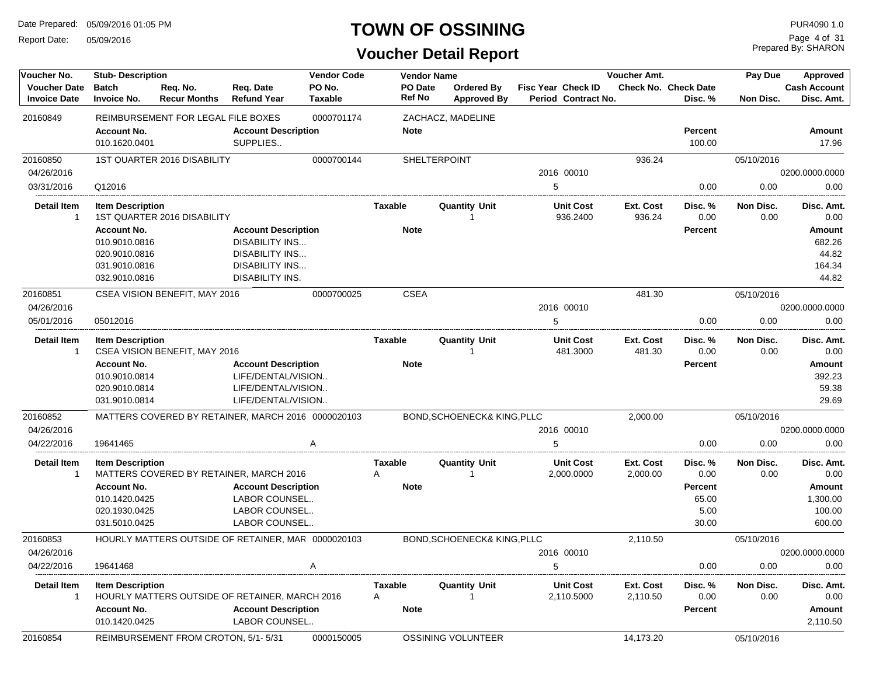Report Date: 05/09/2016

### **TOWN OF OSSINING**

Prepared By: SHARON Page 4 of 31

| Voucher No.                                | <b>Stub-Description</b>                                  |                                                    |                                                    | <b>Vendor Code</b>       | <b>Vendor Name</b>           |                                         |                                                  | Voucher Amt.          |                                 | Pay Due           | Approved                          |
|--------------------------------------------|----------------------------------------------------------|----------------------------------------------------|----------------------------------------------------|--------------------------|------------------------------|-----------------------------------------|--------------------------------------------------|-----------------------|---------------------------------|-------------------|-----------------------------------|
| <b>Voucher Date</b><br><b>Invoice Date</b> | <b>Batch</b><br><b>Invoice No.</b>                       | Req. No.<br><b>Recur Months</b>                    | Req. Date<br><b>Refund Year</b>                    | PO No.<br><b>Taxable</b> | PO Date<br><b>Ref No</b>     | <b>Ordered By</b><br><b>Approved By</b> | <b>Fisc Year Check ID</b><br>Period Contract No. |                       | Check No. Check Date<br>Disc. % | <b>Non Disc.</b>  | <b>Cash Account</b><br>Disc. Amt. |
| 20160849                                   |                                                          | REIMBURSEMENT FOR LEGAL FILE BOXES                 |                                                    | 0000701174               |                              | ZACHACZ, MADELINE                       |                                                  |                       |                                 |                   |                                   |
|                                            | <b>Account No.</b><br>010.1620.0401                      |                                                    | <b>Account Description</b><br>SUPPLIES             |                          | <b>Note</b>                  |                                         |                                                  |                       | Percent<br>100.00               |                   | Amount<br>17.96                   |
| 20160850                                   |                                                          | <b>1ST QUARTER 2016 DISABILITY</b>                 |                                                    | 0000700144               |                              | SHELTERPOINT                            |                                                  | 936.24                |                                 | 05/10/2016        |                                   |
| 04/26/2016                                 |                                                          |                                                    |                                                    |                          |                              |                                         | 2016 00010                                       |                       |                                 |                   | 0200.0000.0000                    |
| 03/31/2016                                 | Q12016                                                   |                                                    |                                                    |                          |                              |                                         | 5                                                |                       | 0.00                            | 0.00              | 0.00                              |
| <b>Detail Item</b><br>-1                   | <b>Item Description</b>                                  | <b>1ST QUARTER 2016 DISABILITY</b>                 |                                                    |                          | Taxable                      | <b>Quantity Unit</b>                    | <b>Unit Cost</b><br>936.2400                     | Ext. Cost<br>936.24   | Disc. %<br>0.00                 | Non Disc.<br>0.00 | Disc. Amt.<br>0.00                |
|                                            | <b>Account No.</b>                                       |                                                    | <b>Account Description</b>                         |                          | <b>Note</b>                  |                                         |                                                  |                       | Percent                         |                   | Amount                            |
|                                            | 010.9010.0816                                            |                                                    | <b>DISABILITY INS</b>                              |                          |                              |                                         |                                                  |                       |                                 |                   | 682.26                            |
|                                            | 020.9010.0816                                            |                                                    | <b>DISABILITY INS</b>                              |                          |                              |                                         |                                                  |                       |                                 |                   | 44.82                             |
|                                            | 031.9010.0816                                            |                                                    | <b>DISABILITY INS</b>                              |                          |                              |                                         |                                                  |                       |                                 |                   | 164.34                            |
|                                            | 032.9010.0816                                            |                                                    | DISABILITY INS.                                    |                          |                              |                                         |                                                  |                       |                                 |                   | 44.82                             |
| 20160851                                   |                                                          | CSEA VISION BENEFIT, MAY 2016                      |                                                    | 0000700025               | <b>CSEA</b>                  |                                         |                                                  | 481.30                |                                 | 05/10/2016        |                                   |
| 04/26/2016                                 |                                                          |                                                    |                                                    |                          |                              |                                         | 2016 00010                                       |                       |                                 |                   | 0200.0000.0000                    |
| 05/01/2016                                 | 05012016                                                 |                                                    |                                                    |                          |                              |                                         | 5                                                |                       | 0.00                            | 0.00              | 0.00                              |
| <b>Detail Item</b><br>$\mathbf 1$          | <b>Item Description</b><br>CSEA VISION BENEFIT, MAY 2016 |                                                    | <b>Taxable</b>                                     | <b>Quantity Unit</b>     | <b>Unit Cost</b><br>481.3000 | Ext. Cost<br>481.30                     | Disc. %<br>0.00                                  | Non Disc.<br>0.00     | Disc. Amt.<br>0.00              |                   |                                   |
|                                            | <b>Account No.</b>                                       |                                                    | <b>Account Description</b>                         |                          | <b>Note</b>                  |                                         |                                                  |                       | <b>Percent</b>                  |                   | Amount                            |
|                                            | 010.9010.0814                                            |                                                    | LIFE/DENTAL/VISION                                 |                          |                              |                                         |                                                  |                       |                                 |                   | 392.23                            |
|                                            | 020.9010.0814                                            |                                                    | LIFE/DENTAL/VISION                                 |                          |                              |                                         |                                                  |                       |                                 |                   | 59.38                             |
|                                            | 031.9010.0814                                            |                                                    | LIFE/DENTAL/VISION                                 |                          |                              |                                         |                                                  |                       |                                 |                   | 29.69                             |
| 20160852                                   |                                                          | MATTERS COVERED BY RETAINER. MARCH 2016 0000020103 |                                                    |                          |                              | BOND, SCHOENECK& KING, PLLC             |                                                  | 2,000.00              |                                 | 05/10/2016        |                                   |
| 04/26/2016                                 |                                                          |                                                    |                                                    |                          |                              |                                         | 2016 00010                                       |                       |                                 |                   | 0200.0000.0000                    |
| 04/22/2016                                 | 19641465                                                 |                                                    |                                                    | Α                        |                              |                                         | 5                                                |                       | 0.00                            | 0.00              | 0.00                              |
| Detail Item                                | <b>Item Description</b>                                  |                                                    |                                                    |                          | <b>Taxable</b>               | <b>Quantity Unit</b>                    | <b>Unit Cost</b>                                 | Ext. Cost             | Disc. %                         | Non Disc.         | Disc. Amt.                        |
| -1                                         |                                                          | MATTERS COVERED BY RETAINER, MARCH 2016            |                                                    |                          | Α                            | 1                                       | 2,000.0000                                       | 2,000.00              | 0.00                            | 0.00              | 0.00                              |
|                                            | <b>Account No.</b>                                       |                                                    | <b>Account Description</b>                         |                          | <b>Note</b>                  |                                         |                                                  |                       | <b>Percent</b>                  |                   | Amount                            |
|                                            | 010.1420.0425<br>020.1930.0425                           |                                                    | LABOR COUNSEL<br>LABOR COUNSEL                     |                          |                              |                                         |                                                  |                       | 65.00<br>5.00                   |                   | 1,300.00<br>100.00                |
|                                            | 031.5010.0425                                            |                                                    | LABOR COUNSEL                                      |                          |                              |                                         |                                                  |                       | 30.00                           |                   | 600.00                            |
| 20160853                                   |                                                          | HOURLY MATTERS OUTSIDE OF RETAINER, MAR 0000020103 |                                                    |                          |                              | <b>BOND, SCHOENECK&amp; KING, PLLC</b>  |                                                  | 2,110.50              |                                 | 05/10/2016        |                                   |
| 04/26/2016                                 |                                                          |                                                    |                                                    |                          |                              |                                         | 2016 00010                                       |                       |                                 |                   | 0200.0000.0000                    |
| 04/22/2016                                 | 19641468                                                 |                                                    |                                                    | Α                        |                              |                                         | $5\phantom{.0}$                                  |                       | 0.00                            | 0.00              | 0.00                              |
| <b>Detail Item</b><br>-1                   | <b>Item Description</b>                                  | HOURLY MATTERS OUTSIDE OF RETAINER, MARCH 2016     |                                                    |                          | <b>Taxable</b><br>Α          | <b>Quantity Unit</b>                    | <b>Unit Cost</b><br>2,110.5000                   | Ext. Cost<br>2,110.50 | Disc.%<br>0.00                  | Non Disc.<br>0.00 | Disc. Amt.<br>0.00                |
|                                            | <b>Account No.</b><br>010.1420.0425                      |                                                    | <b>Account Description</b><br><b>LABOR COUNSEL</b> |                          | <b>Note</b>                  |                                         |                                                  |                       | <b>Percent</b>                  |                   | Amount<br>2,110.50                |
| 20160854                                   |                                                          | REIMBURSEMENT FROM CROTON, 5/1-5/31<br>0000150005  |                                                    |                          |                              | OSSINING VOLUNTEER                      |                                                  | 14,173.20             |                                 | 05/10/2016        |                                   |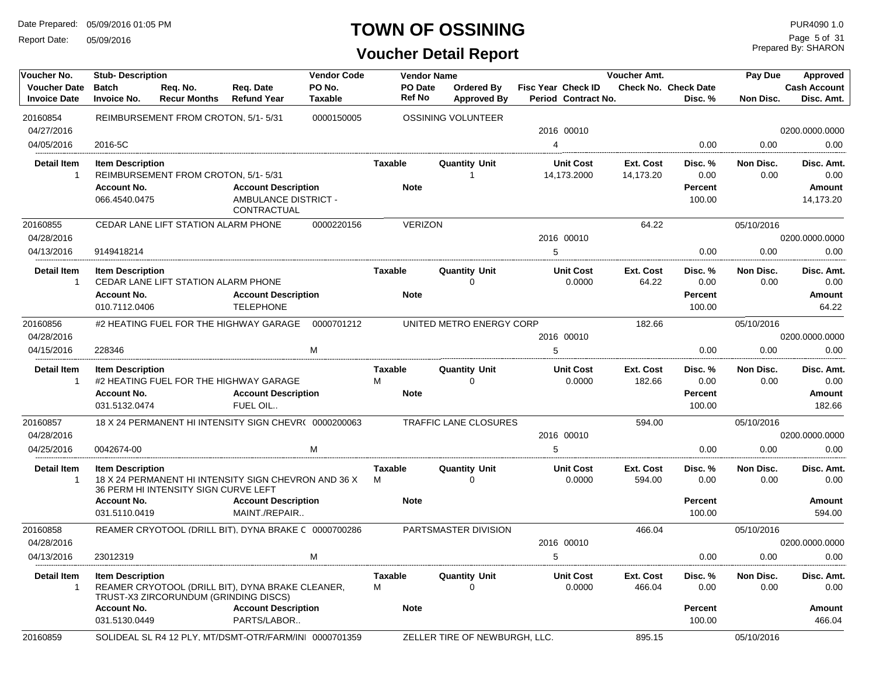Report Date: 05/09/2016

#### **TOWN OF OSSINING**

| Voucher No.                                | <b>Stub-Description</b>             |                                                      |                                                        | <b>Vendor Code</b>       | <b>Vendor Name</b>       |                                     |                                           | Voucher Amt.           |                                 | Pay Due           | Approved                          |
|--------------------------------------------|-------------------------------------|------------------------------------------------------|--------------------------------------------------------|--------------------------|--------------------------|-------------------------------------|-------------------------------------------|------------------------|---------------------------------|-------------------|-----------------------------------|
| <b>Voucher Date</b><br><b>Invoice Date</b> | <b>Batch</b><br><b>Invoice No.</b>  | Req. No.<br><b>Recur Months</b>                      | Req. Date<br><b>Refund Year</b>                        | PO No.<br><b>Taxable</b> | PO Date<br><b>Ref No</b> | Ordered By<br><b>Approved By</b>    | Fisc Year Check ID<br>Period Contract No. |                        | Check No. Check Date<br>Disc. % | <b>Non Disc.</b>  | <b>Cash Account</b><br>Disc. Amt. |
| 20160854                                   |                                     | REIMBURSEMENT FROM CROTON, 5/1-5/31                  |                                                        | 0000150005               |                          | <b>OSSINING VOLUNTEER</b>           |                                           |                        |                                 |                   |                                   |
| 04/27/2016                                 |                                     |                                                      |                                                        |                          |                          |                                     | 2016 00010                                |                        |                                 |                   | 0200.0000.0000                    |
| 04/05/2016                                 | 2016-5C                             |                                                      |                                                        |                          |                          |                                     | $\overline{4}$                            |                        | 0.00                            | 0.00              | 0.00                              |
| <b>Detail Item</b><br>$\overline{1}$       | <b>Item Description</b>             | REIMBURSEMENT FROM CROTON, 5/1-5/31                  |                                                        |                          | Taxable                  | <b>Quantity Unit</b><br>-1          | <b>Unit Cost</b><br>14,173.2000           | Ext. Cost<br>14,173.20 | Disc. %<br>0.00                 | Non Disc.<br>0.00 | Disc. Amt.<br>0.00                |
|                                            | <b>Account No.</b>                  |                                                      | <b>Account Description</b>                             |                          | <b>Note</b>              |                                     |                                           |                        | <b>Percent</b>                  |                   | Amount                            |
|                                            | 066.4540.0475                       |                                                      | AMBULANCE DISTRICT -<br>CONTRACTUAL                    |                          |                          |                                     |                                           |                        | 100.00                          |                   | 14,173.20                         |
| 20160855                                   |                                     | CEDAR LANE LIFT STATION ALARM PHONE                  |                                                        | 0000220156               | <b>VERIZON</b>           |                                     |                                           | 64.22                  |                                 | 05/10/2016        |                                   |
| 04/28/2016                                 |                                     |                                                      |                                                        |                          |                          |                                     | 2016 00010                                |                        |                                 |                   | 0200.0000.0000                    |
| 04/13/2016                                 | 9149418214                          |                                                      |                                                        |                          |                          |                                     | 5                                         |                        | 0.00                            | 0.00              | 0.00                              |
| <b>Detail Item</b><br>$\overline{1}$       | <b>Item Description</b>             | CEDAR LANE LIFT STATION ALARM PHONE                  |                                                        |                          | <b>Taxable</b>           | <b>Quantity Unit</b><br>$\mathbf 0$ | <b>Unit Cost</b><br>0.0000                | Ext. Cost<br>64.22     | Disc. %<br>0.00                 | Non Disc.<br>0.00 | Disc. Amt.<br>0.00                |
|                                            | <b>Account No.</b><br>010.7112.0406 |                                                      | <b>Account Description</b><br><b>TELEPHONE</b>         |                          | <b>Note</b>              |                                     |                                           |                        | <b>Percent</b><br>100.00        |                   | Amount<br>64.22                   |
| 20160856                                   |                                     | #2 HEATING FUEL FOR THE HIGHWAY GARAGE<br>0000701212 |                                                        |                          |                          | UNITED METRO ENERGY CORP            |                                           | 182.66                 |                                 | 05/10/2016        |                                   |
| 04/28/2016                                 |                                     |                                                      |                                                        |                          |                          |                                     | 2016 00010                                |                        |                                 |                   | 0200.0000.0000                    |
| 04/15/2016                                 | 228346                              |                                                      |                                                        | M                        |                          |                                     | 5                                         |                        | 0.00                            | 0.00              | 0.00                              |
| <b>Detail Item</b><br>$\overline{1}$       | <b>Item Description</b>             |                                                      | #2 HEATING FUEL FOR THE HIGHWAY GARAGE                 |                          | <b>Taxable</b><br>М      | <b>Quantity Unit</b><br>0           | <b>Unit Cost</b><br>0.0000                | Ext. Cost<br>182.66    | Disc. %<br>0.00                 | Non Disc.<br>0.00 | Disc. Amt.<br>0.00                |
|                                            | <b>Account No.</b>                  |                                                      | <b>Account Description</b>                             |                          | <b>Note</b>              |                                     |                                           |                        | <b>Percent</b>                  |                   | Amount                            |
|                                            | 031.5132.0474                       |                                                      | FUEL OIL                                               |                          |                          |                                     |                                           |                        | 100.00                          |                   | 182.66                            |
| 20160857                                   |                                     |                                                      | 18 X 24 PERMANENT HI INTENSITY SIGN CHEVR( 0000200063  |                          |                          | TRAFFIC LANE CLOSURES               |                                           | 594.00                 |                                 | 05/10/2016        |                                   |
| 04/28/2016                                 |                                     |                                                      |                                                        |                          |                          |                                     | 2016 00010                                |                        |                                 |                   | 0200.0000.0000                    |
| 04/25/2016                                 | 0042674-00                          |                                                      |                                                        | M                        |                          |                                     | 5                                         |                        | 0.00                            | 0.00              | 0.00                              |
| <b>Detail Item</b><br>$\overline{1}$       | <b>Item Description</b>             | 36 PERM HI INTENSITY SIGN CURVE LEFT                 | 18 X 24 PERMANENT HI INTENSITY SIGN CHEVRON AND 36 X   |                          | Taxable<br>M             | <b>Quantity Unit</b><br>$\Omega$    | <b>Unit Cost</b><br>0.0000                | Ext. Cost<br>594.00    | Disc. %<br>0.00                 | Non Disc.<br>0.00 | Disc. Amt.<br>0.00                |
|                                            | <b>Account No.</b><br>031.5110.0419 |                                                      | <b>Account Description</b><br>MAINT./REPAIR            |                          | <b>Note</b>              |                                     |                                           |                        | <b>Percent</b><br>100.00        |                   | Amount<br>594.00                  |
| 20160858                                   |                                     |                                                      | REAMER CRYOTOOL (DRILL BIT), DYNA BRAKE C 0000700286   |                          |                          | PARTSMASTER DIVISION                |                                           | 466.04                 |                                 | 05/10/2016        |                                   |
| 04/28/2016                                 |                                     |                                                      |                                                        |                          |                          |                                     | 2016 00010                                |                        |                                 |                   | 0200.0000.0000                    |
| 04/13/2016                                 | 23012319                            |                                                      |                                                        | м                        |                          |                                     | 5                                         |                        | 0.00                            | 0.00              | 0.00                              |
| <b>Detail Item</b><br>$\overline{1}$       | <b>Item Description</b>             | TRUST-X3 ZIRCORUNDUM (GRINDING DISCS)                | REAMER CRYOTOOL (DRILL BIT), DYNA BRAKE CLEANER,       |                          | <b>Taxable</b><br>M      | <b>Quantity Unit</b><br>$\Omega$    | <b>Unit Cost</b><br>0.0000                | Ext. Cost<br>466.04    | Disc. %<br>0.00                 | Non Disc.<br>0.00 | Disc. Amt.<br>0.00                |
|                                            | <b>Account No.</b><br>031.5130.0449 |                                                      | <b>Account Description</b><br>PARTS/LABOR              |                          | <b>Note</b>              |                                     |                                           |                        | <b>Percent</b><br>100.00        |                   | Amount<br>466.04                  |
| 20160859                                   |                                     |                                                      | SOLIDEAL SL R4 12 PLY, MT/DSMT-OTR/FARM/INI 0000701359 |                          |                          | ZELLER TIRE OF NEWBURGH, LLC.       |                                           | 895.15                 |                                 | 05/10/2016        |                                   |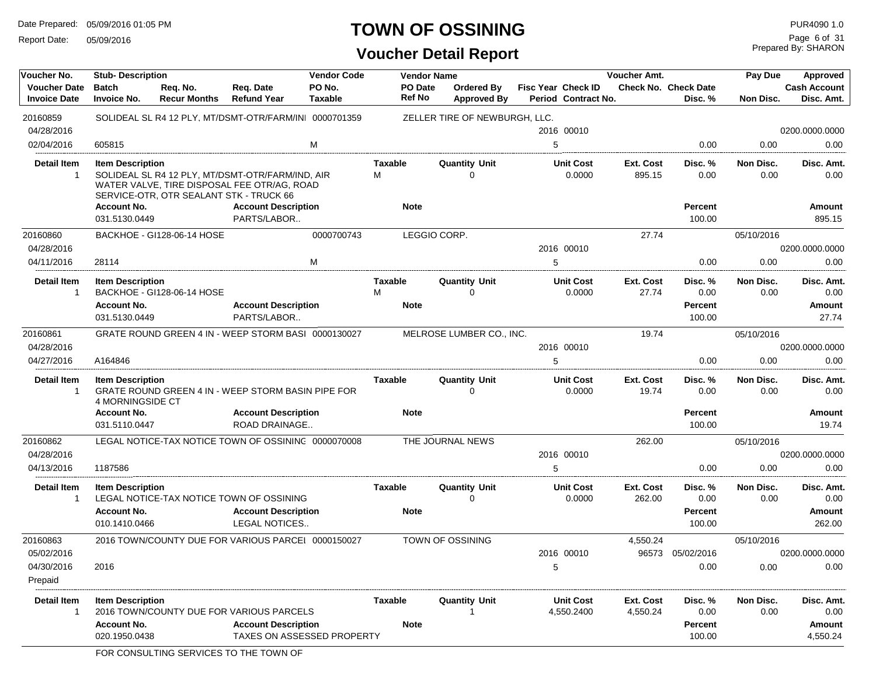Report Date: 05/09/2016

#### **TOWN OF OSSINING**

Prepared By: SHARON Page 6 of 31

| Voucher No.                                | <b>Stub-Description</b>                            |                                 |                                                                                                                                            | <b>Vendor Code</b>       |                | <b>Vendor Name</b>       |                                         |   |                                                  | Voucher Amt.          |                                 | Pay Due           | Approved                          |
|--------------------------------------------|----------------------------------------------------|---------------------------------|--------------------------------------------------------------------------------------------------------------------------------------------|--------------------------|----------------|--------------------------|-----------------------------------------|---|--------------------------------------------------|-----------------------|---------------------------------|-------------------|-----------------------------------|
| <b>Voucher Date</b><br><b>Invoice Date</b> | <b>Batch</b><br><b>Invoice No.</b>                 | Req. No.<br><b>Recur Months</b> | Req. Date<br><b>Refund Year</b>                                                                                                            | PO No.<br><b>Taxable</b> |                | PO Date<br><b>Ref No</b> | <b>Ordered By</b><br><b>Approved By</b> |   | <b>Fisc Year Check ID</b><br>Period Contract No. |                       | Check No. Check Date<br>Disc. % | Non Disc.         | <b>Cash Account</b><br>Disc. Amt. |
| 20160859                                   |                                                    |                                 | SOLIDEAL SL R4 12 PLY, MT/DSMT-OTR/FARM/INI 0000701359                                                                                     |                          |                |                          | ZELLER TIRE OF NEWBURGH, LLC.           |   |                                                  |                       |                                 |                   |                                   |
| 04/28/2016                                 |                                                    |                                 |                                                                                                                                            |                          |                |                          |                                         |   | 2016 00010                                       |                       |                                 |                   | 0200.0000.0000                    |
| 02/04/2016                                 | 605815                                             |                                 |                                                                                                                                            | M                        |                |                          |                                         | 5 |                                                  |                       | 0.00                            | 0.00              | 0.00                              |
| <b>Detail Item</b>                         | <b>Item Description</b>                            |                                 |                                                                                                                                            |                          | <b>Taxable</b> |                          | <b>Quantity Unit</b>                    |   | <b>Unit Cost</b>                                 | Ext. Cost             | Disc.%                          | Non Disc.         | Disc. Amt.                        |
| $\overline{1}$                             |                                                    |                                 | SOLIDEAL SL R4 12 PLY, MT/DSMT-OTR/FARM/IND, AIR<br>WATER VALVE, TIRE DISPOSAL FEE OTR/AG, ROAD<br>SERVICE-OTR, OTR SEALANT STK - TRUCK 66 |                          | M              |                          | $\Omega$                                |   | 0.0000                                           | 895.15                | 0.00                            | 0.00              | 0.00                              |
|                                            | <b>Account No.</b><br>031.5130.0449                |                                 | <b>Account Description</b><br>PARTS/LABOR                                                                                                  |                          | <b>Note</b>    |                          |                                         |   |                                                  |                       | <b>Percent</b><br>100.00        |                   | Amount<br>895.15                  |
| 20160860                                   |                                                    | BACKHOE - GI128-06-14 HOSE      |                                                                                                                                            | 0000700743               |                | LEGGIO CORP.             |                                         |   |                                                  | 27.74                 |                                 | 05/10/2016        |                                   |
| 04/28/2016                                 |                                                    |                                 |                                                                                                                                            |                          |                |                          |                                         |   | 2016 00010                                       |                       |                                 |                   | 0200.0000.0000                    |
| 04/11/2016                                 | 28114                                              |                                 |                                                                                                                                            | M                        |                |                          |                                         | 5 |                                                  |                       | 0.00                            | 0.00              | 0.00                              |
|                                            |                                                    |                                 |                                                                                                                                            |                          |                |                          |                                         |   |                                                  |                       |                                 |                   |                                   |
| <b>Detail Item</b>                         | <b>Item Description</b>                            |                                 |                                                                                                                                            |                          | <b>Taxable</b> |                          | <b>Quantity Unit</b>                    |   | <b>Unit Cost</b>                                 | Ext. Cost             | Disc. %                         | Non Disc.         | Disc. Amt.                        |
| $\overline{1}$                             |                                                    | BACKHOE - GI128-06-14 HOSE      |                                                                                                                                            |                          | M              |                          | 0                                       |   | 0.0000                                           | 27.74                 | 0.00                            | 0.00              | 0.00                              |
|                                            | <b>Account No.</b>                                 |                                 | <b>Account Description</b>                                                                                                                 |                          | <b>Note</b>    |                          |                                         |   |                                                  |                       | <b>Percent</b>                  |                   | Amount                            |
|                                            | 031.5130.0449                                      |                                 | PARTS/LABOR                                                                                                                                |                          |                |                          |                                         |   |                                                  |                       | 100.00                          |                   | 27.74                             |
| 20160861                                   |                                                    |                                 | GRATE ROUND GREEN 4 IN - WEEP STORM BASI 0000130027                                                                                        |                          |                |                          | MELROSE LUMBER CO., INC.                |   |                                                  | 19.74                 |                                 | 05/10/2016        |                                   |
| 04/28/2016                                 |                                                    |                                 |                                                                                                                                            |                          |                |                          |                                         |   | 2016 00010                                       |                       |                                 |                   | 0200.0000.0000                    |
| 04/27/2016                                 | A164846                                            |                                 |                                                                                                                                            |                          |                |                          |                                         | 5 |                                                  |                       | 0.00                            | 0.00              | 0.00                              |
| <b>Detail Item</b><br>$\overline{1}$       | <b>Item Description</b><br><b>4 MORNINGSIDE CT</b> |                                 | GRATE ROUND GREEN 4 IN - WEEP STORM BASIN PIPE FOR                                                                                         |                          | Taxable        |                          | <b>Quantity Unit</b><br>$\Omega$        |   | <b>Unit Cost</b><br>0.0000                       | Ext. Cost<br>19.74    | Disc. %<br>0.00                 | Non Disc.<br>0.00 | Disc. Amt.<br>0.00                |
|                                            | <b>Account No.</b><br>031.5110.0447                |                                 | <b>Account Description</b><br>ROAD DRAINAGE                                                                                                |                          | <b>Note</b>    |                          |                                         |   |                                                  |                       | <b>Percent</b><br>100.00        |                   | Amount<br>19.74                   |
| 20160862                                   |                                                    |                                 | LEGAL NOTICE-TAX NOTICE TOWN OF OSSINING 0000070008                                                                                        |                          |                |                          | THE JOURNAL NEWS                        |   |                                                  | 262.00                |                                 | 05/10/2016        |                                   |
| 04/28/2016                                 |                                                    |                                 |                                                                                                                                            |                          |                |                          |                                         |   | 2016 00010                                       |                       |                                 |                   | 0200.0000.0000                    |
| 04/13/2016                                 | 1187586                                            |                                 |                                                                                                                                            |                          |                |                          |                                         | 5 |                                                  |                       | 0.00                            | 0.00              | 0.00                              |
| <b>Detail Item</b><br>$\overline{1}$       | <b>Item Description</b>                            |                                 | LEGAL NOTICE-TAX NOTICE TOWN OF OSSINING                                                                                                   |                          | <b>Taxable</b> |                          | <b>Quantity Unit</b><br>$\Omega$        |   | <b>Unit Cost</b><br>0.0000                       | Ext. Cost<br>262.00   | Disc. %<br>0.00                 | Non Disc.<br>0.00 | Disc. Amt.<br>0.00                |
|                                            | <b>Account No.</b><br>010.1410.0466                |                                 | <b>Account Description</b><br><b>LEGAL NOTICES</b>                                                                                         |                          | <b>Note</b>    |                          |                                         |   |                                                  |                       | <b>Percent</b><br>100.00        |                   | Amount<br>262.00                  |
| 20160863                                   |                                                    |                                 | 2016 TOWN/COUNTY DUE FOR VARIOUS PARCEI 0000150027                                                                                         |                          |                |                          | TOWN OF OSSINING                        |   |                                                  | 4,550.24              |                                 | 05/10/2016        |                                   |
| 05/02/2016                                 |                                                    |                                 |                                                                                                                                            |                          |                |                          |                                         |   | 2016 00010                                       | 96573                 | 05/02/2016                      |                   | 0200.0000.0000                    |
| 04/30/2016<br>Prepaid                      | 2016                                               |                                 |                                                                                                                                            |                          |                |                          |                                         | 5 |                                                  |                       | 0.00                            | 0.00              | 0.00                              |
| <b>Detail Item</b><br>$\overline{1}$       | <b>Item Description</b>                            |                                 | 2016 TOWN/COUNTY DUE FOR VARIOUS PARCELS                                                                                                   |                          | Taxable        |                          | <b>Quantity Unit</b><br>-1              |   | <b>Unit Cost</b><br>4,550.2400                   | Ext. Cost<br>4,550.24 | Disc. %<br>0.00                 | Non Disc.<br>0.00 | Disc. Amt.<br>0.00                |
|                                            | <b>Account No.</b><br>020.1950.0438                |                                 | <b>Account Description</b><br><b>TAXES ON ASSESSED PROPERTY</b>                                                                            |                          | <b>Note</b>    |                          |                                         |   |                                                  |                       | <b>Percent</b><br>100.00        |                   | <b>Amount</b><br>4,550.24         |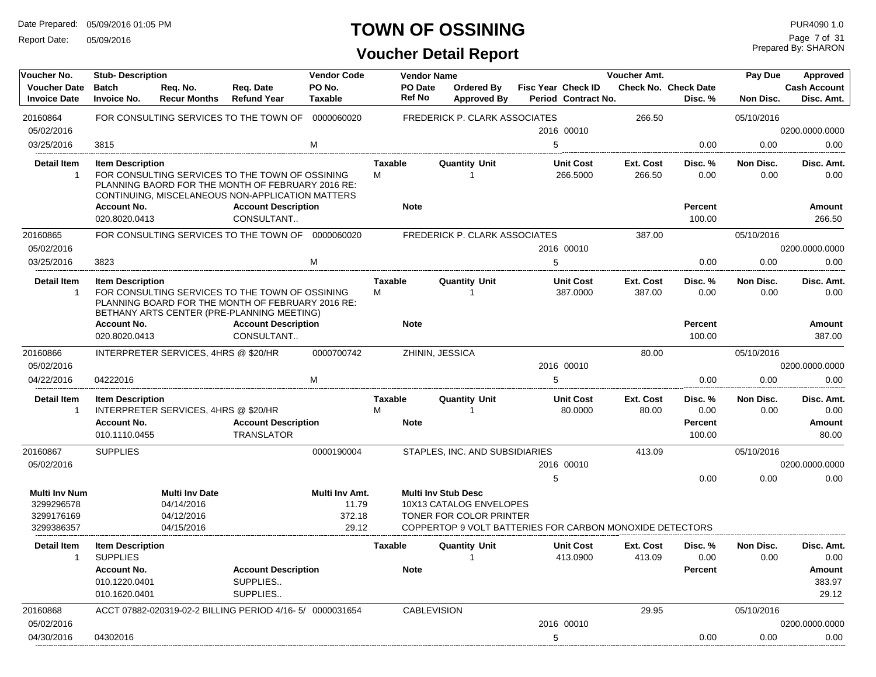Report Date: 05/09/2016

#### **TOWN OF OSSINING**

| Voucher No.                                                    | <b>Stub-Description</b>                                         |                                                                 |                                                                                                                                                          | <b>Vendor Code</b>                         |                     | <b>Vendor Name</b> |                                                                                                                                              |   |                                                  | Voucher Amt.        |                                        | Pay Due           | <b>Approved</b>                   |
|----------------------------------------------------------------|-----------------------------------------------------------------|-----------------------------------------------------------------|----------------------------------------------------------------------------------------------------------------------------------------------------------|--------------------------------------------|---------------------|--------------------|----------------------------------------------------------------------------------------------------------------------------------------------|---|--------------------------------------------------|---------------------|----------------------------------------|-------------------|-----------------------------------|
| <b>Voucher Date</b><br><b>Invoice Date</b>                     | <b>Batch</b><br><b>Invoice No.</b>                              | Reg. No.<br><b>Recur Months</b>                                 | Reg. Date<br><b>Refund Year</b>                                                                                                                          | PO No.<br><b>Taxable</b>                   |                     | PO Date<br>Ref No  | Ordered By<br><b>Approved By</b>                                                                                                             |   | <b>Fisc Year Check ID</b><br>Period Contract No. |                     | <b>Check No. Check Date</b><br>Disc. % | Non Disc.         | <b>Cash Account</b><br>Disc. Amt. |
| 20160864<br>05/02/2016                                         |                                                                 |                                                                 | FOR CONSULTING SERVICES TO THE TOWN OF                                                                                                                   | 0000060020                                 |                     |                    | <b>FREDERICK P. CLARK ASSOCIATES</b>                                                                                                         |   | 2016 00010                                       | 266.50              |                                        | 05/10/2016        | 0200.0000.0000                    |
| 03/25/2016                                                     | 3815                                                            |                                                                 |                                                                                                                                                          | M                                          |                     |                    |                                                                                                                                              | 5 |                                                  |                     | 0.00                                   | 0.00              | 0.00                              |
| <b>Detail Item</b><br>$\mathbf{1}$                             | <b>Item Description</b>                                         |                                                                 | FOR CONSULTING SERVICES TO THE TOWN OF OSSINING<br>PLANNING BAORD FOR THE MONTH OF FEBRUARY 2016 RE:<br>CONTINUING, MISCELANEOUS NON-APPLICATION MATTERS |                                            | <b>Taxable</b><br>М |                    | <b>Quantity Unit</b><br>1                                                                                                                    |   | <b>Unit Cost</b><br>266.5000                     | Ext. Cost<br>266.50 | Disc. %<br>0.00                        | Non Disc.<br>0.00 | Disc. Amt.<br>0.00                |
|                                                                | <b>Account No.</b><br>020.8020.0413                             |                                                                 | <b>Account Description</b><br>CONSULTANT                                                                                                                 |                                            | <b>Note</b>         |                    |                                                                                                                                              |   |                                                  |                     | Percent<br>100.00                      |                   | <b>Amount</b><br>266.50           |
| 20160865<br>05/02/2016                                         |                                                                 |                                                                 | FOR CONSULTING SERVICES TO THE TOWN OF                                                                                                                   | 0000060020                                 |                     |                    | <b>FREDERICK P. CLARK ASSOCIATES</b>                                                                                                         |   | 2016 00010                                       | 387.00              |                                        | 05/10/2016        | 0200.0000.0000                    |
| 03/25/2016                                                     | 3823                                                            |                                                                 |                                                                                                                                                          | M                                          |                     |                    |                                                                                                                                              | 5 |                                                  |                     | 0.00                                   | 0.00              | 0.00                              |
| <b>Detail Item</b><br>$\mathbf{1}$                             | <b>Item Description</b>                                         |                                                                 | FOR CONSULTING SERVICES TO THE TOWN OF OSSINING<br>PLANNING BOARD FOR THE MONTH OF FEBRUARY 2016 RE:<br>BETHANY ARTS CENTER (PRE-PLANNING MEETING)       |                                            | Taxable<br>М        |                    | <b>Quantity Unit</b>                                                                                                                         |   | Unit Cost<br>387.0000                            | Ext. Cost<br>387.00 | Disc. %<br>0.00                        | Non Disc.<br>0.00 | Disc. Amt.<br>0.00                |
|                                                                | <b>Account No.</b><br>020.8020.0413                             |                                                                 | <b>Account Description</b><br>CONSULTANT                                                                                                                 |                                            | <b>Note</b>         |                    |                                                                                                                                              |   |                                                  |                     | Percent<br>100.00                      |                   | Amount<br>387.00                  |
| 20160866<br>05/02/2016                                         | INTERPRETER SERVICES, 4HRS @ \$20/HR                            |                                                                 |                                                                                                                                                          | 0000700742                                 |                     |                    | ZHININ, JESSICA                                                                                                                              |   | 2016 00010                                       | 80.00               |                                        | 05/10/2016        | 0200.0000.0000                    |
| 04/22/2016                                                     | 04222016                                                        |                                                                 |                                                                                                                                                          | M                                          |                     |                    |                                                                                                                                              | 5 |                                                  |                     | 0.00                                   | 0.00              | 0.00                              |
| <b>Detail Item</b><br>$\mathbf{1}$                             | <b>Item Description</b><br>INTERPRETER SERVICES, 4HRS @ \$20/HR |                                                                 |                                                                                                                                                          |                                            | <b>Taxable</b><br>M |                    | <b>Quantity Unit</b><br>1                                                                                                                    |   | <b>Unit Cost</b><br>80.0000                      | Ext. Cost<br>80.00  | Disc. %<br>0.00                        | Non Disc.<br>0.00 | Disc. Amt.<br>0.00                |
|                                                                | Account No.<br>010.1110.0455                                    |                                                                 | <b>Account Description</b><br><b>TRANSLATOR</b>                                                                                                          |                                            | <b>Note</b>         |                    |                                                                                                                                              |   |                                                  |                     | Percent<br>100.00                      |                   | Amount<br>80.00                   |
| 20160867<br>05/02/2016                                         | <b>SUPPLIES</b>                                                 |                                                                 |                                                                                                                                                          | 0000190004                                 |                     |                    | STAPLES, INC. AND SUBSIDIARIES                                                                                                               |   | 2016 00010                                       | 413.09              |                                        | 05/10/2016        | 0200.0000.0000                    |
|                                                                |                                                                 |                                                                 |                                                                                                                                                          |                                            |                     |                    |                                                                                                                                              | 5 |                                                  |                     | 0.00                                   | 0.00              | 0.00                              |
| <b>Multi Inv Num</b><br>3299296578<br>3299176169<br>3299386357 |                                                                 | <b>Multi Inv Date</b><br>04/14/2016<br>04/12/2016<br>04/15/2016 |                                                                                                                                                          | Multi Inv Amt.<br>11.79<br>372.18<br>29.12 |                     |                    | <b>Multi Inv Stub Desc</b><br>10X13 CATALOG ENVELOPES<br>TONER FOR COLOR PRINTER<br>COPPERTOP 9 VOLT BATTERIES FOR CARBON MONOXIDE DETECTORS |   |                                                  |                     |                                        |                   |                                   |
| <b>Detail Item</b><br>$\mathbf{1}$                             | <b>Item Description</b><br><b>SUPPLIES</b>                      |                                                                 |                                                                                                                                                          |                                            | <b>Taxable</b>      |                    | <b>Quantity Unit</b>                                                                                                                         |   | <b>Unit Cost</b><br>413.0900                     | Ext. Cost<br>413.09 | Disc. %<br>0.00                        | Non Disc.<br>0.00 | Disc. Amt.<br>0.00                |
|                                                                | <b>Account No.</b><br>010.1220.0401<br>010.1620.0401            |                                                                 | <b>Account Description</b><br>SUPPLIES<br>SUPPLIES                                                                                                       |                                            | <b>Note</b>         |                    |                                                                                                                                              |   |                                                  |                     | Percent                                |                   | Amount<br>383.97<br>29.12         |
| 20160868                                                       |                                                                 |                                                                 | ACCT 07882-020319-02-2 BILLING PERIOD 4/16-5/ 0000031654                                                                                                 |                                            |                     | <b>CABLEVISION</b> |                                                                                                                                              |   |                                                  | 29.95               |                                        | 05/10/2016        |                                   |
| 05/02/2016                                                     |                                                                 |                                                                 |                                                                                                                                                          |                                            |                     |                    |                                                                                                                                              |   | 2016 00010                                       |                     |                                        |                   | 0200.0000.0000                    |
| 04/30/2016                                                     | 04302016                                                        |                                                                 |                                                                                                                                                          |                                            |                     |                    |                                                                                                                                              | 5 |                                                  |                     | 0.00                                   | 0.00              | 0.00                              |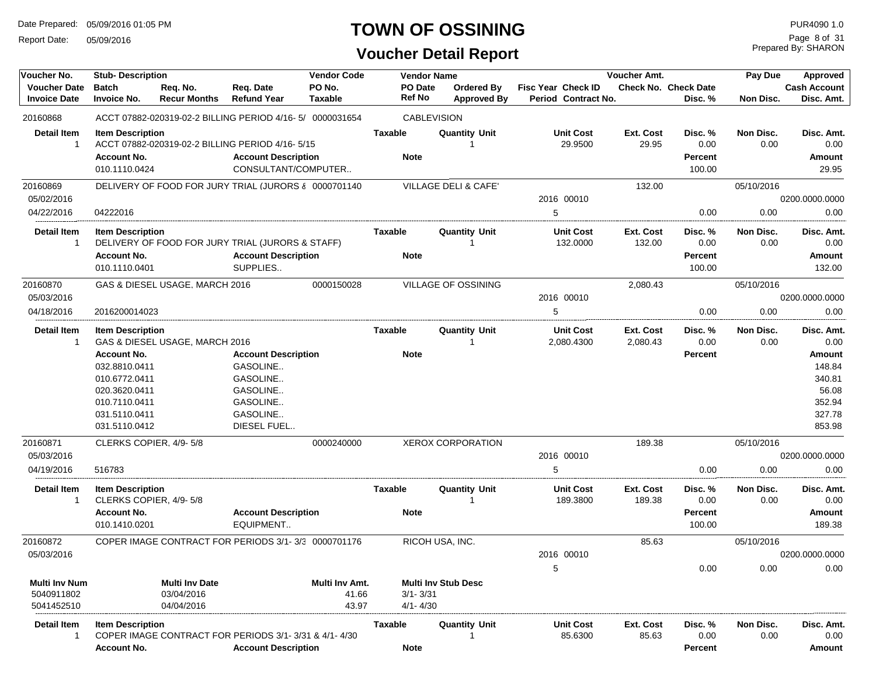Report Date: 05/09/2016

### **TOWN OF OSSINING**

### **Voucher Detail Report**

Prepared By: SHARON Page 8 of 31

| Voucher No.                                      | <b>Stub-Description</b>                                                                                                                             |                                                   |                                                                                                       | <b>Vendor Code</b>               |                              | <b>Vendor Name</b>               |                                           | Voucher Amt.          |                                             | Pay Due           | Approved                                                                                       |
|--------------------------------------------------|-----------------------------------------------------------------------------------------------------------------------------------------------------|---------------------------------------------------|-------------------------------------------------------------------------------------------------------|----------------------------------|------------------------------|----------------------------------|-------------------------------------------|-----------------------|---------------------------------------------|-------------------|------------------------------------------------------------------------------------------------|
| <b>Voucher Date</b><br><b>Invoice Date</b>       | <b>Batch</b><br><b>Invoice No.</b>                                                                                                                  | Req. No.<br><b>Recur Months</b>                   | Req. Date<br><b>Refund Year</b>                                                                       | PO No.<br><b>Taxable</b>         | PO Date<br><b>Ref No</b>     | Ordered By<br><b>Approved By</b> | Fisc Year Check ID<br>Period Contract No. |                       | <b>Check No. Check Date</b><br>Disc. %      | Non Disc.         | <b>Cash Account</b><br>Disc. Amt.                                                              |
| 20160868                                         |                                                                                                                                                     |                                                   | ACCT 07882-020319-02-2 BILLING PERIOD 4/16-5/ 0000031654                                              |                                  |                              | <b>CABLEVISION</b>               |                                           |                       |                                             |                   |                                                                                                |
| <b>Detail Item</b><br>$\mathbf{1}$               | <b>Item Description</b><br><b>Account No.</b><br>010.1110.0424                                                                                      |                                                   | ACCT 07882-020319-02-2 BILLING PERIOD 4/16-5/15<br><b>Account Description</b><br>CONSULTANT/COMPUTER  |                                  | <b>Taxable</b><br>Note       | <b>Quantity Unit</b>             | <b>Unit Cost</b><br>29.9500               | Ext. Cost<br>29.95    | Disc. %<br>0.00<br><b>Percent</b><br>100.00 | Non Disc.<br>0.00 | Disc. Amt.<br>0.00<br>Amount<br>29.95                                                          |
| 20160869                                         |                                                                                                                                                     |                                                   | DELIVERY OF FOOD FOR JURY TRIAL (JURORS & 0000701140)                                                 |                                  |                              | VILLAGE DELI & CAFE'             |                                           | 132.00                |                                             | 05/10/2016        |                                                                                                |
| 05/02/2016                                       |                                                                                                                                                     |                                                   |                                                                                                       |                                  |                              |                                  | 2016 00010                                |                       |                                             |                   | 0200.0000.0000                                                                                 |
| 04/22/2016                                       | 04222016                                                                                                                                            |                                                   |                                                                                                       |                                  |                              |                                  | 5                                         |                       | 0.00                                        | 0.00              | 0.00                                                                                           |
| <b>Detail Item</b><br>-1                         | <b>Item Description</b><br><b>Account No.</b><br>010.1110.0401                                                                                      |                                                   | DELIVERY OF FOOD FOR JURY TRIAL (JURORS & STAFF)<br><b>Account Description</b><br>SUPPLIES            |                                  | Taxable<br><b>Note</b>       | <b>Quantity Unit</b>             | <b>Unit Cost</b><br>132.0000              | Ext. Cost<br>132.00   | Disc. %<br>0.00<br><b>Percent</b><br>100.00 | Non Disc.<br>0.00 | Disc. Amt.<br>0.00<br><b>Amount</b><br>132.00                                                  |
| 20160870                                         |                                                                                                                                                     | GAS & DIESEL USAGE, MARCH 2016                    |                                                                                                       | 0000150028                       |                              | <b>VILLAGE OF OSSINING</b>       |                                           | 2,080.43              |                                             | 05/10/2016        |                                                                                                |
| 05/03/2016                                       |                                                                                                                                                     |                                                   |                                                                                                       |                                  |                              |                                  | 2016 00010                                |                       |                                             |                   | 0200.0000.0000                                                                                 |
| 04/18/2016                                       | 2016200014023                                                                                                                                       |                                                   |                                                                                                       |                                  |                              |                                  | 5                                         |                       | 0.00                                        | 0.00              | 0.00                                                                                           |
| <b>Detail Item</b><br>$\mathbf{1}$               | <b>Item Description</b><br><b>Account No.</b><br>032.8810.0411<br>010.6772.0411<br>020.3620.0411<br>010.7110.0411<br>031.5110.0411<br>031.5110.0412 | GAS & DIESEL USAGE, MARCH 2016                    | <b>Account Description</b><br>GASOLINE<br>GASOLINE<br>GASOLINE<br>GASOLINE<br>GASOLINE<br>DIESEL FUEL |                                  | Taxable<br><b>Note</b>       | <b>Quantity Unit</b>             | <b>Unit Cost</b><br>2,080.4300            | Ext. Cost<br>2,080.43 | Disc. %<br>0.00<br><b>Percent</b>           | Non Disc.<br>0.00 | Disc. Amt.<br>0.00<br><b>Amount</b><br>148.84<br>340.81<br>56.08<br>352.94<br>327.78<br>853.98 |
| 20160871                                         | CLERKS COPIER, 4/9-5/8                                                                                                                              |                                                   |                                                                                                       | 0000240000                       |                              | <b>XEROX CORPORATION</b>         |                                           | 189.38                |                                             | 05/10/2016        |                                                                                                |
| 05/03/2016                                       |                                                                                                                                                     |                                                   |                                                                                                       |                                  |                              |                                  | 2016 00010                                |                       |                                             |                   | 0200.0000.0000                                                                                 |
| 04/19/2016                                       | 516783                                                                                                                                              |                                                   |                                                                                                       |                                  |                              |                                  | 5                                         |                       | 0.00                                        | 0.00              | 0.00                                                                                           |
| <b>Detail Item</b><br>$\mathbf{1}$               | <b>Item Description</b><br>CLERKS COPIER, 4/9-5/8<br><b>Account No.</b><br>010.1410.0201                                                            |                                                   | <b>Account Description</b><br>EQUIPMENT                                                               |                                  | Taxable<br>Note              | <b>Quantity Unit</b><br>-1       | <b>Unit Cost</b><br>189.3800              | Ext. Cost<br>189.38   | Disc. %<br>0.00<br><b>Percent</b><br>100.00 | Non Disc.<br>0.00 | Disc. Amt.<br>0.00<br>Amount<br>189.38                                                         |
| 20160872                                         |                                                                                                                                                     |                                                   | COPER IMAGE CONTRACT FOR PERIODS 3/1-3/3 0000701176                                                   |                                  |                              | RICOH USA, INC.                  |                                           | 85.63                 |                                             | 05/10/2016        |                                                                                                |
| 05/03/2016                                       |                                                                                                                                                     |                                                   |                                                                                                       |                                  |                              |                                  | 2016 00010                                |                       |                                             |                   | 0200.0000.0000                                                                                 |
| <b>Multi Inv Num</b><br>5040911802<br>5041452510 |                                                                                                                                                     | <b>Multi Inv Date</b><br>03/04/2016<br>04/04/2016 |                                                                                                       | Multi Inv Amt.<br>41.66<br>43.97 | $3/1 - 3/31$<br>$4/1 - 4/30$ | <b>Multi Inv Stub Desc</b>       | 5                                         |                       | 0.00                                        | 0.00              | 0.00                                                                                           |
| Detail Item<br>$\mathbf{1}$                      | <b>Item Description</b><br><b>Account No.</b>                                                                                                       |                                                   | COPER IMAGE CONTRACT FOR PERIODS 3/1-3/31 & 4/1-4/30<br><b>Account Description</b>                    |                                  | Taxable<br><b>Note</b>       | <b>Quantity Unit</b>             | Unit Cost<br>85.6300                      | Ext. Cost<br>85.63    | Disc. %<br>0.00<br><b>Percent</b>           | Non Disc.<br>0.00 | Disc. Amt.<br>0.00<br>Amount                                                                   |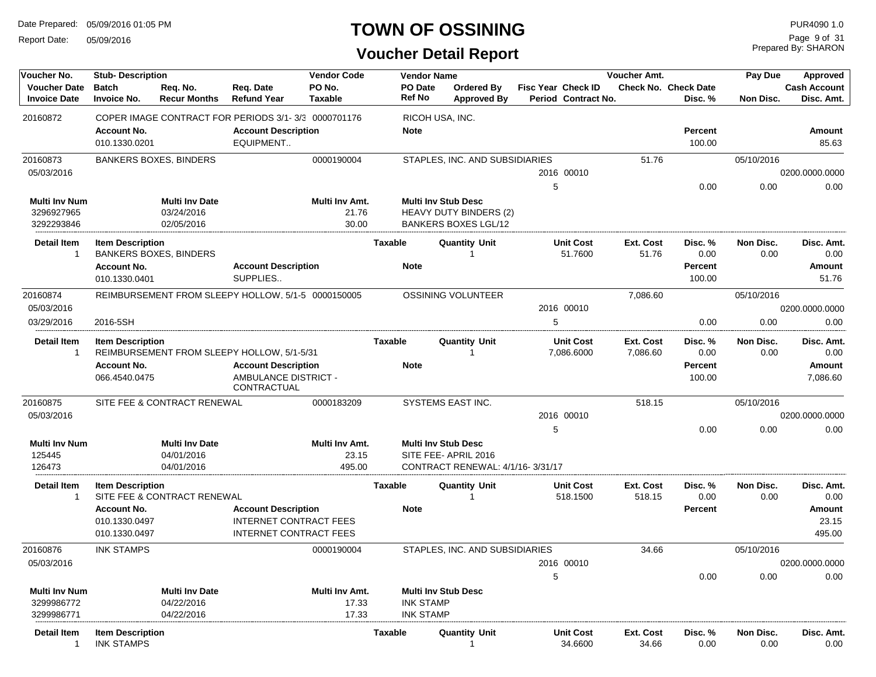Report Date: 05/09/2016

### **TOWN OF OSSINING**

Prepared By: SHARON Page 9 of 31

| Voucher No.                                | <b>Stub-Description</b>                      |                                 |                                                     | <b>Vendor Code</b>       |                          | <b>Vendor Name</b>                                      |                                         |   |                                           | Voucher Amt.          |                                        | Pay Due           | Approved                          |
|--------------------------------------------|----------------------------------------------|---------------------------------|-----------------------------------------------------|--------------------------|--------------------------|---------------------------------------------------------|-----------------------------------------|---|-------------------------------------------|-----------------------|----------------------------------------|-------------------|-----------------------------------|
| <b>Voucher Date</b><br><b>Invoice Date</b> | <b>Batch</b><br><b>Invoice No.</b>           | Req. No.<br><b>Recur Months</b> | Req. Date<br><b>Refund Year</b>                     | PO No.<br><b>Taxable</b> | PO Date<br><b>Ref No</b> |                                                         | <b>Ordered By</b><br><b>Approved By</b> |   | Fisc Year Check ID<br>Period Contract No. |                       | <b>Check No. Check Date</b><br>Disc. % | Non Disc.         | <b>Cash Account</b><br>Disc. Amt. |
| 20160872                                   |                                              |                                 | COPER IMAGE CONTRACT FOR PERIODS 3/1-3/3 0000701176 |                          |                          | RICOH USA, INC.                                         |                                         |   |                                           |                       |                                        |                   |                                   |
|                                            | <b>Account No.</b><br>010.1330.0201          |                                 | <b>Account Description</b><br>EQUIPMENT             |                          | <b>Note</b>              |                                                         |                                         |   |                                           |                       | <b>Percent</b><br>100.00               |                   | <b>Amount</b><br>85.63            |
| 20160873                                   |                                              | <b>BANKERS BOXES, BINDERS</b>   |                                                     | 0000190004               |                          | STAPLES, INC. AND SUBSIDIARIES                          |                                         |   |                                           | 51.76                 |                                        | 05/10/2016        |                                   |
| 05/03/2016                                 |                                              |                                 |                                                     |                          |                          |                                                         |                                         |   | 2016 00010                                |                       |                                        |                   | 0200.0000.0000                    |
|                                            |                                              |                                 |                                                     |                          |                          |                                                         |                                         |   | 5                                         |                       | 0.00                                   | 0.00              | 0.00                              |
| <b>Multi Inv Num</b>                       |                                              | <b>Multi Inv Date</b>           |                                                     | Multi Inv Amt.           |                          | <b>Multi Inv Stub Desc</b>                              |                                         |   |                                           |                       |                                        |                   |                                   |
| 3296927965<br>3292293846                   |                                              | 03/24/2016<br>02/05/2016        |                                                     | 21.76<br>30.00           |                          | HEAVY DUTY BINDERS (2)<br><b>BANKERS BOXES LGL/12</b>   |                                         |   |                                           |                       |                                        |                   |                                   |
|                                            |                                              |                                 |                                                     |                          |                          |                                                         |                                         |   |                                           |                       |                                        |                   |                                   |
| <b>Detail Item</b><br>$\overline{1}$       | <b>Item Description</b>                      |                                 |                                                     |                          | Taxable                  | <b>Quantity Unit</b>                                    |                                         |   | Unit Cost                                 | Ext. Cost             | Disc. %                                | Non Disc.         | Disc. Amt.                        |
|                                            | <b>Account No.</b>                           | <b>BANKERS BOXES, BINDERS</b>   | <b>Account Description</b>                          |                          | <b>Note</b>              |                                                         |                                         |   | 51.7600                                   | 51.76                 | 0.00<br><b>Percent</b>                 | 0.00              | 0.00<br><b>Amount</b>             |
|                                            | 010.1330.0401                                |                                 | SUPPLIES                                            |                          |                          |                                                         |                                         |   |                                           |                       | 100.00                                 |                   | 51.76                             |
| 20160874                                   |                                              |                                 | REIMBURSEMENT FROM SLEEPY HOLLOW, 5/1-5 0000150005  |                          |                          | <b>OSSINING VOLUNTEER</b>                               |                                         |   |                                           | 7,086.60              |                                        | 05/10/2016        |                                   |
| 05/03/2016                                 |                                              |                                 |                                                     |                          |                          |                                                         |                                         |   | 2016 00010                                |                       |                                        |                   | 0200.0000.0000                    |
| 03/29/2016                                 | 2016-5SH                                     |                                 |                                                     |                          |                          |                                                         |                                         |   | 5                                         |                       | 0.00                                   | 0.00              | 0.00                              |
| <b>Detail Item</b><br>-1                   | <b>Item Description</b>                      |                                 | REIMBURSEMENT FROM SLEEPY HOLLOW, 5/1-5/31          |                          | <b>Taxable</b>           | <b>Quantity Unit</b>                                    |                                         |   | <b>Unit Cost</b><br>7,086.6000            | Ext. Cost<br>7,086.60 | Disc. %<br>0.00                        | Non Disc.<br>0.00 | Disc. Amt.<br>0.00                |
|                                            | <b>Account No.</b>                           |                                 | <b>Account Description</b>                          |                          | <b>Note</b>              |                                                         |                                         |   |                                           |                       | Percent                                |                   | <b>Amount</b>                     |
|                                            | 066.4540.0475                                |                                 | AMBULANCE DISTRICT -<br>CONTRACTUAL                 |                          |                          |                                                         |                                         |   |                                           |                       | 100.00                                 |                   | 7,086.60                          |
| 20160875                                   |                                              | SITE FEE & CONTRACT RENEWAL     |                                                     | 0000183209               |                          | SYSTEMS EAST INC.                                       |                                         |   |                                           | 518.15                |                                        | 05/10/2016        |                                   |
| 05/03/2016                                 |                                              |                                 |                                                     |                          |                          |                                                         |                                         |   | 2016 00010                                |                       |                                        |                   | 0200.0000.0000                    |
|                                            |                                              |                                 |                                                     |                          |                          |                                                         |                                         | 5 |                                           |                       | 0.00                                   | 0.00              | 0.00                              |
| <b>Multi Inv Num</b>                       |                                              | <b>Multi Inv Date</b>           |                                                     | Multi Inv Amt.           |                          | <b>Multi Inv Stub Desc</b>                              |                                         |   |                                           |                       |                                        |                   |                                   |
| 125445<br>126473                           |                                              | 04/01/2016<br>04/01/2016        |                                                     | 23.15<br>495.00          |                          | SITE FEE-APRIL 2016<br>CONTRACT RENEWAL: 4/1/16-3/31/17 |                                         |   |                                           |                       |                                        |                   |                                   |
|                                            |                                              |                                 |                                                     |                          |                          |                                                         |                                         |   |                                           |                       |                                        |                   |                                   |
| <b>Detail Item</b><br>-1                   | <b>Item Description</b>                      | SITE FEE & CONTRACT RENEWAL     |                                                     |                          | Taxable                  | <b>Quantity Unit</b>                                    |                                         |   | <b>Unit Cost</b><br>518.1500              | Ext. Cost<br>518.15   | Disc. %<br>0.00                        | Non Disc.<br>0.00 | Disc. Amt.<br>0.00                |
|                                            | <b>Account No.</b>                           |                                 | <b>Account Description</b>                          |                          | <b>Note</b>              |                                                         |                                         |   |                                           |                       | <b>Percent</b>                         |                   | <b>Amount</b>                     |
|                                            | 010.1330.0497                                |                                 | <b>INTERNET CONTRACT FEES</b>                       |                          |                          |                                                         |                                         |   |                                           |                       |                                        |                   | 23.15                             |
|                                            | 010.1330.0497                                |                                 | <b>INTERNET CONTRACT FEES</b>                       |                          |                          |                                                         |                                         |   |                                           |                       |                                        |                   | 495.00                            |
| 20160876                                   | <b>INK STAMPS</b>                            |                                 |                                                     | 0000190004               |                          | STAPLES, INC. AND SUBSIDIARIES                          |                                         |   |                                           | 34.66                 |                                        | 05/10/2016        |                                   |
| 05/03/2016                                 |                                              |                                 |                                                     |                          |                          |                                                         |                                         |   | 2016 00010                                |                       |                                        |                   | 0200.0000.0000                    |
|                                            |                                              |                                 |                                                     |                          |                          |                                                         |                                         |   | 5                                         |                       | 0.00                                   | 0.00              | 0.00                              |
| <b>Multi Inv Num</b>                       |                                              | Multi Inv Date                  |                                                     | Multi Inv Amt.           |                          | <b>Multi Inv Stub Desc</b>                              |                                         |   |                                           |                       |                                        |                   |                                   |
| 3299986772                                 |                                              | 04/22/2016                      |                                                     | 17.33                    |                          | <b>INK STAMP</b>                                        |                                         |   |                                           |                       |                                        |                   |                                   |
| 3299986771                                 |                                              | 04/22/2016                      |                                                     | 17.33                    |                          | <b>INK STAMP</b>                                        |                                         |   |                                           |                       |                                        |                   |                                   |
| Detail Item<br>1                           | <b>Item Description</b><br><b>INK STAMPS</b> |                                 |                                                     |                          | <b>Taxable</b>           | <b>Quantity Unit</b>                                    |                                         |   | Unit Cost<br>34.6600                      | Ext. Cost<br>34.66    | Disc. %<br>0.00                        | Non Disc.<br>0.00 | Disc. Amt.<br>0.00                |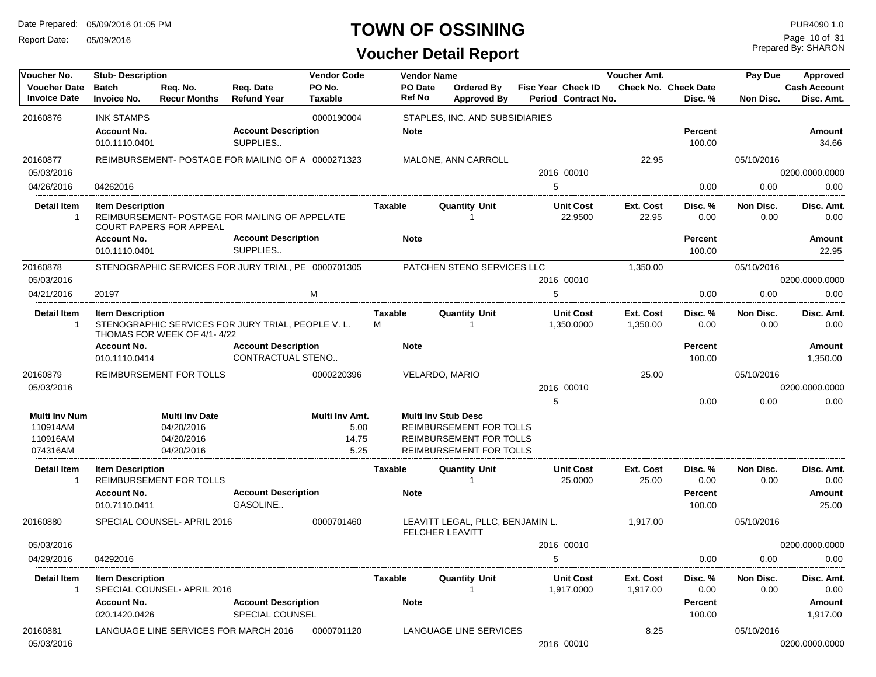Report Date: 05/09/2016

#### **TOWN OF OSSINING**

Prepared By: SHARON Page 10 of 31

| Voucher No.                                | <b>Stub-Description</b>             |                                       |                                                     | <b>Vendor Code</b> |                     | <b>Vendor Name</b> |                                                            |   |                                                  | Voucher Amt.          |                                        | Pay Due           | Approved                          |
|--------------------------------------------|-------------------------------------|---------------------------------------|-----------------------------------------------------|--------------------|---------------------|--------------------|------------------------------------------------------------|---|--------------------------------------------------|-----------------------|----------------------------------------|-------------------|-----------------------------------|
| <b>Voucher Date</b><br><b>Invoice Date</b> | <b>Batch</b><br><b>Invoice No.</b>  | Req. No.<br><b>Recur Months</b>       | Req. Date<br><b>Refund Year</b>                     | PO No.<br>Taxable  |                     | PO Date<br>Ref No  | Ordered By<br><b>Approved By</b>                           |   | <b>Fisc Year Check ID</b><br>Period Contract No. |                       | <b>Check No. Check Date</b><br>Disc. % | Non Disc.         | <b>Cash Account</b><br>Disc. Amt. |
| 20160876                                   | <b>INK STAMPS</b>                   |                                       |                                                     | 0000190004         |                     |                    | STAPLES, INC. AND SUBSIDIARIES                             |   |                                                  |                       |                                        |                   |                                   |
|                                            | <b>Account No.</b>                  |                                       | <b>Account Description</b>                          |                    |                     | <b>Note</b>        |                                                            |   |                                                  |                       | Percent                                |                   | Amount                            |
|                                            | 010.1110.0401                       |                                       | SUPPLIES                                            |                    |                     |                    |                                                            |   |                                                  |                       | 100.00                                 |                   | 34.66                             |
| 20160877                                   |                                     |                                       | REIMBURSEMENT- POSTAGE FOR MAILING OF A 0000271323  |                    |                     |                    | MALONE, ANN CARROLL                                        |   |                                                  | 22.95                 |                                        | 05/10/2016        |                                   |
| 05/03/2016                                 |                                     |                                       |                                                     |                    |                     |                    |                                                            |   | 2016 00010                                       |                       |                                        |                   | 0200.0000.0000                    |
| 04/26/2016                                 | 04262016                            |                                       |                                                     |                    |                     |                    |                                                            | 5 |                                                  |                       | 0.00                                   | 0.00              | 0.00                              |
| <b>Detail Item</b><br>-1                   | <b>Item Description</b>             | <b>COURT PAPERS FOR APPEAL</b>        | REIMBURSEMENT- POSTAGE FOR MAILING OF APPELATE      |                    | Taxable             |                    | <b>Quantity Unit</b>                                       |   | <b>Unit Cost</b><br>22.9500                      | Ext. Cost<br>22.95    | Disc. %<br>0.00                        | Non Disc.<br>0.00 | Disc. Amt.<br>0.00                |
|                                            | <b>Account No.</b><br>010.1110.0401 |                                       | <b>Account Description</b><br>SUPPLIES              |                    |                     | <b>Note</b>        |                                                            |   |                                                  |                       | Percent<br>100.00                      |                   | Amount<br>22.95                   |
| 20160878                                   |                                     |                                       | STENOGRAPHIC SERVICES FOR JURY TRIAL, PE 0000701305 |                    |                     |                    | PATCHEN STENO SERVICES LLC                                 |   |                                                  | 1,350.00              |                                        | 05/10/2016        |                                   |
| 05/03/2016                                 |                                     |                                       |                                                     |                    |                     |                    |                                                            |   | 2016 00010                                       |                       |                                        |                   | 0200.0000.0000                    |
| 04/21/2016                                 | 20197                               |                                       |                                                     | M                  |                     |                    |                                                            | 5 |                                                  |                       | 0.00                                   | 0.00              | 0.00                              |
| Detail Item<br>-1                          | <b>Item Description</b>             | THOMAS FOR WEEK OF 4/1-4/22           | STENOGRAPHIC SERVICES FOR JURY TRIAL, PEOPLE V. L.  |                    | <b>Taxable</b><br>м |                    | <b>Quantity Unit</b><br>1                                  |   | <b>Unit Cost</b><br>1,350.0000                   | Ext. Cost<br>1,350.00 | Disc. %<br>0.00                        | Non Disc.<br>0.00 | Disc. Amt.<br>0.00                |
|                                            | <b>Account No.</b>                  |                                       | <b>Account Description</b>                          |                    |                     | <b>Note</b>        |                                                            |   |                                                  |                       | <b>Percent</b>                         |                   | Amount                            |
|                                            | 010.1110.0414                       |                                       | <b>CONTRACTUAL STENO</b>                            |                    |                     |                    |                                                            |   |                                                  |                       | 100.00                                 |                   | 1,350.00                          |
| 20160879                                   |                                     | REIMBURSEMENT FOR TOLLS               |                                                     | 0000220396         |                     |                    | VELARDO, MARIO                                             |   |                                                  | 25.00                 |                                        | 05/10/2016        |                                   |
| 05/03/2016                                 |                                     |                                       |                                                     |                    |                     |                    |                                                            |   | 2016 00010                                       |                       |                                        |                   | 0200.0000.0000                    |
|                                            |                                     |                                       |                                                     |                    |                     |                    |                                                            | 5 |                                                  |                       | 0.00                                   | 0.00              | 0.00                              |
| <b>Multi Inv Num</b>                       |                                     | <b>Multi Inv Date</b>                 |                                                     | Multi Inv Amt.     |                     |                    | <b>Multi Inv Stub Desc</b>                                 |   |                                                  |                       |                                        |                   |                                   |
| 110914AM                                   |                                     | 04/20/2016                            |                                                     | 5.00               |                     |                    | REIMBURSEMENT FOR TOLLS                                    |   |                                                  |                       |                                        |                   |                                   |
| 110916AM                                   |                                     | 04/20/2016                            |                                                     | 14.75              |                     |                    | REIMBURSEMENT FOR TOLLS                                    |   |                                                  |                       |                                        |                   |                                   |
| 074316AM                                   |                                     | 04/20/2016                            |                                                     | 5.25               |                     |                    | REIMBURSEMENT FOR TOLLS                                    |   |                                                  |                       |                                        |                   |                                   |
| Detail Item<br>-1                          | <b>Item Description</b>             | REIMBURSEMENT FOR TOLLS               |                                                     |                    | Taxable             |                    | <b>Quantity Unit</b>                                       |   | <b>Unit Cost</b><br>25.0000                      | Ext. Cost<br>25.00    | Disc. %<br>0.00                        | Non Disc.<br>0.00 | Disc. Amt.<br>0.00                |
|                                            | <b>Account No.</b><br>010.7110.0411 |                                       | <b>Account Description</b><br>GASOLINE              |                    |                     | <b>Note</b>        |                                                            |   |                                                  |                       | Percent<br>100.00                      |                   | Amount<br>25.00                   |
| 20160880                                   |                                     | SPECIAL COUNSEL- APRIL 2016           |                                                     | 0000701460         |                     |                    | LEAVITT LEGAL, PLLC, BENJAMIN L.<br><b>FELCHER LEAVITT</b> |   |                                                  | 1,917.00              |                                        | 05/10/2016        |                                   |
| 05/03/2016                                 |                                     |                                       |                                                     |                    |                     |                    |                                                            |   | 2016 00010                                       |                       |                                        |                   | 0200.0000.0000                    |
| 04/29/2016                                 | 04292016                            |                                       |                                                     |                    |                     |                    |                                                            | 5 |                                                  |                       | 0.00                                   | 0.00              | 0.00                              |
| <b>Detail Item</b><br>1                    | <b>Item Description</b>             | SPECIAL COUNSEL- APRIL 2016           |                                                     |                    | Taxable             |                    | <b>Quantity Unit</b>                                       |   | <b>Unit Cost</b><br>1,917.0000                   | Ext. Cost<br>1,917.00 | Disc. %<br>0.00                        | Non Disc.<br>0.00 | Disc. Amt.<br>0.00                |
|                                            | <b>Account No.</b><br>020.1420.0426 |                                       | <b>Account Description</b><br>SPECIAL COUNSEL       |                    |                     | <b>Note</b>        |                                                            |   |                                                  |                       | Percent<br>100.00                      |                   | Amount<br>1,917.00                |
| 20160881                                   |                                     | LANGUAGE LINE SERVICES FOR MARCH 2016 |                                                     | 0000701120         |                     |                    | LANGUAGE LINE SERVICES                                     |   |                                                  | 8.25                  |                                        | 05/10/2016        |                                   |
| 05/03/2016                                 |                                     |                                       |                                                     |                    |                     |                    |                                                            |   | 2016 00010                                       |                       |                                        |                   | 0200.0000.0000                    |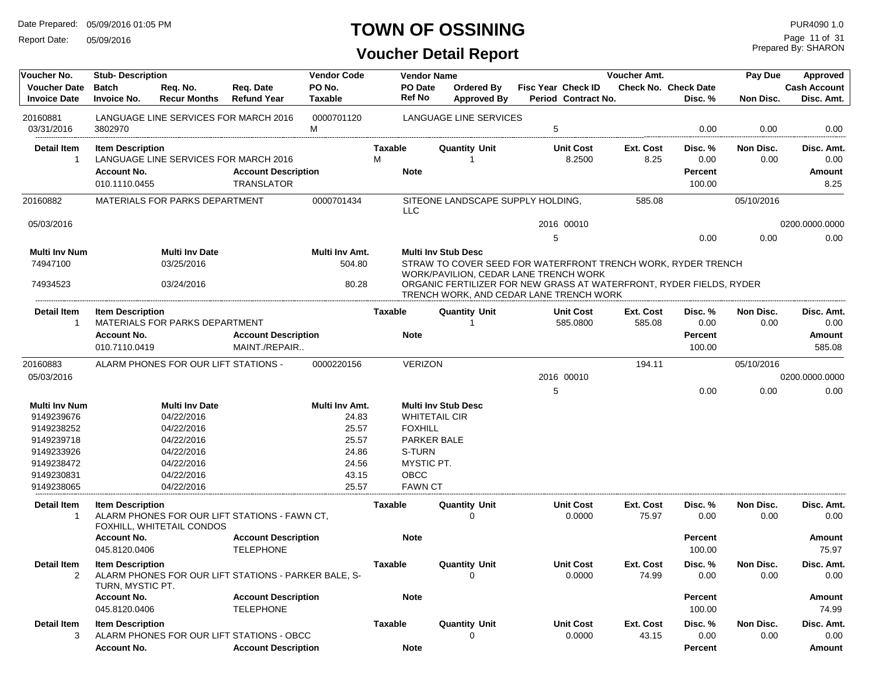Report Date: 05/09/2016

### **TOWN OF OSSINING**

Prepared By: SHARON Page 11 of 31

| Voucher No.                                | <b>Stub-Description</b>                     |                                                   |                                                      | <b>Vendor Code</b>                |                   | <b>Vendor Name</b>                  |                                                                                                                                                                                                                         | Voucher Amt.       |                                        | Pay Due                  | Approved                          |
|--------------------------------------------|---------------------------------------------|---------------------------------------------------|------------------------------------------------------|-----------------------------------|-------------------|-------------------------------------|-------------------------------------------------------------------------------------------------------------------------------------------------------------------------------------------------------------------------|--------------------|----------------------------------------|--------------------------|-----------------------------------|
| <b>Voucher Date</b><br><b>Invoice Date</b> | <b>Batch</b><br><b>Invoice No.</b>          | Req. No.<br><b>Recur Months</b>                   | Req. Date<br><b>Refund Year</b>                      | PO No.<br>Taxable                 | PO Date<br>Ref No | Ordered By<br><b>Approved By</b>    | Fisc Year Check ID<br>Period Contract No.                                                                                                                                                                               |                    | <b>Check No. Check Date</b><br>Disc. % | Non Disc.                | <b>Cash Account</b><br>Disc. Amt. |
| 20160881                                   |                                             |                                                   | LANGUAGE LINE SERVICES FOR MARCH 2016                | 0000701120                        |                   | LANGUAGE LINE SERVICES              |                                                                                                                                                                                                                         |                    |                                        |                          |                                   |
| 03/31/2016                                 | 3802970                                     |                                                   |                                                      | М                                 |                   |                                     | 5                                                                                                                                                                                                                       |                    | 0.00                                   | 0.00                     | 0.00                              |
| <b>Detail Item</b>                         | <b>Item Description</b>                     |                                                   |                                                      |                                   | Taxable           | Quantity Unit                       | <b>Unit Cost</b>                                                                                                                                                                                                        | Ext. Cost          | Disc. %                                | Non Disc.                | Disc. Amt.                        |
| 1                                          |                                             | LANGUAGE LINE SERVICES FOR MARCH 2016             |                                                      |                                   | М                 | -1                                  | 8.2500                                                                                                                                                                                                                  | 8.25               | 0.00                                   | 0.00                     | 0.00                              |
|                                            | <b>Account No.</b>                          |                                                   | <b>Account Description</b>                           |                                   | <b>Note</b>       |                                     |                                                                                                                                                                                                                         |                    | <b>Percent</b>                         |                          | Amount                            |
|                                            | 010.1110.0455                               |                                                   | <b>TRANSLATOR</b>                                    |                                   |                   |                                     |                                                                                                                                                                                                                         |                    | 100.00                                 |                          | 8.25                              |
| 20160882                                   |                                             | MATERIALS FOR PARKS DEPARTMENT                    |                                                      | 0000701434                        | <b>LLC</b>        | SITEONE LANDSCAPE SUPPLY HOLDING,   |                                                                                                                                                                                                                         | 585.08             |                                        | 05/10/2016               |                                   |
| 05/03/2016                                 |                                             |                                                   |                                                      |                                   |                   |                                     | 2016 00010                                                                                                                                                                                                              |                    |                                        |                          | 0200.0000.0000                    |
|                                            |                                             |                                                   |                                                      |                                   |                   |                                     | 5                                                                                                                                                                                                                       |                    | 0.00                                   | 0.00                     | 0.00                              |
| Multi Inv Num<br>74947100<br>74934523      |                                             | <b>Multi Inv Date</b><br>03/25/2016<br>03/24/2016 |                                                      | Multi Inv Amt.<br>504.80<br>80.28 |                   | <b>Multi Inv Stub Desc</b>          | STRAW TO COVER SEED FOR WATERFRONT TRENCH WORK, RYDER TRENCH<br>WORK/PAVILION, CEDAR LANE TRENCH WORK<br>ORGANIC FERTILIZER FOR NEW GRASS AT WATERFRONT, RYDER FIELDS, RYDER<br>TRENCH WORK, AND CEDAR LANE TRENCH WORK |                    |                                        |                          |                                   |
| Detail Item                                | <b>Item Description</b>                     |                                                   |                                                      |                                   | <b>Taxable</b>    | <b>Quantity Unit</b>                | <b>Unit Cost</b>                                                                                                                                                                                                        | Ext. Cost          | Disc. %                                | Non Disc.                | Disc. Amt.                        |
| $\mathbf{1}$                               |                                             | MATERIALS FOR PARKS DEPARTMENT                    |                                                      |                                   |                   |                                     | 585.0800                                                                                                                                                                                                                | 585.08             | 0.00                                   | 0.00                     | 0.00                              |
|                                            | <b>Account No.</b>                          |                                                   | <b>Account Description</b>                           |                                   | <b>Note</b>       |                                     |                                                                                                                                                                                                                         |                    | <b>Percent</b>                         |                          | Amount                            |
|                                            | 010.7110.0419                               |                                                   | MAINT./REPAIR                                        |                                   |                   |                                     |                                                                                                                                                                                                                         |                    | 100.00                                 |                          | 585.08                            |
| 20160883                                   |                                             | ALARM PHONES FOR OUR LIFT STATIONS -              |                                                      | 0000220156                        | <b>VERIZON</b>    |                                     |                                                                                                                                                                                                                         | 194.11             |                                        | 05/10/2016               |                                   |
| 05/03/2016                                 |                                             |                                                   |                                                      |                                   |                   |                                     | 2016 00010                                                                                                                                                                                                              |                    |                                        |                          | 0200.0000.0000                    |
|                                            |                                             |                                                   |                                                      |                                   |                   |                                     | 5                                                                                                                                                                                                                       |                    | 0.00                                   | 0.00                     | 0.00                              |
| <b>Multi Inv Num</b>                       |                                             | <b>Multi Inv Date</b>                             |                                                      | Multi Inv Amt.                    |                   | <b>Multi Inv Stub Desc</b>          |                                                                                                                                                                                                                         |                    |                                        |                          |                                   |
| 9149239676                                 |                                             | 04/22/2016                                        |                                                      | 24.83                             |                   | <b>WHITETAIL CIR</b>                |                                                                                                                                                                                                                         |                    |                                        |                          |                                   |
| 9149238252                                 |                                             | 04/22/2016                                        |                                                      | 25.57                             | <b>FOXHILL</b>    |                                     |                                                                                                                                                                                                                         |                    |                                        |                          |                                   |
| 9149239718                                 |                                             | 04/22/2016                                        |                                                      | 25.57                             |                   | PARKER BALE                         |                                                                                                                                                                                                                         |                    |                                        |                          |                                   |
| 9149233926                                 |                                             | 04/22/2016                                        |                                                      | 24.86                             | S-TURN            |                                     |                                                                                                                                                                                                                         |                    |                                        |                          |                                   |
| 9149238472                                 |                                             | 04/22/2016                                        |                                                      | 24.56                             |                   | MYSTIC PT.                          |                                                                                                                                                                                                                         |                    |                                        |                          |                                   |
| 9149230831                                 |                                             | 04/22/2016                                        |                                                      | 43.15                             | OBCC              |                                     |                                                                                                                                                                                                                         |                    |                                        |                          |                                   |
| 9149238065                                 |                                             | 04/22/2016                                        |                                                      | 25.57                             | <b>FAWN CT</b>    |                                     |                                                                                                                                                                                                                         |                    |                                        |                          |                                   |
| Detail Item                                | <b>Item Description</b>                     |                                                   |                                                      |                                   | <b>Taxable</b>    | <b>Quantity Unit</b>                | <b>Unit Cost</b>                                                                                                                                                                                                        | Ext. Cost          | Disc. %                                | Non Disc.                | Disc. Amt.                        |
| 1                                          |                                             | FOXHILL, WHITETAIL CONDOS                         | ALARM PHONES FOR OUR LIFT STATIONS - FAWN CT,        |                                   |                   | $\Omega$                            | 0.0000                                                                                                                                                                                                                  | 75.97              | 0.00                                   | 0.00                     | 0.00                              |
|                                            | <b>Account No.</b>                          |                                                   | <b>Account Description</b>                           |                                   | <b>Note</b>       |                                     |                                                                                                                                                                                                                         |                    | <b>Percent</b>                         |                          | Amount                            |
|                                            | 045.8120.0406                               |                                                   | <b>TELEPHONE</b>                                     |                                   |                   |                                     |                                                                                                                                                                                                                         |                    | 100.00                                 |                          | 75.97                             |
| Detail Item<br>2                           | <b>Item Description</b><br>TURN, MYSTIC PT. |                                                   | ALARM PHONES FOR OUR LIFT STATIONS - PARKER BALE, S- |                                   | Taxable           | <b>Quantity Unit</b><br>$\mathbf 0$ | <b>Unit Cost</b><br>0.0000                                                                                                                                                                                              | Ext. Cost<br>74.99 | Disc. %<br>0.00                        | <b>Non Disc.</b><br>0.00 | Disc. Amt.<br>0.00                |
|                                            | <b>Account No.</b>                          |                                                   | <b>Account Description</b>                           |                                   | <b>Note</b>       |                                     |                                                                                                                                                                                                                         |                    | <b>Percent</b>                         |                          | Amount                            |
|                                            | 045.8120.0406                               |                                                   | <b>TELEPHONE</b>                                     |                                   |                   |                                     |                                                                                                                                                                                                                         |                    | 100.00                                 |                          | 74.99                             |
| <b>Detail Item</b>                         | <b>Item Description</b>                     |                                                   |                                                      |                                   | <b>Taxable</b>    | <b>Quantity Unit</b>                | <b>Unit Cost</b>                                                                                                                                                                                                        | <b>Ext. Cost</b>   | Disc. %                                | Non Disc.                | Disc. Amt.                        |
| 3                                          |                                             |                                                   | ALARM PHONES FOR OUR LIFT STATIONS - OBCC            |                                   |                   | 0                                   | 0.0000                                                                                                                                                                                                                  | 43.15              | 0.00                                   | 0.00                     | 0.00                              |
|                                            | <b>Account No.</b>                          |                                                   | <b>Account Description</b>                           |                                   | <b>Note</b>       |                                     |                                                                                                                                                                                                                         |                    | Percent                                |                          | Amount                            |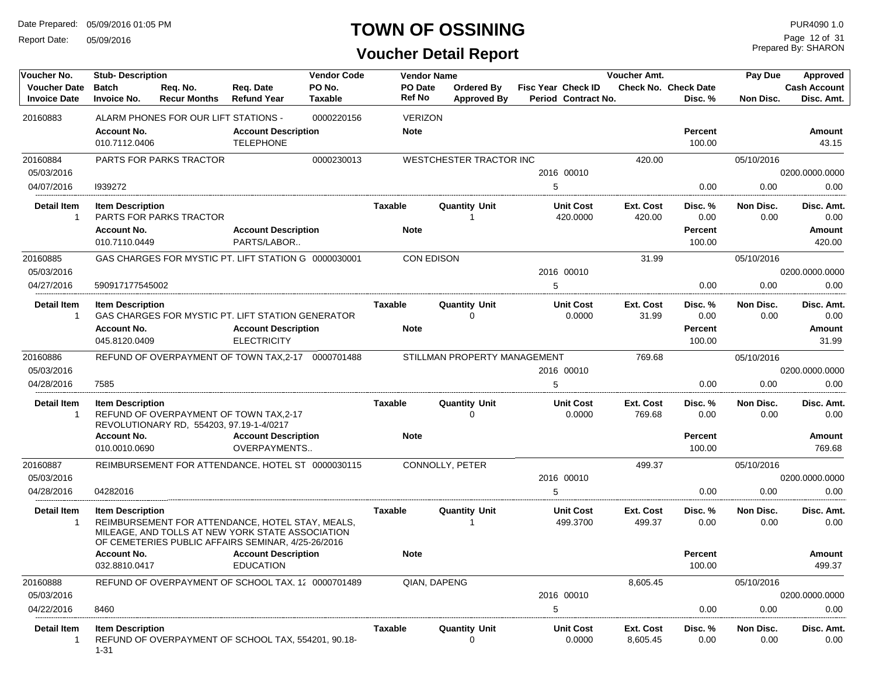Report Date: 05/09/2016

### **TOWN OF OSSINING**

Prepared By: SHARON Page 12 of 31

| Voucher No.                                | <b>Stub-Description</b>             |                                                                                                                                                            |                                                  | <b>Vendor Code</b>       | <b>Vendor Name</b>       |                                         |                                                  | Voucher Amt.          |                                        | Pay Due           | Approved                          |
|--------------------------------------------|-------------------------------------|------------------------------------------------------------------------------------------------------------------------------------------------------------|--------------------------------------------------|--------------------------|--------------------------|-----------------------------------------|--------------------------------------------------|-----------------------|----------------------------------------|-------------------|-----------------------------------|
| <b>Voucher Date</b><br><b>Invoice Date</b> | <b>Batch</b><br><b>Invoice No.</b>  | Req. No.<br><b>Recur Months</b>                                                                                                                            | Req. Date<br><b>Refund Year</b>                  | PO No.<br><b>Taxable</b> | <b>PO</b> Date<br>Ref No | <b>Ordered By</b><br><b>Approved By</b> | <b>Fisc Year Check ID</b><br>Period Contract No. |                       | <b>Check No. Check Date</b><br>Disc. % | Non Disc.         | <b>Cash Account</b><br>Disc. Amt. |
| 20160883                                   |                                     | ALARM PHONES FOR OUR LIFT STATIONS -                                                                                                                       |                                                  | 0000220156               | <b>VERIZON</b>           |                                         |                                                  |                       |                                        |                   |                                   |
|                                            | <b>Account No.</b><br>010.7112.0406 |                                                                                                                                                            | <b>Account Description</b><br><b>TELEPHONE</b>   |                          | <b>Note</b>              |                                         |                                                  |                       | <b>Percent</b><br>100.00               |                   | Amount<br>43.15                   |
| 20160884                                   |                                     | <b>PARTS FOR PARKS TRACTOR</b>                                                                                                                             |                                                  | 0000230013               |                          | WESTCHESTER TRACTOR INC                 |                                                  | 420.00                |                                        | 05/10/2016        |                                   |
| 05/03/2016                                 |                                     |                                                                                                                                                            |                                                  |                          |                          |                                         | 2016 00010                                       |                       |                                        |                   | 0200.0000.0000                    |
| 04/07/2016                                 | 1939272                             |                                                                                                                                                            |                                                  |                          |                          |                                         | 5                                                |                       | 0.00                                   | 0.00              | 0.00                              |
| <b>Detail Item</b><br>$\overline{1}$       | <b>Item Description</b>             | <b>PARTS FOR PARKS TRACTOR</b>                                                                                                                             |                                                  |                          | <b>Taxable</b>           | <b>Quantity Unit</b>                    | <b>Unit Cost</b><br>420.0000                     | Ext. Cost<br>420.00   | Disc. %<br>0.00                        | Non Disc.<br>0.00 | Disc. Amt.<br>0.00                |
|                                            | <b>Account No.</b><br>010.7110.0449 |                                                                                                                                                            | <b>Account Description</b><br>PARTS/LABOR        |                          | <b>Note</b>              |                                         |                                                  |                       | <b>Percent</b><br>100.00               |                   | Amount<br>420.00                  |
| 20160885                                   |                                     | GAS CHARGES FOR MYSTIC PT. LIFT STATION G 0000030001                                                                                                       |                                                  |                          | <b>CON EDISON</b>        |                                         |                                                  | 31.99                 |                                        | 05/10/2016        |                                   |
| 05/03/2016                                 |                                     |                                                                                                                                                            |                                                  |                          |                          |                                         | 2016 00010                                       |                       |                                        |                   | 0200.0000.0000                    |
| 04/27/2016                                 | 590917177545002                     |                                                                                                                                                            |                                                  |                          |                          |                                         | 5                                                |                       | 0.00                                   | 0.00              | 0.00                              |
| <b>Detail Item</b><br>$\overline{1}$       | <b>Item Description</b>             | GAS CHARGES FOR MYSTIC PT. LIFT STATION GENERATOR                                                                                                          |                                                  |                          | <b>Taxable</b>           | <b>Quantity Unit</b><br>0               | <b>Unit Cost</b><br>0.0000                       | Ext. Cost<br>31.99    | Disc. %<br>0.00                        | Non Disc.<br>0.00 | Disc. Amt.<br>0.00                |
|                                            | <b>Account No.</b><br>045.8120.0409 |                                                                                                                                                            | <b>Account Description</b><br><b>ELECTRICITY</b> |                          | <b>Note</b>              |                                         |                                                  |                       | <b>Percent</b><br>100.00               |                   | Amount<br>31.99                   |
| 20160886                                   |                                     | REFUND OF OVERPAYMENT OF TOWN TAX, 2-17 0000701488                                                                                                         |                                                  |                          |                          | STILLMAN PROPERTY MANAGEMENT            |                                                  | 769.68                |                                        | 05/10/2016        |                                   |
| 05/03/2016                                 |                                     |                                                                                                                                                            |                                                  |                          |                          |                                         | 2016 00010                                       |                       |                                        |                   | 0200.0000.0000                    |
| 04/28/2016                                 | 7585                                |                                                                                                                                                            |                                                  |                          |                          |                                         | 5                                                |                       | 0.00                                   | 0.00              | 0.00                              |
| <b>Detail Item</b><br>-1                   | <b>Item Description</b>             | REFUND OF OVERPAYMENT OF TOWN TAX,2-17<br>REVOLUTIONARY RD, 554203, 97.19-1-4/0217                                                                         |                                                  |                          | Taxable                  | <b>Quantity Unit</b><br>$\Omega$        | <b>Unit Cost</b><br>0.0000                       | Ext. Cost<br>769.68   | Disc. %<br>0.00                        | Non Disc.<br>0.00 | Disc. Amt.<br>0.00                |
|                                            | <b>Account No.</b>                  |                                                                                                                                                            | <b>Account Description</b>                       |                          | <b>Note</b>              |                                         |                                                  |                       | <b>Percent</b>                         |                   | Amount                            |
|                                            | 010.0010.0690                       |                                                                                                                                                            | OVERPAYMENTS                                     |                          |                          |                                         |                                                  |                       | 100.00                                 |                   | 769.68                            |
| 20160887                                   |                                     | REIMBURSEMENT FOR ATTENDANCE, HOTEL ST 0000030115                                                                                                          |                                                  |                          |                          | CONNOLLY, PETER                         |                                                  | 499.37                |                                        | 05/10/2016        |                                   |
| 05/03/2016<br>04/28/2016                   | 04282016                            |                                                                                                                                                            |                                                  |                          |                          |                                         | 2016 00010<br>5                                  |                       | 0.00                                   | 0.00              | 0200.0000.0000<br>0.00            |
|                                            |                                     |                                                                                                                                                            |                                                  |                          |                          |                                         |                                                  |                       |                                        |                   |                                   |
| <b>Detail Item</b><br>$\overline{1}$       | <b>Item Description</b>             | REIMBURSEMENT FOR ATTENDANCE, HOTEL STAY, MEALS,<br>MILEAGE, AND TOLLS AT NEW YORK STATE ASSOCIATION<br>OF CEMETERIES PUBLIC AFFAIRS SEMINAR, 4/25-26/2016 |                                                  |                          | Taxable                  | <b>Quantity Unit</b>                    | <b>Unit Cost</b><br>499.3700                     | Ext. Cost<br>499.37   | Disc. %<br>0.00                        | Non Disc.<br>0.00 | Disc. Amt.<br>0.00                |
|                                            | <b>Account No.</b><br>032.8810.0417 |                                                                                                                                                            | <b>Account Description</b><br><b>EDUCATION</b>   |                          | <b>Note</b>              |                                         |                                                  |                       | <b>Percent</b><br>100.00               |                   | Amount<br>499.37                  |
| 20160888                                   |                                     |                                                                                                                                                            |                                                  |                          |                          |                                         |                                                  |                       |                                        |                   |                                   |
| 05/03/2016                                 |                                     | REFUND OF OVERPAYMENT OF SCHOOL TAX, 12 0000701489                                                                                                         |                                                  |                          |                          | QIAN, DAPENG                            | 2016 00010                                       | 8,605.45              |                                        | 05/10/2016        | 0200.0000.0000                    |
| 04/22/2016                                 | 8460                                |                                                                                                                                                            |                                                  |                          |                          |                                         | 5                                                |                       | 0.00                                   | 0.00              | 0.00                              |
| Detail Item<br>-1                          | <b>Item Description</b><br>$1 - 31$ | REFUND OF OVERPAYMENT OF SCHOOL TAX, 554201, 90.18-                                                                                                        |                                                  |                          | Taxable                  | <b>Quantity Unit</b>                    | <b>Unit Cost</b><br>0.0000                       | Ext. Cost<br>8,605.45 | Disc. %<br>0.00                        | Non Disc.<br>0.00 | Disc. Amt.<br>0.00                |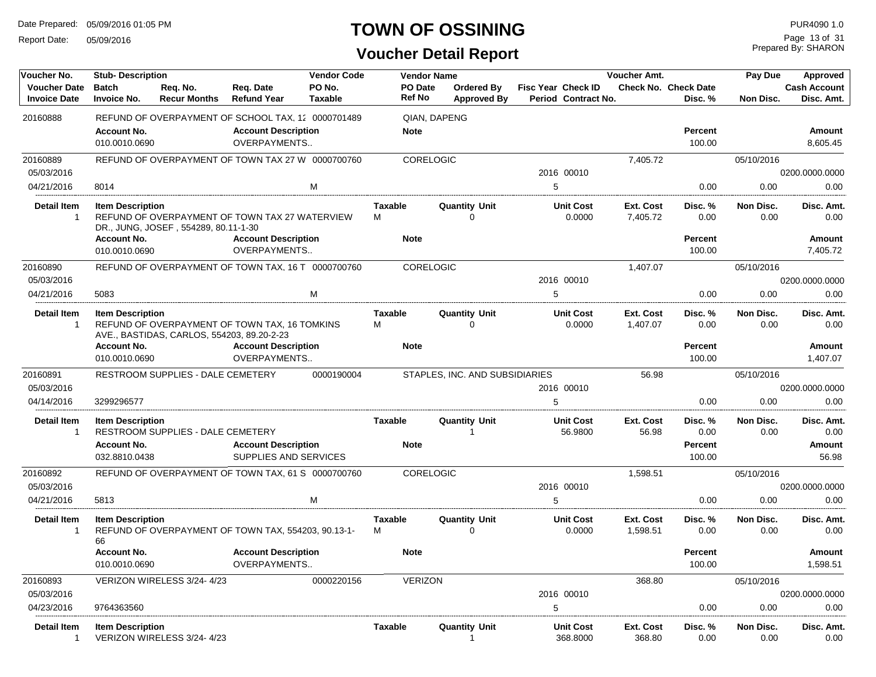Report Date: 05/09/2016

### **TOWN OF OSSINING**

Prepared By: SHARON Page 13 of 31

| Voucher No.                                | <b>Stub-Description</b>             |                                            |                                                     | <b>Vendor Code</b>       |                          | <b>Vendor Name</b> |                                        |                                                  | Voucher Amt.          |                                 | Pay Due           | Approved                          |
|--------------------------------------------|-------------------------------------|--------------------------------------------|-----------------------------------------------------|--------------------------|--------------------------|--------------------|----------------------------------------|--------------------------------------------------|-----------------------|---------------------------------|-------------------|-----------------------------------|
| <b>Voucher Date</b><br><b>Invoice Date</b> | <b>Batch</b><br><b>Invoice No.</b>  | Reg. No.<br><b>Recur Months</b>            | Reg. Date<br><b>Refund Year</b>                     | PO No.<br><b>Taxable</b> | PO Date<br><b>Ref No</b> |                    | Ordered By<br><b>Approved By</b>       | <b>Fisc Year Check ID</b><br>Period Contract No. |                       | Check No. Check Date<br>Disc. % | Non Disc.         | <b>Cash Account</b><br>Disc. Amt. |
| 20160888                                   |                                     |                                            | REFUND OF OVERPAYMENT OF SCHOOL TAX, 12 0000701489  |                          |                          | QIAN, DAPENG       |                                        |                                                  |                       |                                 |                   |                                   |
|                                            | <b>Account No.</b><br>010.0010.0690 |                                            | <b>Account Description</b><br>OVERPAYMENTS          |                          | <b>Note</b>              |                    |                                        |                                                  |                       | <b>Percent</b><br>100.00        |                   | Amount<br>8,605.45                |
| 20160889                                   |                                     |                                            | REFUND OF OVERPAYMENT OF TOWN TAX 27 W 0000700760   |                          |                          | <b>CORELOGIC</b>   |                                        |                                                  | 7,405.72              |                                 | 05/10/2016        |                                   |
| 05/03/2016                                 |                                     |                                            |                                                     |                          |                          |                    |                                        | 2016 00010                                       |                       |                                 |                   | 0200.0000.0000                    |
| 04/21/2016                                 | 8014                                |                                            |                                                     | M                        |                          |                    |                                        | 5                                                |                       | 0.00                            | 0.00              | 0.00                              |
| <b>Detail Item</b>                         | <b>Item Description</b>             | DR., JUNG, JOSEF, 554289, 80.11-1-30       | REFUND OF OVERPAYMENT OF TOWN TAX 27 WATERVIEW      |                          | <b>Taxable</b><br>м      |                    | <b>Quantity Unit</b><br>0              | <b>Unit Cost</b><br>0.0000                       | Ext. Cost<br>7,405.72 | Disc. %<br>0.00                 | Non Disc.<br>0.00 | Disc. Amt.<br>0.00                |
|                                            | <b>Account No.</b>                  |                                            | <b>Account Description</b>                          |                          | <b>Note</b>              |                    |                                        |                                                  |                       | <b>Percent</b>                  |                   | Amount                            |
|                                            | 010.0010.0690                       |                                            | OVERPAYMENTS                                        |                          |                          |                    |                                        |                                                  |                       | 100.00                          |                   | 7,405.72                          |
| 20160890                                   |                                     |                                            | REFUND OF OVERPAYMENT OF TOWN TAX, 16 T 0000700760  |                          |                          | <b>CORELOGIC</b>   |                                        |                                                  | 1,407.07              |                                 | 05/10/2016        |                                   |
| 05/03/2016                                 |                                     |                                            |                                                     |                          |                          |                    |                                        | 2016 00010                                       |                       |                                 |                   | 0200.0000.0000                    |
| 04/21/2016                                 | 5083                                |                                            |                                                     | M                        |                          |                    |                                        | 5                                                |                       | 0.00                            | 0.00              | 0.00                              |
| <b>Detail Item</b>                         | <b>Item Description</b>             | AVE., BASTIDAS, CARLOS, 554203, 89.20-2-23 | REFUND OF OVERPAYMENT OF TOWN TAX, 16 TOMKINS       |                          | <b>Taxable</b><br>M      |                    | <b>Quantity Unit</b><br>$\Omega$       | <b>Unit Cost</b><br>0.0000                       | Ext. Cost<br>1,407.07 | Disc. %<br>0.00                 | Non Disc.<br>0.00 | Disc. Amt.<br>0.00                |
|                                            | <b>Account No.</b><br>010.0010.0690 |                                            | <b>Account Description</b><br>OVERPAYMENTS          |                          | <b>Note</b>              |                    |                                        |                                                  |                       | <b>Percent</b><br>100.00        |                   | Amount<br>1,407.07                |
| 20160891<br>05/03/2016                     |                                     | RESTROOM SUPPLIES - DALE CEMETERY          |                                                     | 0000190004               |                          |                    | STAPLES, INC. AND SUBSIDIARIES         | 2016 00010                                       | 56.98                 |                                 | 05/10/2016        | 0200.0000.0000                    |
| 04/14/2016                                 | 3299296577                          |                                            |                                                     |                          |                          |                    |                                        | 5                                                |                       | 0.00                            | 0.00              | 0.00                              |
| <b>Detail Item</b><br>$\overline{1}$       | <b>Item Description</b>             | RESTROOM SUPPLIES - DALE CEMETERY          |                                                     |                          | Taxable                  |                    | <b>Quantity Unit</b><br>$\overline{1}$ | <b>Unit Cost</b><br>56.9800                      | Ext. Cost<br>56.98    | Disc. %<br>0.00                 | Non Disc.<br>0.00 | Disc. Amt.<br>0.00                |
|                                            | <b>Account No.</b><br>032.8810.0438 |                                            | <b>Account Description</b><br>SUPPLIES AND SERVICES |                          | <b>Note</b>              |                    |                                        |                                                  |                       | Percent<br>100.00               |                   | Amount<br>56.98                   |
| 20160892                                   |                                     |                                            | REFUND OF OVERPAYMENT OF TOWN TAX, 61 S 0000700760  |                          |                          | <b>CORELOGIC</b>   |                                        |                                                  | 1,598.51              |                                 | 05/10/2016        |                                   |
| 05/03/2016                                 |                                     |                                            |                                                     |                          |                          |                    |                                        | 2016 00010                                       |                       |                                 |                   | 0200.0000.0000                    |
| 04/21/2016                                 | 5813                                |                                            |                                                     | M                        |                          |                    |                                        | 5                                                |                       | 0.00                            | 0.00              | 0.00                              |
| <b>Detail Item</b><br>$\mathbf{1}$         | <b>Item Description</b><br>66       |                                            | REFUND OF OVERPAYMENT OF TOWN TAX, 554203, 90.13-1- |                          | <b>Taxable</b><br>м      |                    | <b>Quantity Unit</b><br>$\Omega$       | <b>Unit Cost</b><br>0.0000                       | Ext. Cost<br>1,598.51 | Disc. %<br>0.00                 | Non Disc.<br>0.00 | Disc. Amt.<br>0.00                |
|                                            | <b>Account No.</b><br>010.0010.0690 |                                            | <b>Account Description</b><br>OVERPAYMENTS          |                          | <b>Note</b>              |                    |                                        |                                                  |                       | <b>Percent</b><br>100.00        |                   | Amount<br>1,598.51                |
| 20160893                                   |                                     | VERIZON WIRELESS 3/24-4/23                 |                                                     | 0000220156               |                          | <b>VERIZON</b>     |                                        |                                                  | 368.80                |                                 | 05/10/2016        |                                   |
| 05/03/2016                                 |                                     |                                            |                                                     |                          |                          |                    |                                        | 2016 00010                                       |                       |                                 |                   | 0200.0000.0000                    |
| 04/23/2016                                 | 9764363560                          |                                            |                                                     |                          |                          |                    |                                        | 5                                                |                       | 0.00                            | 0.00              | 0.00                              |
| <b>Detail Item</b><br>$\overline{1}$       | <b>Item Description</b>             | VERIZON WIRELESS 3/24-4/23                 |                                                     |                          | <b>Taxable</b>           |                    | <b>Quantity Unit</b><br>$\overline{1}$ | <b>Unit Cost</b><br>368.8000                     | Ext. Cost<br>368.80   | Disc. %<br>0.00                 | Non Disc.<br>0.00 | Disc. Amt.<br>0.00                |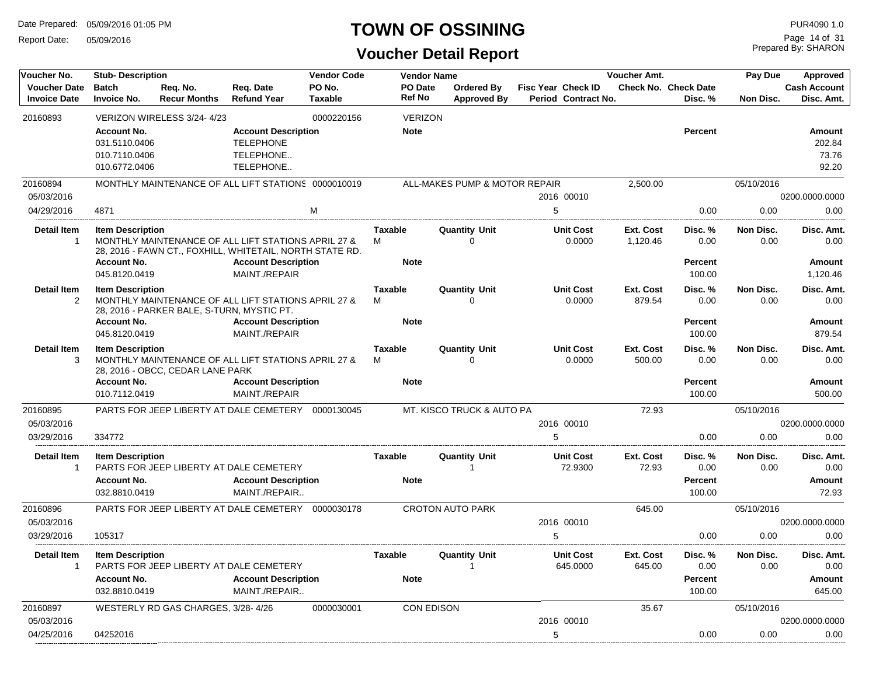Report Date: 05/09/2016

#### **TOWN OF OSSINING**

| Voucher No.                                | <b>Stub-Description</b>                                               |                                            |                                                                                                                                                                | <b>Vendor Code</b>       |                                    | <b>Vendor Name</b> |                                         |                    |                              | Voucher Amt.          |                                             | Pay Due           | Approved                                        |
|--------------------------------------------|-----------------------------------------------------------------------|--------------------------------------------|----------------------------------------------------------------------------------------------------------------------------------------------------------------|--------------------------|------------------------------------|--------------------|-----------------------------------------|--------------------|------------------------------|-----------------------|---------------------------------------------|-------------------|-------------------------------------------------|
| <b>Voucher Date</b><br><b>Invoice Date</b> | <b>Batch</b><br><b>Invoice No.</b>                                    | Req. No.<br><b>Recur Months</b>            | Reg. Date<br><b>Refund Year</b>                                                                                                                                | PO No.<br><b>Taxable</b> | Ref No                             | PO Date            | <b>Ordered By</b><br><b>Approved By</b> | Fisc Year Check ID | Period Contract No.          |                       | <b>Check No. Check Date</b><br>Disc. %      | Non Disc.         | <b>Cash Account</b><br>Disc. Amt.               |
| 20160893                                   |                                                                       | VERIZON WIRELESS 3/24-4/23                 |                                                                                                                                                                | 0000220156               |                                    | <b>VERIZON</b>     |                                         |                    |                              |                       |                                             |                   |                                                 |
|                                            | <b>Account No.</b><br>031.5110.0406<br>010.7110.0406<br>010.6772.0406 |                                            | <b>Account Description</b><br><b>TELEPHONE</b><br>TELEPHONE<br>TELEPHONE                                                                                       |                          | <b>Note</b>                        |                    |                                         |                    |                              |                       | <b>Percent</b>                              |                   | Amount<br>202.84<br>73.76<br>92.20              |
| 20160894                                   |                                                                       |                                            | MONTHLY MAINTENANCE OF ALL LIFT STATIONS 0000010019                                                                                                            |                          |                                    |                    | ALL-MAKES PUMP & MOTOR REPAIR           |                    |                              | 2,500.00              |                                             | 05/10/2016        |                                                 |
| 05/03/2016                                 |                                                                       |                                            |                                                                                                                                                                |                          |                                    |                    |                                         |                    | 2016 00010                   |                       |                                             |                   | 0200.0000.0000                                  |
| 04/29/2016                                 | 4871                                                                  |                                            |                                                                                                                                                                | M                        |                                    |                    |                                         | 5                  |                              |                       | 0.00                                        | 0.00              | 0.00                                            |
| <b>Detail Item</b><br>$\overline{1}$       | <b>Item Description</b><br><b>Account No.</b><br>045.8120.0419        |                                            | MONTHLY MAINTENANCE OF ALL LIFT STATIONS APRIL 27 &<br>28, 2016 - FAWN CT., FOXHILL, WHITETAIL, NORTH STATE RD.<br><b>Account Description</b><br>MAINT./REPAIR |                          | <b>Taxable</b><br>M<br><b>Note</b> |                    | <b>Quantity Unit</b><br>$\mathbf 0$     |                    | <b>Unit Cost</b><br>0.0000   | Ext. Cost<br>1,120.46 | Disc. %<br>0.00<br><b>Percent</b><br>100.00 | Non Disc.<br>0.00 | Disc. Amt.<br>0.00<br><b>Amount</b><br>1,120.46 |
| <b>Detail Item</b><br>2                    | <b>Item Description</b><br><b>Account No.</b><br>045.8120.0419        | 28, 2016 - PARKER BALE, S-TURN, MYSTIC PT. | MONTHLY MAINTENANCE OF ALL LIFT STATIONS APRIL 27 &<br><b>Account Description</b><br>MAINT./REPAIR                                                             |                          | <b>Taxable</b><br>M<br><b>Note</b> |                    | <b>Quantity Unit</b><br>$\Omega$        |                    | <b>Unit Cost</b><br>0.0000   | Ext. Cost<br>879.54   | Disc. %<br>0.00<br><b>Percent</b><br>100.00 | Non Disc.<br>0.00 | Disc. Amt.<br>0.00<br>Amount<br>879.54          |
| <b>Detail Item</b><br>3                    | <b>Item Description</b><br><b>Account No.</b><br>010.7112.0419        | 28, 2016 - OBCC, CEDAR LANE PARK           | MONTHLY MAINTENANCE OF ALL LIFT STATIONS APRIL 27 &<br><b>Account Description</b><br>MAINT./REPAIR                                                             |                          | <b>Taxable</b><br>м<br><b>Note</b> |                    | <b>Quantity Unit</b><br>$\Omega$        |                    | <b>Unit Cost</b><br>0.0000   | Ext. Cost<br>500.00   | Disc. %<br>0.00<br><b>Percent</b><br>100.00 | Non Disc.<br>0.00 | Disc. Amt.<br>0.00<br><b>Amount</b><br>500.00   |
| 20160895                                   |                                                                       |                                            | PARTS FOR JEEP LIBERTY AT DALE CEMETERY                                                                                                                        | 0000130045               |                                    |                    | MT. KISCO TRUCK & AUTO PA               |                    |                              | 72.93                 |                                             | 05/10/2016        |                                                 |
| 05/03/2016                                 |                                                                       |                                            |                                                                                                                                                                |                          |                                    |                    |                                         |                    | 2016 00010                   |                       |                                             |                   | 0200.0000.0000                                  |
| 03/29/2016                                 | 334772                                                                |                                            |                                                                                                                                                                |                          |                                    |                    |                                         | 5                  |                              |                       | 0.00                                        | 0.00              | 0.00                                            |
| <b>Detail Item</b><br>$\overline{1}$       | <b>Item Description</b><br><b>Account No.</b><br>032.8810.0419        |                                            | PARTS FOR JEEP LIBERTY AT DALE CEMETERY<br><b>Account Description</b><br>MAINT./REPAIR                                                                         |                          | <b>Taxable</b><br><b>Note</b>      |                    | <b>Quantity Unit</b><br>1               |                    | <b>Unit Cost</b><br>72.9300  | Ext. Cost<br>72.93    | Disc. %<br>0.00<br><b>Percent</b><br>100.00 | Non Disc.<br>0.00 | Disc. Amt.<br>0.00<br><b>Amount</b><br>72.93    |
| 20160896                                   |                                                                       |                                            | PARTS FOR JEEP LIBERTY AT DALE CEMETERY 0000030178                                                                                                             |                          |                                    |                    | <b>CROTON AUTO PARK</b>                 |                    |                              | 645.00                |                                             | 05/10/2016        |                                                 |
| 05/03/2016                                 |                                                                       |                                            |                                                                                                                                                                |                          |                                    |                    |                                         |                    | 2016 00010                   |                       |                                             |                   | 0200.0000.0000                                  |
| 03/29/2016                                 | 105317                                                                |                                            |                                                                                                                                                                |                          |                                    |                    |                                         | 5                  |                              |                       | 0.00                                        | 0.00              | 0.00                                            |
| <b>Detail Item</b><br>$\mathbf{1}$         | <b>Item Description</b><br><b>Account No.</b><br>032.8810.0419        |                                            | PARTS FOR JEEP LIBERTY AT DALE CEMETERY<br><b>Account Description</b><br>MAINT./REPAIR                                                                         |                          | <b>Taxable</b><br><b>Note</b>      |                    | <b>Quantity Unit</b><br>$\mathbf{1}$    |                    | <b>Unit Cost</b><br>645.0000 | Ext. Cost<br>645.00   | Disc. %<br>0.00<br>Percent<br>100.00        | Non Disc.<br>0.00 | Disc. Amt.<br>0.00<br>Amount<br>645.00          |
| 20160897                                   |                                                                       | WESTERLY RD GAS CHARGES, 3/28-4/26         |                                                                                                                                                                | 0000030001               |                                    | <b>CON EDISON</b>  |                                         |                    |                              | 35.67                 |                                             | 05/10/2016        |                                                 |
| 05/03/2016                                 |                                                                       |                                            |                                                                                                                                                                |                          |                                    |                    |                                         |                    | 2016 00010                   |                       |                                             |                   | 0200.0000.0000                                  |
| 04/25/2016                                 | 04252016                                                              |                                            |                                                                                                                                                                |                          |                                    |                    |                                         | 5                  |                              |                       | 0.00                                        | 0.00              | 0.00                                            |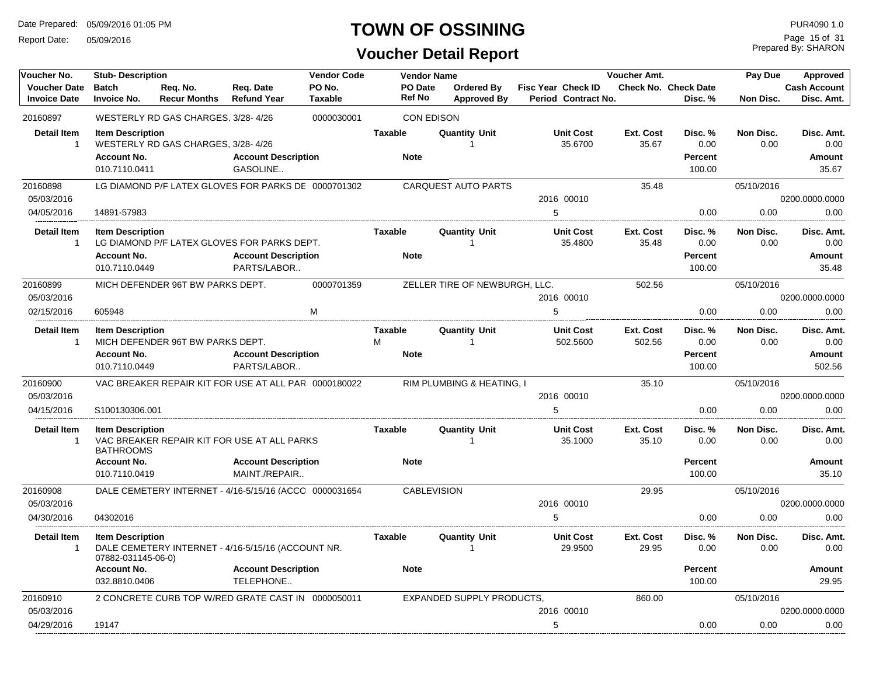Report Date: 05/09/2016

### **TOWN OF OSSINING**

### **Voucher Detail Report**

Prepared By: SHARON Page 15 of 31

| Voucher No.                                | <b>Stub-Description</b>                                        |                                                        |                                             | <b>Vendor Code</b>       |                     | <b>Vendor Name</b>       |                                         |                                                  | Voucher Amt.        |                                             | Pay Due           | <b>Approved</b>                       |
|--------------------------------------------|----------------------------------------------------------------|--------------------------------------------------------|---------------------------------------------|--------------------------|---------------------|--------------------------|-----------------------------------------|--------------------------------------------------|---------------------|---------------------------------------------|-------------------|---------------------------------------|
| <b>Voucher Date</b><br><b>Invoice Date</b> | <b>Batch</b><br><b>Invoice No.</b>                             | Reg. No.<br><b>Recur Months</b>                        | Reg. Date<br><b>Refund Year</b>             | PO No.<br><b>Taxable</b> |                     | PO Date<br><b>Ref No</b> | <b>Ordered Bv</b><br><b>Approved By</b> | <b>Fisc Year Check ID</b><br>Period Contract No. |                     | <b>Check No. Check Date</b><br>Disc. %      | <b>Non Disc.</b>  | <b>Cash Account</b><br>Disc. Amt.     |
| 20160897                                   |                                                                | WESTERLY RD GAS CHARGES, 3/28-4/26                     |                                             | 0000030001               |                     | <b>CON EDISON</b>        |                                         |                                                  |                     |                                             |                   |                                       |
| <b>Detail Item</b><br>$\mathbf{1}$         | <b>Item Description</b><br><b>Account No.</b><br>010.7110.0411 | WESTERLY RD GAS CHARGES, 3/28-4/26                     | <b>Account Description</b><br>GASOLINE      |                          | <b>Taxable</b>      | <b>Note</b>              | <b>Quantity Unit</b><br>$\overline{1}$  | <b>Unit Cost</b><br>35.6700                      | Ext. Cost<br>35.67  | Disc. %<br>0.00<br><b>Percent</b><br>100.00 | Non Disc.<br>0.00 | Disc. Amt.<br>0.00<br>Amount<br>35.67 |
| 20160898                                   |                                                                | LG DIAMOND P/F LATEX GLOVES FOR PARKS DE 0000701302    |                                             |                          |                     |                          | <b>CARQUEST AUTO PARTS</b>              |                                                  | 35.48               |                                             | 05/10/2016        |                                       |
| 05/03/2016                                 |                                                                |                                                        |                                             |                          |                     |                          |                                         | 2016 00010                                       |                     |                                             |                   | 0200.0000.0000                        |
| 04/05/2016                                 | 14891-57983                                                    |                                                        |                                             |                          |                     |                          |                                         | 5                                                |                     | 0.00                                        | 0.00              | 0.00                                  |
| <b>Detail Item</b><br>$\mathbf{1}$         | <b>Item Description</b><br><b>Account No.</b><br>010.7110.0449 | LG DIAMOND P/F LATEX GLOVES FOR PARKS DEPT.            | <b>Account Description</b><br>PARTS/LABOR   |                          | <b>Taxable</b>      | <b>Note</b>              | <b>Quantity Unit</b><br>$\overline{1}$  | <b>Unit Cost</b><br>35.4800                      | Ext. Cost<br>35.48  | Disc. %<br>0.00<br>Percent<br>100.00        | Non Disc.<br>0.00 | Disc. Amt.<br>0.00<br>Amount<br>35.48 |
| 20160899                                   |                                                                | MICH DEFENDER 96T BW PARKS DEPT.                       |                                             | 0000701359               |                     |                          | ZELLER TIRE OF NEWBURGH, LLC.           |                                                  | 502.56              |                                             | 05/10/2016        |                                       |
| 05/03/2016                                 |                                                                |                                                        |                                             |                          |                     |                          |                                         | 2016 00010                                       |                     |                                             |                   | 0200.0000.0000                        |
| 02/15/2016                                 | 605948                                                         |                                                        |                                             | M                        |                     |                          |                                         | 5                                                |                     | 0.00                                        | 0.00              | 0.00                                  |
| <b>Detail Item</b><br>$\mathbf{1}$         | <b>Item Description</b>                                        | MICH DEFENDER 96T BW PARKS DEPT.                       |                                             |                          | <b>Taxable</b><br>М |                          | <b>Quantity Unit</b><br>$\overline{1}$  | <b>Unit Cost</b><br>502.5600                     | Ext. Cost<br>502.56 | Disc. %<br>0.00                             | Non Disc.<br>0.00 | Disc. Amt.<br>0.00                    |
|                                            | <b>Account No.</b><br>010.7110.0449                            |                                                        | <b>Account Description</b><br>PARTS/LABOR   |                          |                     | <b>Note</b>              |                                         |                                                  |                     | <b>Percent</b><br>100.00                    |                   | Amount<br>502.56                      |
| 20160900                                   |                                                                | VAC BREAKER REPAIR KIT FOR USE AT ALL PAR 0000180022   |                                             |                          |                     |                          | RIM PLUMBING & HEATING, I               |                                                  | 35.10               |                                             | 05/10/2016        |                                       |
| 05/03/2016                                 |                                                                |                                                        |                                             |                          |                     |                          |                                         | 2016 00010                                       |                     |                                             |                   | 0200.0000.0000                        |
| 04/15/2016                                 | S100130306.001                                                 |                                                        |                                             |                          |                     |                          |                                         | 5                                                |                     | 0.00                                        | 0.00              | 0.00                                  |
| <b>Detail Item</b><br>$\mathbf{1}$         | <b>Item Description</b><br><b>BATHROOMS</b>                    | VAC BREAKER REPAIR KIT FOR USE AT ALL PARKS            |                                             |                          | <b>Taxable</b>      |                          | <b>Quantity Unit</b>                    | <b>Unit Cost</b><br>35.1000                      | Ext. Cost<br>35.10  | Disc. %<br>0.00                             | Non Disc.<br>0.00 | Disc. Amt.<br>0.00                    |
|                                            | <b>Account No.</b><br>010.7110.0419                            |                                                        | <b>Account Description</b><br>MAINT./REPAIR |                          |                     | <b>Note</b>              |                                         |                                                  |                     | <b>Percent</b><br>100.00                    |                   | <b>Amount</b><br>35.10                |
| 20160908                                   |                                                                | DALE CEMETERY INTERNET - 4/16-5/15/16 (ACCC 0000031654 |                                             |                          |                     | <b>CABLEVISION</b>       |                                         |                                                  | 29.95               |                                             | 05/10/2016        |                                       |
| 05/03/2016                                 |                                                                |                                                        |                                             |                          |                     |                          |                                         | 2016 00010                                       |                     |                                             |                   | 0200.0000.0000                        |
| 04/30/2016                                 | 04302016                                                       |                                                        |                                             |                          |                     |                          |                                         | 5                                                |                     | 0.00                                        | 0.00              | 0.00                                  |
| <b>Detail Item</b><br>$\mathbf{1}$         | <b>Item Description</b><br>07882-031145-06-0)                  | DALE CEMETERY INTERNET - 4/16-5/15/16 (ACCOUNT NR.     |                                             |                          | <b>Taxable</b>      |                          | <b>Quantity Unit</b>                    | <b>Unit Cost</b><br>29.9500                      | Ext. Cost<br>29.95  | Disc. %<br>0.00                             | Non Disc.<br>0.00 | Disc. Amt.<br>0.00                    |
|                                            | <b>Account No.</b><br>032.8810.0406                            |                                                        | <b>Account Description</b><br>TELEPHONE     |                          |                     | <b>Note</b>              |                                         |                                                  |                     | <b>Percent</b><br>100.00                    |                   | <b>Amount</b><br>29.95                |
| 20160910                                   |                                                                | 2 CONCRETE CURB TOP W/RED GRATE CAST IN 0000050011     |                                             |                          |                     |                          | EXPANDED SUPPLY PRODUCTS,               |                                                  | 860.00              |                                             | 05/10/2016        |                                       |
| 05/03/2016                                 |                                                                |                                                        |                                             |                          |                     |                          |                                         | 2016 00010                                       |                     |                                             |                   | 0200.0000.0000                        |
| 04/29/2016                                 | 19147                                                          |                                                        |                                             |                          |                     |                          |                                         | 5                                                |                     | 0.00                                        | 0.00              | 0.00                                  |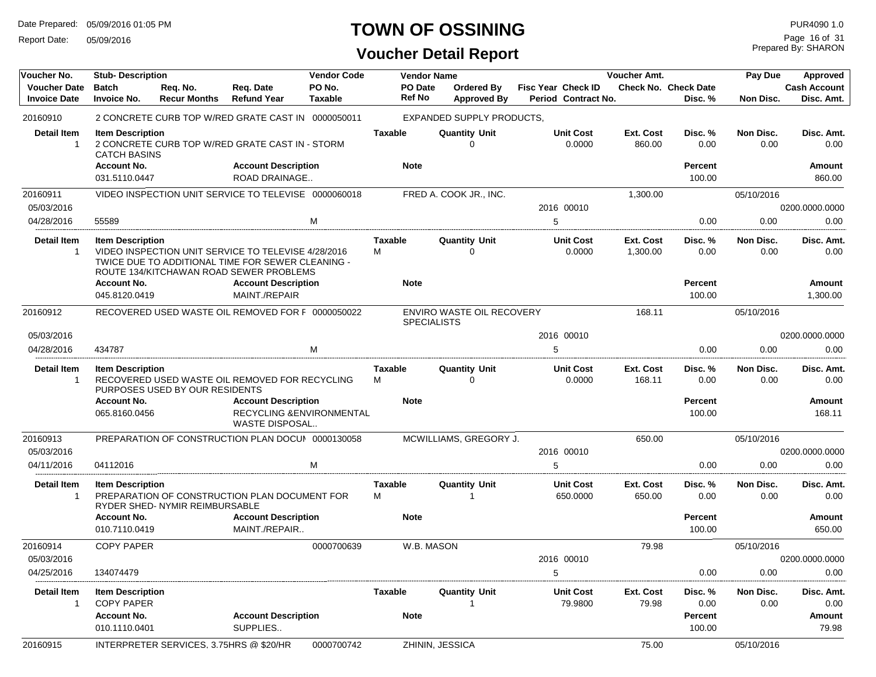Report Date: 05/09/2016

### **TOWN OF OSSINING**

Prepared By: SHARON Page 16 of 31

| Voucher No.                                | <b>Stub- Description</b>                       |                                         |                                                                                                                                                     | <b>Vendor Code</b>       |                     | <b>Vendor Name</b> |                                     |                                                  | Voucher Amt.               |                                        | Pay Due           | <b>Approved</b>                   |
|--------------------------------------------|------------------------------------------------|-----------------------------------------|-----------------------------------------------------------------------------------------------------------------------------------------------------|--------------------------|---------------------|--------------------|-------------------------------------|--------------------------------------------------|----------------------------|----------------------------------------|-------------------|-----------------------------------|
| <b>Voucher Date</b><br><b>Invoice Date</b> | <b>Batch</b><br><b>Invoice No.</b>             | Req. No.<br><b>Recur Months</b>         | Req. Date<br><b>Refund Year</b>                                                                                                                     | PO No.<br><b>Taxable</b> |                     | PO Date<br>Ref No  | Ordered By<br><b>Approved By</b>    | <b>Fisc Year Check ID</b><br>Period Contract No. |                            | <b>Check No. Check Date</b><br>Disc. % | Non Disc.         | <b>Cash Account</b><br>Disc. Amt. |
| 20160910                                   |                                                |                                         | 2 CONCRETE CURB TOP W/RED GRATE CAST IN 0000050011                                                                                                  |                          |                     |                    | EXPANDED SUPPLY PRODUCTS,           |                                                  |                            |                                        |                   |                                   |
| <b>Detail Item</b><br>$\mathbf{1}$         | <b>Item Description</b><br><b>CATCH BASINS</b> |                                         | 2 CONCRETE CURB TOP W/RED GRATE CAST IN - STORM                                                                                                     |                          | <b>Taxable</b>      |                    | <b>Quantity Unit</b><br>$\Omega$    | <b>Unit Cost</b><br>0.0000                       | <b>Ext. Cost</b><br>860.00 | Disc. %<br>0.00                        | Non Disc.<br>0.00 | Disc. Amt.<br>0.00                |
|                                            | <b>Account No.</b><br>031.5110.0447            |                                         | <b>Account Description</b><br>ROAD DRAINAGE                                                                                                         |                          | <b>Note</b>         |                    |                                     |                                                  |                            | Percent<br>100.00                      |                   | Amount<br>860.00                  |
| 20160911<br>05/03/2016                     |                                                |                                         | VIDEO INSPECTION UNIT SERVICE TO TELEVISE 0000060018                                                                                                |                          |                     |                    | FRED A. COOK JR., INC.              | 2016 00010                                       | 1,300.00                   |                                        | 05/10/2016        | 0200.0000.0000                    |
| 04/28/2016                                 | 55589                                          |                                         |                                                                                                                                                     | M                        |                     |                    |                                     | 5                                                |                            | 0.00                                   | 0.00              | 0.00                              |
| <b>Detail Item</b><br>$\mathbf{1}$         | <b>Item Description</b>                        |                                         | VIDEO INSPECTION UNIT SERVICE TO TELEVISE 4/28/2016<br>TWICE DUE TO ADDITIONAL TIME FOR SEWER CLEANING -<br>ROUTE 134/KITCHAWAN ROAD SEWER PROBLEMS |                          | <b>Taxable</b><br>М |                    | <b>Quantity Unit</b><br>$\Omega$    | <b>Unit Cost</b><br>0.0000                       | Ext. Cost<br>1,300.00      | Disc. %<br>0.00                        | Non Disc.<br>0.00 | Disc. Amt.<br>0.00                |
|                                            | <b>Account No.</b>                             |                                         | <b>Account Description</b>                                                                                                                          |                          | <b>Note</b>         |                    |                                     |                                                  |                            | Percent                                |                   | Amount                            |
|                                            | 045.8120.0419                                  |                                         | MAINT./REPAIR                                                                                                                                       |                          |                     |                    |                                     |                                                  |                            | 100.00                                 |                   | 1,300.00                          |
| 20160912                                   |                                                |                                         | RECOVERED USED WASTE OIL REMOVED FOR F 0000050022                                                                                                   |                          |                     | <b>SPECIALISTS</b> | ENVIRO WASTE OIL RECOVERY           |                                                  | 168.11                     |                                        | 05/10/2016        |                                   |
| 05/03/2016                                 |                                                |                                         |                                                                                                                                                     |                          |                     |                    |                                     | 2016 00010                                       |                            |                                        |                   | 0200.0000.0000                    |
| 04/28/2016                                 | 434787                                         |                                         |                                                                                                                                                     | M                        |                     |                    |                                     | 5                                                |                            | 0.00                                   | 0.00              | 0.00                              |
| <b>Detail Item</b><br>$\mathbf{1}$         | <b>Item Description</b>                        | PURPOSES USED BY OUR RESIDENTS          | RECOVERED USED WASTE OIL REMOVED FOR RECYCLING                                                                                                      |                          | Taxable<br>М        |                    | <b>Quantity Unit</b><br>$\mathbf 0$ | <b>Unit Cost</b><br>0.0000                       | Ext. Cost<br>168.11        | Disc. %<br>0.00                        | Non Disc.<br>0.00 | Disc. Amt.<br>0.00                |
|                                            | <b>Account No.</b><br>065.8160.0456            |                                         | <b>Account Description</b><br>RECYCLING & ENVIRONMENTAL<br>WASTE DISPOSAL                                                                           |                          | <b>Note</b>         |                    |                                     |                                                  |                            | Percent<br>100.00                      |                   | Amount<br>168.11                  |
| 20160913<br>05/03/2016                     |                                                |                                         | PREPARATION OF CONSTRUCTION PLAN DOCUI 0000130058                                                                                                   |                          |                     |                    | MCWILLIAMS, GREGORY J.              | 2016 00010                                       | 650.00                     |                                        | 05/10/2016        | 0200.0000.0000                    |
| 04/11/2016                                 | 04112016                                       |                                         |                                                                                                                                                     | M                        |                     |                    |                                     | 5                                                |                            | 0.00                                   | 0.00              | 0.00                              |
| <b>Detail Item</b><br>$\mathbf{1}$         | <b>Item Description</b>                        | RYDER SHED- NYMIR REIMBURSABLE          | PREPARATION OF CONSTRUCTION PLAN DOCUMENT FOR                                                                                                       |                          | Taxable<br>М        |                    | <b>Quantity Unit</b>                | <b>Unit Cost</b><br>650.0000                     | Ext. Cost<br>650.00        | Disc. %<br>0.00                        | Non Disc.<br>0.00 | Disc. Amt.<br>0.00                |
|                                            | <b>Account No.</b><br>010.7110.0419            |                                         | <b>Account Description</b><br>MAINT./REPAIR                                                                                                         |                          | <b>Note</b>         |                    |                                     |                                                  |                            | Percent<br>100.00                      |                   | Amount<br>650.00                  |
| 20160914                                   | <b>COPY PAPER</b>                              |                                         |                                                                                                                                                     | 0000700639               |                     | W.B. MASON         |                                     |                                                  | 79.98                      |                                        | 05/10/2016        |                                   |
| 05/03/2016                                 |                                                |                                         |                                                                                                                                                     |                          |                     |                    |                                     | 2016 00010                                       |                            |                                        |                   | 0200.0000.0000                    |
| 04/25/2016                                 | 134074479                                      |                                         |                                                                                                                                                     |                          |                     |                    |                                     | 5                                                |                            | 0.00                                   | 0.00              | 0.00                              |
| <b>Detail Item</b><br>$\mathbf{1}$         | <b>Item Description</b><br><b>COPY PAPER</b>   |                                         |                                                                                                                                                     |                          | <b>Taxable</b>      |                    | <b>Quantity Unit</b><br>1           | <b>Unit Cost</b><br>79.9800                      | Ext. Cost<br>79.98         | Disc. %<br>0.00                        | Non Disc.<br>0.00 | Disc. Amt.<br>0.00                |
|                                            | <b>Account No.</b><br>010.1110.0401            |                                         | <b>Account Description</b><br>SUPPLIES                                                                                                              |                          | <b>Note</b>         |                    |                                     |                                                  |                            | <b>Percent</b><br>100.00               |                   | <b>Amount</b><br>79.98            |
| 20160915                                   |                                                | INTERPRETER SERVICES, 3.75HRS @ \$20/HR |                                                                                                                                                     | 0000700742               |                     |                    | ZHININ, JESSICA                     |                                                  | 75.00                      |                                        | 05/10/2016        |                                   |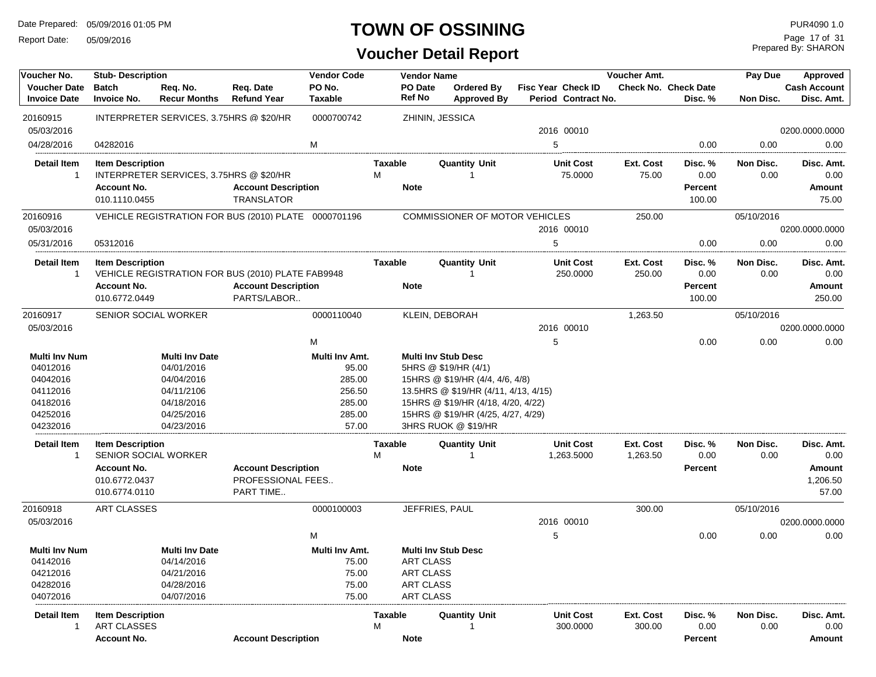Report Date: 05/09/2016

### **TOWN OF OSSINING**

### **Voucher Detail Report**

Prepared By: SHARON Page 17 of 31

| Voucher No.                                | <b>Stub-Description</b>            |                                         |                                                      | <b>Vendor Code</b>       |                          | <b>Vendor Name</b>                    |                                                  | Voucher Amt. |                                        | Pay Due    | Approved                          |
|--------------------------------------------|------------------------------------|-----------------------------------------|------------------------------------------------------|--------------------------|--------------------------|---------------------------------------|--------------------------------------------------|--------------|----------------------------------------|------------|-----------------------------------|
| <b>Voucher Date</b><br><b>Invoice Date</b> | <b>Batch</b><br><b>Invoice No.</b> | Req. No.<br><b>Recur Months</b>         | Req. Date<br><b>Refund Year</b>                      | PO No.<br><b>Taxable</b> | <b>PO Date</b><br>Ref No | Ordered By<br><b>Approved By</b>      | <b>Fisc Year Check ID</b><br>Period Contract No. |              | <b>Check No. Check Date</b><br>Disc. % | Non Disc.  | <b>Cash Account</b><br>Disc. Amt. |
| 20160915                                   |                                    | INTERPRETER SERVICES, 3.75HRS @ \$20/HR |                                                      | 0000700742               |                          | ZHININ, JESSICA                       |                                                  |              |                                        |            |                                   |
| 05/03/2016                                 |                                    |                                         |                                                      |                          |                          |                                       | 2016 00010                                       |              |                                        |            | 0200.0000.0000                    |
| 04/28/2016                                 | 04282016                           |                                         |                                                      | M                        |                          |                                       | 5                                                |              | 0.00                                   | 0.00       | 0.00                              |
| Detail Item                                | <b>Item Description</b>            |                                         |                                                      |                          | Taxable                  | <b>Quantity Unit</b>                  | <b>Unit Cost</b>                                 | Ext. Cost    | Disc. %                                | Non Disc.  | Disc. Amt.                        |
| $\overline{1}$                             |                                    | INTERPRETER SERVICES, 3.75HRS @ \$20/HR |                                                      |                          | м                        |                                       | 75.0000                                          | 75.00        | 0.00                                   | 0.00       | 0.00                              |
|                                            | <b>Account No.</b>                 |                                         | <b>Account Description</b>                           |                          | <b>Note</b>              |                                       |                                                  |              | Percent                                |            | <b>Amount</b>                     |
|                                            | 010.1110.0455                      |                                         | <b>TRANSLATOR</b>                                    |                          |                          |                                       |                                                  |              | 100.00                                 |            | 75.00                             |
| 20160916                                   |                                    |                                         | VEHICLE REGISTRATION FOR BUS (2010) PLATE 0000701196 |                          |                          | <b>COMMISSIONER OF MOTOR VEHICLES</b> |                                                  | 250.00       |                                        | 05/10/2016 |                                   |
| 05/03/2016                                 |                                    |                                         |                                                      |                          |                          |                                       | 2016 00010                                       |              |                                        |            | 0200.0000.0000                    |
| 05/31/2016                                 | 05312016                           |                                         |                                                      |                          |                          |                                       | 5                                                |              | 0.00                                   | 0.00       | 0.00                              |
| <b>Detail Item</b>                         | <b>Item Description</b>            |                                         |                                                      |                          | Taxable                  | <b>Quantity Unit</b>                  | <b>Unit Cost</b>                                 | Ext. Cost    | Disc. %                                | Non Disc.  | Disc. Amt.                        |
| -1                                         |                                    |                                         | VEHICLE REGISTRATION FOR BUS (2010) PLATE FAB9948    |                          |                          |                                       | 250.0000                                         | 250.00       | 0.00                                   | 0.00       | 0.00                              |
|                                            | <b>Account No.</b>                 |                                         | <b>Account Description</b>                           |                          | <b>Note</b>              |                                       |                                                  |              | Percent                                |            | <b>Amount</b>                     |
|                                            | 010.6772.0449                      |                                         | PARTS/LABOR                                          |                          |                          |                                       |                                                  |              | 100.00                                 |            | 250.00                            |
| 20160917                                   | SENIOR SOCIAL WORKER               |                                         |                                                      | 0000110040               |                          | KLEIN, DEBORAH                        |                                                  | 1,263.50     |                                        | 05/10/2016 |                                   |
| 05/03/2016                                 |                                    |                                         |                                                      |                          |                          |                                       | 2016 00010                                       |              |                                        |            | 0200.0000.0000                    |
|                                            |                                    |                                         |                                                      | M                        |                          |                                       | 5                                                |              | 0.00                                   | 0.00       | 0.00                              |
| <b>Multi Inv Num</b>                       |                                    | <b>Multi Inv Date</b>                   |                                                      | Multi Inv Amt.           |                          | <b>Multi Inv Stub Desc</b>            |                                                  |              |                                        |            |                                   |
| 04012016                                   |                                    | 04/01/2016                              |                                                      | 95.00                    |                          | 5HRS @ \$19/HR (4/1)                  |                                                  |              |                                        |            |                                   |
| 04042016                                   |                                    | 04/04/2016                              |                                                      | 285.00                   |                          | 15HRS @ \$19/HR (4/4, 4/6, 4/8)       |                                                  |              |                                        |            |                                   |
| 04112016                                   |                                    | 04/11/2106                              |                                                      | 256.50                   |                          | 13.5HRS @ \$19/HR (4/11, 4/13, 4/15)  |                                                  |              |                                        |            |                                   |
| 04182016                                   |                                    | 04/18/2016                              |                                                      | 285.00                   |                          | 15HRS @ \$19/HR (4/18, 4/20, 4/22)    |                                                  |              |                                        |            |                                   |
| 04252016                                   |                                    | 04/25/2016                              |                                                      | 285.00                   |                          | 15HRS @ \$19/HR (4/25, 4/27, 4/29)    |                                                  |              |                                        |            |                                   |
| 04232016                                   |                                    | 04/23/2016                              |                                                      | 57.00                    |                          | 3HRS RUOK @ \$19/HR                   |                                                  |              |                                        |            |                                   |
| <b>Detail Item</b>                         | <b>Item Description</b>            |                                         |                                                      |                          | Taxable                  | <b>Quantity Unit</b>                  | <b>Unit Cost</b>                                 | Ext. Cost    | Disc. %                                | Non Disc.  | Disc. Amt.                        |
| -1                                         | SENIOR SOCIAL WORKER               |                                         |                                                      |                          | М                        |                                       | 1,263.5000                                       | 1,263.50     | 0.00                                   | 0.00       | 0.00                              |
|                                            | <b>Account No.</b>                 |                                         | <b>Account Description</b>                           |                          | <b>Note</b>              |                                       |                                                  |              | Percent                                |            | <b>Amount</b>                     |
|                                            | 010.6772.0437                      |                                         | PROFESSIONAL FEES                                    |                          |                          |                                       |                                                  |              |                                        |            | 1,206.50                          |
|                                            | 010.6774.0110                      |                                         | PART TIME                                            |                          |                          |                                       |                                                  |              |                                        |            | 57.00                             |
| 20160918                                   | <b>ART CLASSES</b>                 |                                         |                                                      | 0000100003               |                          | JEFFRIES, PAUL                        |                                                  | 300.00       |                                        | 05/10/2016 |                                   |
| 05/03/2016                                 |                                    |                                         |                                                      |                          |                          |                                       | 2016 00010                                       |              |                                        |            | 0200.0000.0000                    |
|                                            |                                    |                                         |                                                      | M                        |                          |                                       | 5                                                |              | 0.00                                   | 0.00       | 0.00                              |
| Multi Inv Num                              |                                    | <b>Multi Inv Date</b>                   |                                                      | Multi Inv Amt.           |                          | <b>Multi Inv Stub Desc</b>            |                                                  |              |                                        |            |                                   |
| 04142016                                   |                                    | 04/14/2016                              |                                                      | 75.00                    |                          | <b>ART CLASS</b>                      |                                                  |              |                                        |            |                                   |
| 04212016                                   |                                    | 04/21/2016                              |                                                      | 75.00                    |                          | ART CLASS                             |                                                  |              |                                        |            |                                   |
| 04282016                                   |                                    | 04/28/2016                              |                                                      | 75.00                    |                          | <b>ART CLASS</b>                      |                                                  |              |                                        |            |                                   |
| 04072016                                   |                                    | 04/07/2016                              |                                                      | 75.00                    |                          | ART CLASS                             |                                                  |              |                                        |            |                                   |
| <b>Detail Item</b>                         | <b>Item Description</b>            |                                         |                                                      |                          | Taxable                  | <b>Quantity Unit</b>                  | <b>Unit Cost</b>                                 | Ext. Cost    | Disc. %                                | Non Disc.  | Disc. Amt.                        |
| $\overline{1}$                             | ART CLASSES                        |                                         |                                                      |                          | м                        |                                       | 300.0000                                         | 300.00       | 0.00                                   | 0.00       | 0.00                              |
|                                            | <b>Account No.</b>                 |                                         | <b>Account Description</b>                           |                          | <b>Note</b>              |                                       |                                                  |              | Percent                                |            | <b>Amount</b>                     |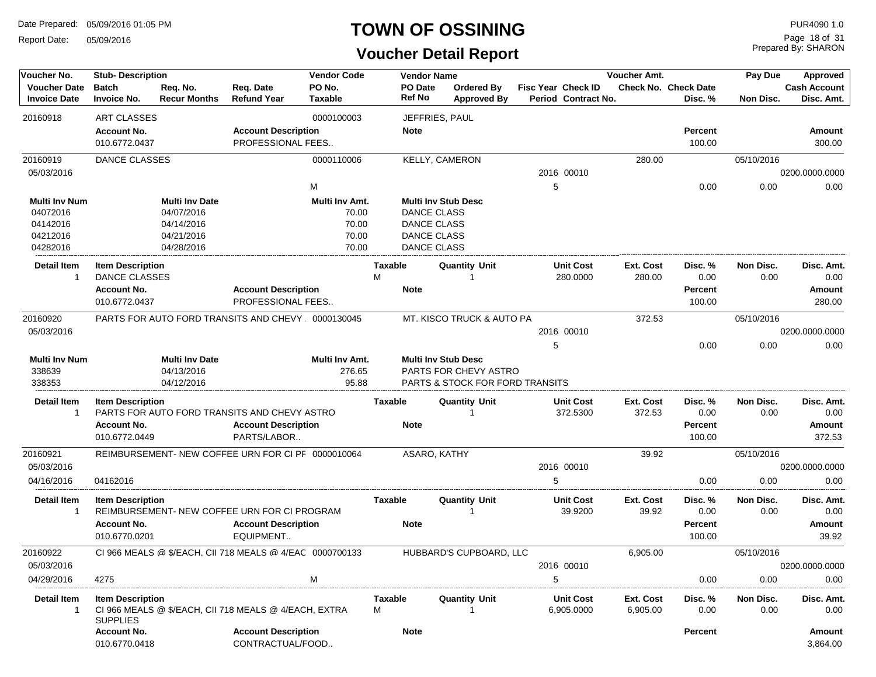Report Date: 05/09/2016

#### **TOWN OF OSSINING**

**Voucher Detail Report**

Prepared By: SHARON Page 18 of 31

| Voucher No.          | <b>Stub- Description</b> |                       |                                                          | <b>Vendor Code</b> |                | <b>Vendor Name</b> |                                            |                    |                     | Voucher Amt. |                      | Pay Due    | Approved            |
|----------------------|--------------------------|-----------------------|----------------------------------------------------------|--------------------|----------------|--------------------|--------------------------------------------|--------------------|---------------------|--------------|----------------------|------------|---------------------|
| <b>Voucher Date</b>  | <b>Batch</b>             | Req. No.              | Req. Date                                                | PO No.             |                | PO Date            | Ordered By                                 | Fisc Year Check ID |                     |              | Check No. Check Date |            | <b>Cash Account</b> |
| <b>Invoice Date</b>  | <b>Invoice No.</b>       | <b>Recur Months</b>   | <b>Refund Year</b>                                       | <b>Taxable</b>     |                | <b>Ref No</b>      | <b>Approved By</b>                         |                    | Period Contract No. |              | Disc. %              | Non Disc.  | Disc. Amt.          |
| 20160918             | ART CLASSES              |                       |                                                          | 0000100003         |                | JEFFRIES, PAUL     |                                            |                    |                     |              |                      |            |                     |
|                      | <b>Account No.</b>       |                       | <b>Account Description</b>                               |                    |                | <b>Note</b>        |                                            |                    |                     |              | <b>Percent</b>       |            | Amount              |
|                      | 010.6772.0437            |                       | PROFESSIONAL FEES                                        |                    |                |                    |                                            |                    |                     |              | 100.00               |            | 300.00              |
| 20160919             | <b>DANCE CLASSES</b>     |                       |                                                          | 0000110006         |                |                    | KELLY, CAMERON                             |                    |                     | 280.00       |                      | 05/10/2016 |                     |
| 05/03/2016           |                          |                       |                                                          |                    |                |                    |                                            | 2016 00010         |                     |              |                      |            | 0200.0000.0000      |
|                      |                          |                       |                                                          | M                  |                |                    |                                            | 5                  |                     |              | 0.00                 | 0.00       | 0.00                |
| <b>Multi Inv Num</b> |                          | <b>Multi Inv Date</b> |                                                          | Multi Inv Amt.     |                |                    | <b>Multi Inv Stub Desc</b>                 |                    |                     |              |                      |            |                     |
| 04072016             |                          | 04/07/2016            |                                                          | 70.00              |                | <b>DANCE CLASS</b> |                                            |                    |                     |              |                      |            |                     |
| 04142016             |                          | 04/14/2016            |                                                          | 70.00              |                | <b>DANCE CLASS</b> |                                            |                    |                     |              |                      |            |                     |
| 04212016             |                          | 04/21/2016            |                                                          | 70.00              |                | <b>DANCE CLASS</b> |                                            |                    |                     |              |                      |            |                     |
| 04282016             |                          | 04/28/2016            |                                                          | 70.00              |                | <b>DANCE CLASS</b> |                                            |                    |                     |              |                      |            |                     |
| <b>Detail Item</b>   | <b>Item Description</b>  |                       |                                                          |                    | Taxable        |                    | <b>Quantity Unit</b>                       |                    | <b>Unit Cost</b>    | Ext. Cost    | Disc. %              | Non Disc.  | Disc. Amt.          |
| $\mathbf{1}$         | <b>DANCE CLASSES</b>     |                       |                                                          |                    | M              |                    | 1                                          |                    | 280.0000            | 280.00       | 0.00                 | 0.00       | 0.00                |
|                      | <b>Account No.</b>       |                       | <b>Account Description</b>                               |                    |                | <b>Note</b>        |                                            |                    |                     |              | <b>Percent</b>       |            | Amount              |
|                      | 010.6772.0437            |                       | PROFESSIONAL FEES                                        |                    |                |                    |                                            |                    |                     |              | 100.00               |            | 280.00              |
| 20160920             |                          |                       | PARTS FOR AUTO FORD TRANSITS AND CHEVY 0000130045        |                    |                |                    | MT. KISCO TRUCK & AUTO PA                  |                    |                     | 372.53       |                      | 05/10/2016 |                     |
| 05/03/2016           |                          |                       |                                                          |                    |                |                    |                                            | 2016 00010         |                     |              |                      |            | 0200.0000.0000      |
|                      |                          |                       |                                                          |                    |                |                    |                                            | 5                  |                     |              | 0.00                 | 0.00       | 0.00                |
| <b>Multi Inv Num</b> |                          | <b>Multi Inv Date</b> |                                                          | Multi Inv Amt.     |                |                    | <b>Multi Inv Stub Desc</b>                 |                    |                     |              |                      |            |                     |
| 338639               |                          | 04/13/2016            |                                                          | 276.65             |                |                    | PARTS FOR CHEVY ASTRO                      |                    |                     |              |                      |            |                     |
| 338353               |                          | 04/12/2016            |                                                          | 95.88              |                |                    | <b>PARTS &amp; STOCK FOR FORD TRANSITS</b> |                    |                     |              |                      |            |                     |
| <b>Detail Item</b>   | <b>Item Description</b>  |                       |                                                          |                    | Taxable        |                    | <b>Quantity Unit</b>                       |                    | <b>Unit Cost</b>    | Ext. Cost    | Disc. %              | Non Disc.  | Disc. Amt.          |
| $\mathbf{1}$         |                          |                       | PARTS FOR AUTO FORD TRANSITS AND CHEVY ASTRO             |                    |                |                    | 1                                          |                    | 372.5300            | 372.53       | 0.00                 | 0.00       | 0.00                |
|                      | <b>Account No.</b>       |                       | <b>Account Description</b>                               |                    |                | <b>Note</b>        |                                            |                    |                     |              | <b>Percent</b>       |            | Amount              |
|                      | 010.6772.0449            |                       | PARTS/LABOR                                              |                    |                |                    |                                            |                    |                     |              | 100.00               |            | 372.53              |
| 20160921             |                          |                       | REIMBURSEMENT- NEW COFFEE URN FOR CI PF 0000010064       |                    |                | ASARO, KATHY       |                                            |                    |                     | 39.92        |                      | 05/10/2016 |                     |
| 05/03/2016           |                          |                       |                                                          |                    |                |                    |                                            | 2016 00010         |                     |              |                      |            | 0200.0000.0000      |
| 04/16/2016           | 04162016                 |                       |                                                          |                    |                |                    |                                            | 5                  |                     |              | 0.00                 | 0.00       | 0.00                |
| <b>Detail Item</b>   | <b>Item Description</b>  |                       |                                                          |                    | <b>Taxable</b> |                    | <b>Quantity Unit</b>                       |                    | <b>Unit Cost</b>    | Ext. Cost    | Disc. %              | Non Disc.  | Disc. Amt.          |
| $\overline{1}$       |                          |                       | REIMBURSEMENT- NEW COFFEE URN FOR CI PROGRAM             |                    |                |                    | 1                                          |                    | 39.9200             | 39.92        | 0.00                 | 0.00       | 0.00                |
|                      | <b>Account No.</b>       |                       | <b>Account Description</b>                               |                    |                | <b>Note</b>        |                                            |                    |                     |              | <b>Percent</b>       |            | <b>Amount</b>       |
|                      | 010.6770.0201            |                       | EQUIPMENT                                                |                    |                |                    |                                            |                    |                     |              | 100.00               |            | 39.92               |
| 20160922             |                          |                       | CI 966 MEALS @ \$/EACH, CII 718 MEALS @ 4/EAC 0000700133 |                    |                |                    | HUBBARD'S CUPBOARD. LLC                    |                    |                     | 6,905.00     |                      | 05/10/2016 |                     |
| 05/03/2016           |                          |                       |                                                          |                    |                |                    |                                            | 2016 00010         |                     |              |                      |            | 0200.0000.0000      |
| 04/29/2016           | 4275                     |                       |                                                          | M                  |                |                    |                                            | 5                  |                     |              | 0.00                 | 0.00       | 0.00                |
|                      |                          |                       |                                                          |                    |                |                    |                                            |                    |                     |              |                      |            |                     |
| <b>Detail Item</b>   | <b>Item Description</b>  |                       |                                                          |                    | <b>Taxable</b> |                    | <b>Quantity Unit</b>                       |                    | <b>Unit Cost</b>    | Ext. Cost    | Disc.%               | Non Disc.  | Disc. Amt.          |
| $\mathbf{1}$         | <b>SUPPLIES</b>          |                       | CI 966 MEALS @ \$/EACH, CII 718 MEALS @ 4/EACH, EXTRA    |                    | м              |                    | 1                                          |                    | 6,905.0000          | 6,905.00     | 0.00                 | 0.00       | 0.00                |
|                      | <b>Account No.</b>       |                       | <b>Account Description</b>                               |                    |                | <b>Note</b>        |                                            |                    |                     |              | Percent              |            | <b>Amount</b>       |
|                      | 010.6770.0418            |                       | CONTRACTUAL/FOOD                                         |                    |                |                    |                                            |                    |                     |              |                      |            | 3,864.00            |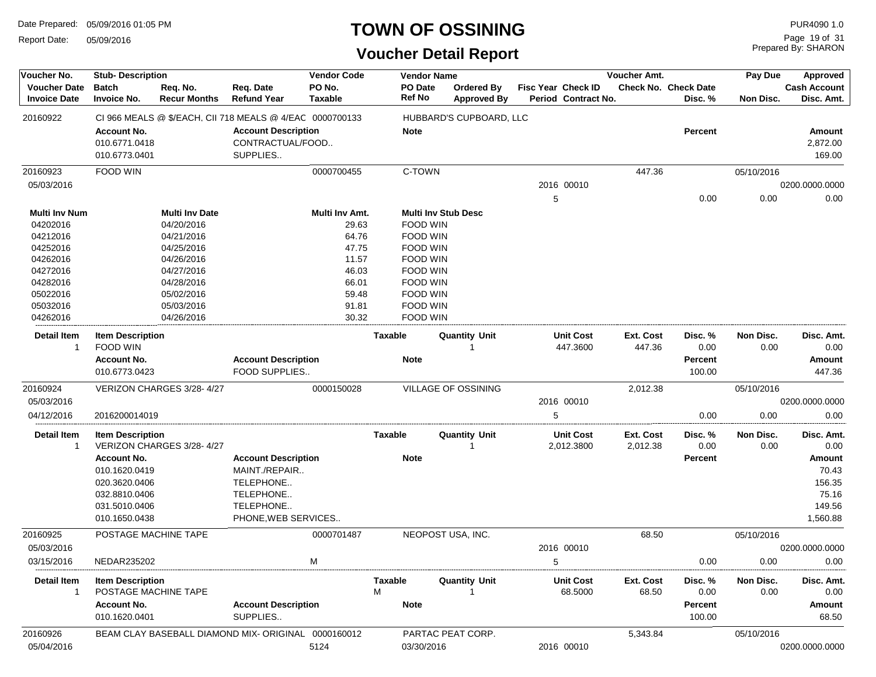Report Date: 05/09/2016

#### **TOWN OF OSSINING**

Prepared By: SHARON Page 19 of 31

| Voucher No.                                | <b>Stub-Description</b>                              |                                 |                                                            | <b>Vendor Code</b>       |         | <b>Vendor Name</b>       |                                  |   |                                                  | Voucher Amt. |                                        | Pay Due    | Approved                          |
|--------------------------------------------|------------------------------------------------------|---------------------------------|------------------------------------------------------------|--------------------------|---------|--------------------------|----------------------------------|---|--------------------------------------------------|--------------|----------------------------------------|------------|-----------------------------------|
| <b>Voucher Date</b><br><b>Invoice Date</b> | <b>Batch</b><br><b>Invoice No.</b>                   | Req. No.<br><b>Recur Months</b> | Req. Date<br><b>Refund Year</b>                            | PO No.<br><b>Taxable</b> |         | PO Date<br><b>Ref No</b> | Ordered By<br><b>Approved By</b> |   | <b>Fisc Year Check ID</b><br>Period Contract No. |              | <b>Check No. Check Date</b><br>Disc. % | Non Disc.  | <b>Cash Account</b><br>Disc. Amt. |
| 20160922                                   |                                                      |                                 | CI 966 MEALS @ \$/EACH, CII 718 MEALS @ 4/EAC 0000700133   |                          |         |                          | HUBBARD'S CUPBOARD, LLC          |   |                                                  |              |                                        |            |                                   |
|                                            | <b>Account No.</b><br>010.6771.0418<br>010.6773.0401 |                                 | <b>Account Description</b><br>CONTRACTUAL/FOOD<br>SUPPLIES |                          |         | <b>Note</b>              |                                  |   |                                                  |              | <b>Percent</b>                         |            | Amount<br>2,872.00<br>169.00      |
| 20160923                                   | FOOD WIN                                             |                                 |                                                            | 0000700455               |         | C-TOWN                   |                                  |   |                                                  | 447.36       |                                        | 05/10/2016 |                                   |
| 05/03/2016                                 |                                                      |                                 |                                                            |                          |         |                          |                                  |   | 2016 00010                                       |              |                                        |            | 0200.0000.0000                    |
|                                            |                                                      |                                 |                                                            |                          |         |                          |                                  | 5 |                                                  |              | 0.00                                   | 0.00       | 0.00                              |
| Multi Inv Num                              |                                                      | <b>Multi Inv Date</b>           |                                                            | Multi Inv Amt.           |         |                          | <b>Multi Inv Stub Desc</b>       |   |                                                  |              |                                        |            |                                   |
| 04202016                                   |                                                      | 04/20/2016                      |                                                            | 29.63                    |         | FOOD WIN                 |                                  |   |                                                  |              |                                        |            |                                   |
| 04212016                                   |                                                      | 04/21/2016                      |                                                            | 64.76                    |         | <b>FOOD WIN</b>          |                                  |   |                                                  |              |                                        |            |                                   |
| 04252016                                   |                                                      | 04/25/2016                      |                                                            | 47.75                    |         | <b>FOOD WIN</b>          |                                  |   |                                                  |              |                                        |            |                                   |
| 04262016                                   |                                                      | 04/26/2016                      |                                                            | 11.57                    |         | <b>FOOD WIN</b>          |                                  |   |                                                  |              |                                        |            |                                   |
| 04272016                                   |                                                      | 04/27/2016                      |                                                            | 46.03                    |         | <b>FOOD WIN</b>          |                                  |   |                                                  |              |                                        |            |                                   |
| 04282016                                   |                                                      | 04/28/2016                      |                                                            | 66.01                    |         | <b>FOOD WIN</b>          |                                  |   |                                                  |              |                                        |            |                                   |
| 05022016                                   |                                                      | 05/02/2016                      |                                                            | 59.48                    |         | <b>FOOD WIN</b>          |                                  |   |                                                  |              |                                        |            |                                   |
| 05032016                                   |                                                      | 05/03/2016                      |                                                            | 91.81                    |         | <b>FOOD WIN</b>          |                                  |   |                                                  |              |                                        |            |                                   |
| 04262016                                   |                                                      | 04/26/2016                      |                                                            | 30.32                    |         | FOOD WIN                 |                                  |   |                                                  |              |                                        |            |                                   |
| <b>Detail Item</b>                         | <b>Item Description</b>                              |                                 |                                                            |                          | Taxable |                          |                                  |   | <b>Unit Cost</b>                                 | Ext. Cost    |                                        | Non Disc.  |                                   |
| $\overline{1}$                             | <b>FOOD WIN</b>                                      |                                 |                                                            |                          |         |                          | <b>Quantity Unit</b>             |   | 447.3600                                         | 447.36       | Disc. %<br>0.00                        | 0.00       | Disc. Amt.<br>0.00                |
|                                            |                                                      |                                 |                                                            |                          |         |                          |                                  |   |                                                  |              |                                        |            |                                   |
|                                            | <b>Account No.</b>                                   |                                 | <b>Account Description</b>                                 |                          |         | <b>Note</b>              |                                  |   |                                                  |              | <b>Percent</b>                         |            | Amount                            |
|                                            | 010.6773.0423                                        |                                 | FOOD SUPPLIES                                              |                          |         |                          |                                  |   |                                                  |              | 100.00                                 |            | 447.36                            |
| 20160924                                   |                                                      | VERIZON CHARGES 3/28-4/27       |                                                            | 0000150028               |         |                          | VILLAGE OF OSSINING              |   |                                                  | 2,012.38     |                                        | 05/10/2016 |                                   |
| 05/03/2016                                 |                                                      |                                 |                                                            |                          |         |                          |                                  |   | 2016 00010                                       |              |                                        |            | 0200.0000.0000                    |
| 04/12/2016                                 | 2016200014019                                        |                                 |                                                            |                          |         |                          |                                  | 5 |                                                  |              | 0.00                                   | 0.00       | 0.00                              |
| <b>Detail Item</b>                         | <b>Item Description</b>                              |                                 |                                                            |                          | Taxable |                          | <b>Quantity Unit</b>             |   | <b>Unit Cost</b>                                 | Ext. Cost    | Disc. %                                | Non Disc.  | Disc. Amt.                        |
| -1                                         |                                                      | VERIZON CHARGES 3/28-4/27       |                                                            |                          |         |                          |                                  |   | 2,012.3800                                       | 2,012.38     | 0.00                                   | 0.00       | 0.00                              |
|                                            | <b>Account No.</b>                                   |                                 | <b>Account Description</b>                                 |                          |         | <b>Note</b>              |                                  |   |                                                  |              | <b>Percent</b>                         |            | Amount                            |
|                                            | 010.1620.0419                                        |                                 | MAINT./REPAIR                                              |                          |         |                          |                                  |   |                                                  |              |                                        |            | 70.43                             |
|                                            | 020.3620.0406                                        |                                 | TELEPHONE                                                  |                          |         |                          |                                  |   |                                                  |              |                                        |            | 156.35                            |
|                                            | 032.8810.0406                                        |                                 | TELEPHONE                                                  |                          |         |                          |                                  |   |                                                  |              |                                        |            | 75.16                             |
|                                            |                                                      |                                 |                                                            |                          |         |                          |                                  |   |                                                  |              |                                        |            |                                   |
|                                            | 031.5010.0406                                        |                                 | TELEPHONE                                                  |                          |         |                          |                                  |   |                                                  |              |                                        |            | 149.56                            |
|                                            | 010.1650.0438                                        |                                 | PHONE, WEB SERVICES                                        |                          |         |                          |                                  |   |                                                  |              |                                        |            | 1,560.88                          |
| 20160925                                   | POSTAGE MACHINE TAPE                                 |                                 |                                                            | 0000701487               |         |                          | NEOPOST USA, INC.                |   |                                                  | 68.50        |                                        | 05/10/2016 |                                   |
| 05/03/2016                                 |                                                      |                                 |                                                            |                          |         |                          |                                  |   | 2016 00010                                       |              |                                        |            | 0200.0000.0000                    |
| 03/15/2016                                 | NEDAR235202                                          |                                 |                                                            | M                        |         |                          |                                  | 5 |                                                  |              | 0.00                                   | 0.00       | 0.00                              |
| Detail Item                                | <b>Item Description</b>                              |                                 |                                                            |                          | Taxable |                          | <b>Quantity Unit</b>             |   | <b>Unit Cost</b>                                 | Ext. Cost    | Disc. %                                | Non Disc.  | Disc. Amt.                        |
| -1                                         | POSTAGE MACHINE TAPE                                 |                                 |                                                            |                          | м       |                          |                                  |   | 68.5000                                          | 68.50        | 0.00                                   | 0.00       | 0.00                              |
|                                            | <b>Account No.</b>                                   |                                 | <b>Account Description</b>                                 |                          |         | <b>Note</b>              |                                  |   |                                                  |              | Percent                                |            | Amount                            |
|                                            | 010.1620.0401                                        |                                 | SUPPLIES                                                   |                          |         |                          |                                  |   |                                                  |              | 100.00                                 |            | 68.50                             |
| 20160926                                   |                                                      |                                 | BEAM CLAY BASEBALL DIAMOND MIX-ORIGINAL 0000160012         |                          |         |                          | PARTAC PEAT CORP.                |   |                                                  | 5,343.84     |                                        | 05/10/2016 |                                   |
|                                            |                                                      |                                 |                                                            |                          |         |                          |                                  |   |                                                  |              |                                        |            |                                   |
| 05/04/2016                                 |                                                      |                                 |                                                            | 5124                     |         | 03/30/2016               |                                  |   | 2016 00010                                       |              |                                        |            | 0200.0000.0000                    |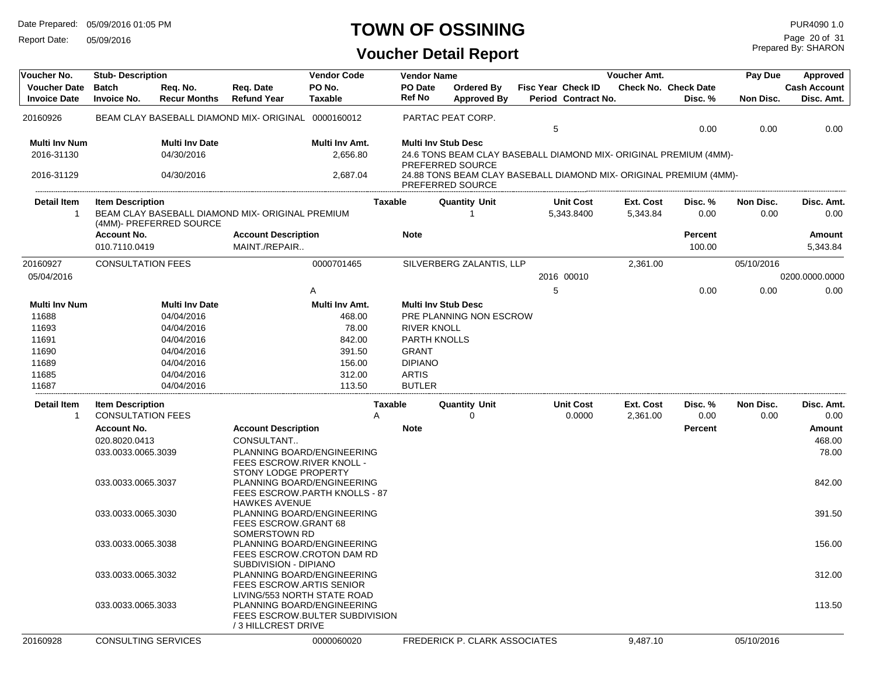Report Date: 05/09/2016

### **TOWN OF OSSINING**

### **Voucher Detail Report**

Prepared By: SHARON Page 20 of 31

| Voucher No.                                | <b>Stub-Description</b>            |                                 |                                                                                                                   | <b>Vendor Code</b>       |                | <b>Vendor Name</b>       |                                                                                        |   |                                                  | Voucher Amt.                 |                                        | Pay Due           | Approved                          |
|--------------------------------------------|------------------------------------|---------------------------------|-------------------------------------------------------------------------------------------------------------------|--------------------------|----------------|--------------------------|----------------------------------------------------------------------------------------|---|--------------------------------------------------|------------------------------|----------------------------------------|-------------------|-----------------------------------|
| <b>Voucher Date</b><br><b>Invoice Date</b> | <b>Batch</b><br><b>Invoice No.</b> | Req. No.<br><b>Recur Months</b> | Req. Date<br><b>Refund Year</b>                                                                                   | PO No.<br><b>Taxable</b> |                | PO Date<br><b>Ref No</b> | Ordered By<br><b>Approved By</b>                                                       |   | <b>Fisc Year Check ID</b><br>Period Contract No. |                              | <b>Check No. Check Date</b><br>Disc. % | Non Disc.         | <b>Cash Account</b><br>Disc. Amt. |
| 20160926                                   |                                    |                                 | BEAM CLAY BASEBALL DIAMOND MIX- ORIGINAL 0000160012                                                               |                          |                |                          | PARTAC PEAT CORP.                                                                      | 5 |                                                  |                              | 0.00                                   | 0.00              | 0.00                              |
| <b>Multi Inv Num</b>                       |                                    | <b>Multi Inv Date</b>           |                                                                                                                   | Multi Inv Amt.           |                |                          | <b>Multi Inv Stub Desc</b>                                                             |   |                                                  |                              |                                        |                   |                                   |
| 2016-31130                                 |                                    | 04/30/2016                      |                                                                                                                   | 2,656.80                 |                |                          | 24.6 TONS BEAM CLAY BASEBALL DIAMOND MIX- ORIGINAL PREMIUM (4MM)-                      |   |                                                  |                              |                                        |                   |                                   |
| 2016-31129                                 |                                    | 04/30/2016                      |                                                                                                                   | 2,687.04                 |                |                          | PREFERRED SOURCE<br>24.88 TONS BEAM CLAY BASEBALL DIAMOND MIX- ORIGINAL PREMIUM (4MM)- |   |                                                  |                              |                                        |                   |                                   |
|                                            |                                    |                                 |                                                                                                                   |                          |                |                          | PREFERRED SOURCE                                                                       |   |                                                  |                              |                                        |                   |                                   |
| <b>Detail Item</b><br>-1                   | <b>Item Description</b>            | (4MM)- PREFERRED SOURCE         | BEAM CLAY BASEBALL DIAMOND MIX- ORIGINAL PREMIUM                                                                  |                          | <b>Taxable</b> |                          | <b>Quantity Unit</b><br>-1                                                             |   | <b>Unit Cost</b><br>5,343.8400                   | <b>Ext. Cost</b><br>5,343.84 | Disc. %<br>0.00                        | Non Disc.<br>0.00 | Disc. Amt.<br>0.00                |
|                                            | <b>Account No.</b>                 |                                 | <b>Account Description</b>                                                                                        |                          |                | <b>Note</b>              |                                                                                        |   |                                                  |                              | <b>Percent</b>                         |                   | Amount                            |
|                                            | 010.7110.0419                      |                                 | MAINT./REPAIR                                                                                                     |                          |                |                          |                                                                                        |   |                                                  |                              | 100.00                                 |                   | 5,343.84                          |
| 20160927                                   | <b>CONSULTATION FEES</b>           |                                 |                                                                                                                   | 0000701465               |                |                          | SILVERBERG ZALANTIS, LLP                                                               |   |                                                  | 2,361.00                     |                                        | 05/10/2016        |                                   |
| 05/04/2016                                 |                                    |                                 |                                                                                                                   |                          |                |                          |                                                                                        |   | 2016 00010                                       |                              |                                        |                   | 0200.0000.0000                    |
|                                            |                                    |                                 |                                                                                                                   | Α                        |                |                          |                                                                                        | 5 |                                                  |                              | 0.00                                   | 0.00              | 0.00                              |
| <b>Multi Inv Num</b>                       |                                    | <b>Multi Inv Date</b>           |                                                                                                                   | Multi Inv Amt.           |                |                          | <b>Multi Inv Stub Desc</b>                                                             |   |                                                  |                              |                                        |                   |                                   |
| 11688                                      |                                    | 04/04/2016                      |                                                                                                                   | 468.00                   |                |                          | PRE PLANNING NON ESCROW                                                                |   |                                                  |                              |                                        |                   |                                   |
| 11693                                      |                                    | 04/04/2016                      |                                                                                                                   | 78.00                    |                | <b>RIVER KNOLL</b>       |                                                                                        |   |                                                  |                              |                                        |                   |                                   |
| 11691                                      |                                    | 04/04/2016                      |                                                                                                                   | 842.00                   |                | PARTH KNOLLS             |                                                                                        |   |                                                  |                              |                                        |                   |                                   |
| 11690                                      |                                    | 04/04/2016                      |                                                                                                                   | 391.50                   |                | <b>GRANT</b>             |                                                                                        |   |                                                  |                              |                                        |                   |                                   |
| 11689                                      |                                    | 04/04/2016                      |                                                                                                                   | 156.00                   |                | <b>DIPIANO</b>           |                                                                                        |   |                                                  |                              |                                        |                   |                                   |
| 11685                                      |                                    | 04/04/2016                      |                                                                                                                   | 312.00                   |                | <b>ARTIS</b>             |                                                                                        |   |                                                  |                              |                                        |                   |                                   |
| 11687                                      |                                    | 04/04/2016                      |                                                                                                                   | 113.50                   |                | <b>BUTLER</b>            |                                                                                        |   |                                                  |                              |                                        |                   |                                   |
| Detail Item                                | <b>Item Description</b>            |                                 |                                                                                                                   |                          | <b>Taxable</b> |                          | <b>Quantity Unit</b>                                                                   |   | <b>Unit Cost</b>                                 | Ext. Cost                    | Disc. %                                | Non Disc.         | Disc. Amt.                        |
| -1                                         | <b>CONSULTATION FEES</b>           |                                 |                                                                                                                   |                          | Α              |                          | $\Omega$                                                                               |   | 0.0000                                           | 2,361.00                     | 0.00                                   | 0.00              | 0.00                              |
|                                            | <b>Account No.</b>                 |                                 | <b>Account Description</b>                                                                                        |                          |                | <b>Note</b>              |                                                                                        |   |                                                  |                              | <b>Percent</b>                         |                   | Amount                            |
|                                            | 020.8020.0413                      |                                 | CONSULTANT                                                                                                        |                          |                |                          |                                                                                        |   |                                                  |                              |                                        |                   | 468.00                            |
|                                            |                                    |                                 | PLANNING BOARD/ENGINEERING                                                                                        |                          |                |                          |                                                                                        |   |                                                  |                              |                                        |                   | 78.00                             |
|                                            | 033.0033.0065.3039                 |                                 | FEES ESCROW.RIVER KNOLL -<br>STONY LODGE PROPERTY                                                                 |                          |                |                          |                                                                                        |   |                                                  |                              |                                        |                   |                                   |
|                                            | 033.0033.0065.3037                 |                                 | PLANNING BOARD/ENGINEERING<br>FEES ESCROW.PARTH KNOLLS - 87                                                       |                          |                |                          |                                                                                        |   |                                                  |                              |                                        |                   | 842.00                            |
|                                            | 033.0033.0065.3030                 |                                 | <b>HAWKES AVENUE</b><br>PLANNING BOARD/ENGINEERING<br>FEES ESCROW.GRANT 68                                        |                          |                |                          |                                                                                        |   |                                                  |                              |                                        |                   | 391.50                            |
|                                            | 033.0033.0065.3038                 |                                 | SOMERSTOWN RD<br>PLANNING BOARD/ENGINEERING<br>FEES ESCROW.CROTON DAM RD                                          |                          |                |                          |                                                                                        |   |                                                  |                              |                                        |                   | 156.00                            |
|                                            | 033.0033.0065.3032                 |                                 | SUBDIVISION - DIPIANO<br>PLANNING BOARD/ENGINEERING<br><b>FEES ESCROW.ARTIS SENIOR</b>                            |                          |                |                          |                                                                                        |   |                                                  |                              |                                        |                   | 312.00                            |
|                                            | 033.0033.0065.3033                 |                                 | LIVING/553 NORTH STATE ROAD<br>PLANNING BOARD/ENGINEERING<br>FEES ESCROW.BULTER SUBDIVISION<br>/3 HILLCREST DRIVE |                          |                |                          |                                                                                        |   |                                                  |                              |                                        |                   | 113.50                            |
| 20160928                                   | <b>CONSULTING SERVICES</b>         |                                 |                                                                                                                   | 0000060020               |                |                          | FREDERICK P. CLARK ASSOCIATES                                                          |   |                                                  | 9,487.10                     |                                        | 05/10/2016        |                                   |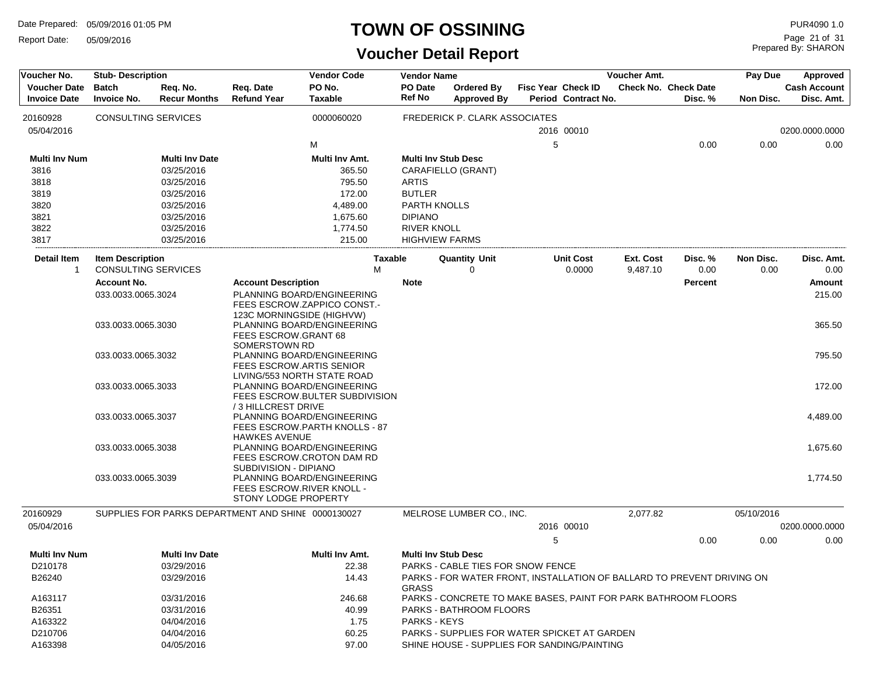Report Date: 05/09/2016

#### **TOWN OF OSSINING**

| Voucher No.                                | <b>Stub- Description</b>                              |                                 |                                                                            | <b>Vendor Code</b>                                           | <b>Vendor Name</b>         |                                                                        |   |                                                  | Voucher Amt.          |                                        | Pay Due           | Approved                          |
|--------------------------------------------|-------------------------------------------------------|---------------------------------|----------------------------------------------------------------------------|--------------------------------------------------------------|----------------------------|------------------------------------------------------------------------|---|--------------------------------------------------|-----------------------|----------------------------------------|-------------------|-----------------------------------|
| <b>Voucher Date</b><br><b>Invoice Date</b> | <b>Batch</b><br><b>Invoice No.</b>                    | Req. No.<br><b>Recur Months</b> | Req. Date<br><b>Refund Year</b>                                            | PO No.<br><b>Taxable</b>                                     | PO Date<br><b>Ref No</b>   | <b>Ordered Bv</b><br><b>Approved By</b>                                |   | <b>Fisc Year Check ID</b><br>Period Contract No. |                       | <b>Check No. Check Date</b><br>Disc. % | Non Disc.         | <b>Cash Account</b><br>Disc. Amt. |
| 20160928                                   | <b>CONSULTING SERVICES</b>                            |                                 |                                                                            | 0000060020                                                   |                            | FREDERICK P. CLARK ASSOCIATES                                          |   |                                                  |                       |                                        |                   |                                   |
| 05/04/2016                                 |                                                       |                                 |                                                                            |                                                              |                            |                                                                        |   | 2016 00010                                       |                       |                                        |                   | 0200.0000.0000                    |
|                                            |                                                       |                                 |                                                                            | M                                                            |                            |                                                                        | 5 |                                                  |                       | 0.00                                   | 0.00              | 0.00                              |
| <b>Multi Inv Num</b>                       |                                                       | <b>Multi Inv Date</b>           |                                                                            | Multi Inv Amt.                                               | <b>Multi Inv Stub Desc</b> |                                                                        |   |                                                  |                       |                                        |                   |                                   |
| 3816                                       |                                                       | 03/25/2016                      |                                                                            | 365.50                                                       |                            | CARAFIELLO (GRANT)                                                     |   |                                                  |                       |                                        |                   |                                   |
| 3818                                       |                                                       | 03/25/2016                      |                                                                            | 795.50                                                       | <b>ARTIS</b>               |                                                                        |   |                                                  |                       |                                        |                   |                                   |
| 3819                                       |                                                       | 03/25/2016                      |                                                                            | 172.00                                                       | <b>BUTLER</b>              |                                                                        |   |                                                  |                       |                                        |                   |                                   |
| 3820                                       |                                                       | 03/25/2016                      |                                                                            | 4,489.00                                                     | PARTH KNOLLS               |                                                                        |   |                                                  |                       |                                        |                   |                                   |
| 3821                                       |                                                       | 03/25/2016                      |                                                                            | 1,675.60                                                     | <b>DIPIANO</b>             |                                                                        |   |                                                  |                       |                                        |                   |                                   |
| 3822                                       |                                                       | 03/25/2016                      |                                                                            | 1,774.50                                                     | <b>RIVER KNOLL</b>         |                                                                        |   |                                                  |                       |                                        |                   |                                   |
| 3817                                       |                                                       | 03/25/2016                      |                                                                            | 215.00                                                       | <b>HIGHVIEW FARMS</b>      |                                                                        |   |                                                  |                       |                                        |                   |                                   |
| Detail Item<br>$\mathbf 1$                 | <b>Item Description</b><br><b>CONSULTING SERVICES</b> |                                 |                                                                            | <b>Taxable</b><br>М                                          |                            | <b>Quantity Unit</b><br>0                                              |   | <b>Unit Cost</b><br>0.0000                       | Ext. Cost<br>9,487.10 | Disc. %<br>0.00                        | Non Disc.<br>0.00 | Disc. Amt.<br>0.00                |
|                                            | <b>Account No.</b>                                    |                                 | <b>Account Description</b>                                                 |                                                              | <b>Note</b>                |                                                                        |   |                                                  |                       | <b>Percent</b>                         |                   | Amount                            |
|                                            | 033.0033.0065.3024                                    |                                 | 123C MORNINGSIDE (HIGHVW)                                                  | PLANNING BOARD/ENGINEERING<br>FEES ESCROW.ZAPPICO CONST.     |                            |                                                                        |   |                                                  |                       |                                        |                   | 215.00                            |
|                                            | 033.0033.0065.3030                                    |                                 | FEES ESCROW.GRANT 68<br>SOMERSTOWN RD                                      | PLANNING BOARD/ENGINEERING                                   |                            |                                                                        |   |                                                  |                       |                                        |                   | 365.50                            |
|                                            | 033.0033.0065.3032                                    |                                 | FEES ESCROW.ARTIS SENIOR                                                   | PLANNING BOARD/ENGINEERING<br>LIVING/553 NORTH STATE ROAD    |                            |                                                                        |   |                                                  |                       |                                        |                   | 795.50                            |
|                                            | 033.0033.0065.3033                                    |                                 | / 3 HILLCREST DRIVE                                                        | PLANNING BOARD/ENGINEERING<br>FEES ESCROW.BULTER SUBDIVISION |                            |                                                                        |   |                                                  |                       |                                        |                   | 172.00                            |
|                                            | 033.0033.0065.3037                                    |                                 | <b>HAWKES AVENUE</b>                                                       | PLANNING BOARD/ENGINEERING<br>FEES ESCROW.PARTH KNOLLS - 87  |                            |                                                                        |   |                                                  |                       |                                        |                   | 4,489.00                          |
|                                            | 033.0033.0065.3038                                    |                                 |                                                                            | PLANNING BOARD/ENGINEERING<br>FEES ESCROW.CROTON DAM RD      |                            |                                                                        |   |                                                  |                       |                                        |                   | 1,675.60                          |
|                                            | 033.0033.0065.3039                                    |                                 | SUBDIVISION - DIPIANO<br>FEES ESCROW.RIVER KNOLL -<br>STONY LODGE PROPERTY | PLANNING BOARD/ENGINEERING                                   |                            |                                                                        |   |                                                  |                       |                                        |                   | 1,774.50                          |
| 20160929                                   |                                                       |                                 | SUPPLIES FOR PARKS DEPARTMENT AND SHINE 0000130027                         |                                                              |                            | MELROSE LUMBER CO., INC.                                               |   |                                                  | 2,077.82              |                                        | 05/10/2016        |                                   |
| 05/04/2016                                 |                                                       |                                 |                                                                            |                                                              |                            |                                                                        |   | 2016 00010                                       |                       |                                        |                   | 0200.0000.0000                    |
|                                            |                                                       |                                 |                                                                            |                                                              |                            |                                                                        | 5 |                                                  |                       | 0.00                                   | 0.00              | 0.00                              |
| <b>Multi Inv Num</b>                       |                                                       | <b>Multi Inv Date</b>           |                                                                            | Multi Inv Amt.                                               | <b>Multi Inv Stub Desc</b> |                                                                        |   |                                                  |                       |                                        |                   |                                   |
| D210178                                    |                                                       | 03/29/2016                      |                                                                            | 22.38                                                        |                            | PARKS - CABLE TIES FOR SNOW FENCE                                      |   |                                                  |                       |                                        |                   |                                   |
| B26240                                     |                                                       | 03/29/2016                      |                                                                            | 14.43                                                        | <b>GRASS</b>               | PARKS - FOR WATER FRONT, INSTALLATION OF BALLARD TO PREVENT DRIVING ON |   |                                                  |                       |                                        |                   |                                   |
| A163117                                    |                                                       | 03/31/2016                      |                                                                            | 246.68                                                       |                            | PARKS - CONCRETE TO MAKE BASES, PAINT FOR PARK BATHROOM FLOORS         |   |                                                  |                       |                                        |                   |                                   |
| B26351                                     |                                                       | 03/31/2016                      |                                                                            | 40.99                                                        |                            | PARKS - BATHROOM FLOORS                                                |   |                                                  |                       |                                        |                   |                                   |
| A163322                                    |                                                       | 04/04/2016                      |                                                                            | 1.75                                                         | <b>PARKS - KEYS</b>        |                                                                        |   |                                                  |                       |                                        |                   |                                   |
| D210706                                    |                                                       | 04/04/2016                      |                                                                            | 60.25                                                        |                            | PARKS - SUPPLIES FOR WATER SPICKET AT GARDEN                           |   |                                                  |                       |                                        |                   |                                   |
| A163398                                    |                                                       | 04/05/2016                      |                                                                            | 97.00                                                        |                            | SHINE HOUSE - SUPPLIES FOR SANDING/PAINTING                            |   |                                                  |                       |                                        |                   |                                   |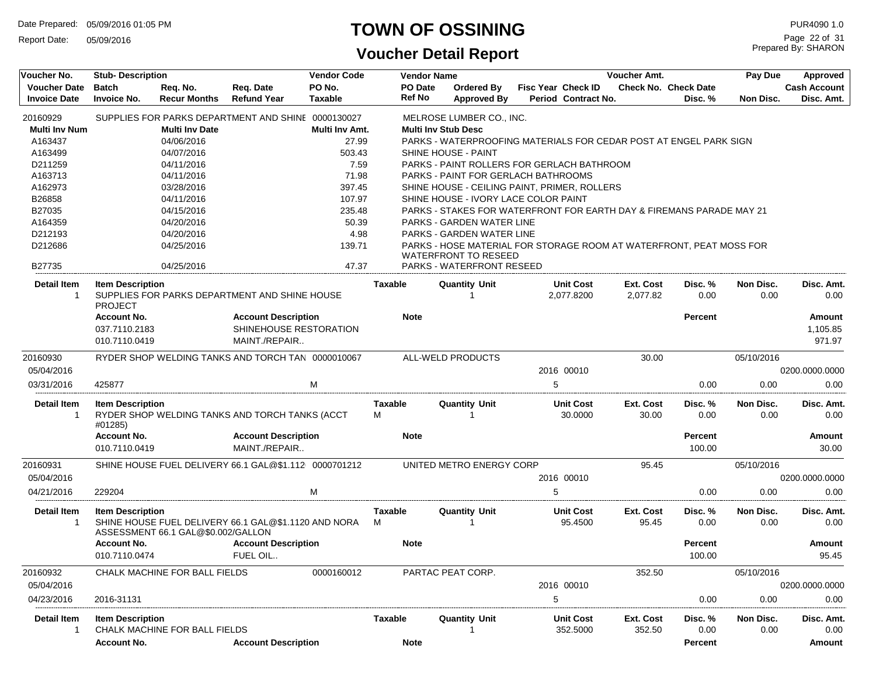Report Date: 05/09/2016

#### **TOWN OF OSSINING**

| Voucher No.          | <b>Stub-Description</b> |                                    |                                                       | <b>Vendor Code</b> |                | Vendor Name                |                                                                      |   |                                | Voucher Amt.          |                             | Pay Due           | Approved            |
|----------------------|-------------------------|------------------------------------|-------------------------------------------------------|--------------------|----------------|----------------------------|----------------------------------------------------------------------|---|--------------------------------|-----------------------|-----------------------------|-------------------|---------------------|
| <b>Voucher Date</b>  | <b>Batch</b>            | Req. No.                           | Req. Date                                             | PO No.             |                | PO Date                    | Ordered By                                                           |   | <b>Fisc Year Check ID</b>      |                       | <b>Check No. Check Date</b> |                   | <b>Cash Account</b> |
| <b>Invoice Date</b>  | <b>Invoice No.</b>      | <b>Recur Months</b>                | <b>Refund Year</b>                                    | <b>Taxable</b>     |                | <b>Ref No</b>              | <b>Approved By</b>                                                   |   | Period Contract No.            |                       | Disc. %                     | Non Disc.         | Disc. Amt.          |
| 20160929             |                         |                                    | SUPPLIES FOR PARKS DEPARTMENT AND SHINE 0000130027    |                    |                |                            | MELROSE LUMBER CO., INC.                                             |   |                                |                       |                             |                   |                     |
| <b>Multi Inv Num</b> |                         | <b>Multi Inv Date</b>              |                                                       | Multi Inv Amt.     |                | <b>Multi Inv Stub Desc</b> |                                                                      |   |                                |                       |                             |                   |                     |
| A163437              |                         | 04/06/2016                         |                                                       | 27.99              |                |                            | PARKS - WATERPROOFING MATERIALS FOR CEDAR POST AT ENGEL PARK SIGN    |   |                                |                       |                             |                   |                     |
| A163499              |                         | 04/07/2016                         |                                                       | 503.43             |                |                            | SHINE HOUSE - PAINT                                                  |   |                                |                       |                             |                   |                     |
| D211259              |                         | 04/11/2016                         |                                                       | 7.59               |                |                            | PARKS - PAINT ROLLERS FOR GERLACH BATHROOM                           |   |                                |                       |                             |                   |                     |
| A163713              |                         | 04/11/2016                         |                                                       | 71.98              |                |                            | <b>PARKS - PAINT FOR GERLACH BATHROOMS</b>                           |   |                                |                       |                             |                   |                     |
| A162973              |                         | 03/28/2016                         |                                                       | 397.45             |                |                            | SHINE HOUSE - CEILING PAINT, PRIMER, ROLLERS                         |   |                                |                       |                             |                   |                     |
| B26858               |                         | 04/11/2016                         |                                                       | 107.97             |                |                            | SHINE HOUSE - IVORY LACE COLOR PAINT                                 |   |                                |                       |                             |                   |                     |
| B27035               |                         | 04/15/2016                         |                                                       | 235.48             |                |                            | PARKS - STAKES FOR WATERFRONT FOR EARTH DAY & FIREMANS PARADE MAY 21 |   |                                |                       |                             |                   |                     |
| A164359              |                         | 04/20/2016                         |                                                       | 50.39              |                |                            | PARKS - GARDEN WATER LINE                                            |   |                                |                       |                             |                   |                     |
| D212193              |                         | 04/20/2016                         |                                                       | 4.98               |                |                            | PARKS - GARDEN WATER LINE                                            |   |                                |                       |                             |                   |                     |
| D212686              |                         | 04/25/2016                         |                                                       | 139.71             |                |                            | PARKS - HOSE MATERIAL FOR STORAGE ROOM AT WATERFRONT, PEAT MOSS FOR  |   |                                |                       |                             |                   |                     |
| B27735               |                         | 04/25/2016                         |                                                       | 47.37              |                |                            | <b>WATERFRONT TO RESEED</b><br>PARKS - WATERFRONT RESEED             |   |                                |                       |                             |                   |                     |
|                      |                         |                                    |                                                       |                    |                |                            |                                                                      |   |                                |                       |                             |                   |                     |
| Detail Item<br>-1    | <b>Item Description</b> |                                    | SUPPLIES FOR PARKS DEPARTMENT AND SHINE HOUSE         |                    | <b>Taxable</b> |                            | <b>Quantity Unit</b>                                                 |   | <b>Unit Cost</b><br>2.077.8200 | Ext. Cost<br>2,077.82 | Disc. %<br>0.00             | Non Disc.<br>0.00 | Disc. Amt.<br>0.00  |
|                      | <b>PROJECT</b>          |                                    |                                                       |                    |                |                            |                                                                      |   |                                |                       |                             |                   |                     |
|                      | <b>Account No.</b>      |                                    | <b>Account Description</b>                            |                    |                | <b>Note</b>                |                                                                      |   |                                |                       | Percent                     |                   | Amount              |
|                      | 037.7110.2183           |                                    | SHINEHOUSE RESTORATION                                |                    |                |                            |                                                                      |   |                                |                       |                             |                   | 1,105.85            |
|                      | 010.7110.0419           |                                    | MAINT./REPAIR                                         |                    |                |                            |                                                                      |   |                                |                       |                             |                   | 971.97              |
| 20160930             |                         |                                    | RYDER SHOP WELDING TANKS AND TORCH TAN 0000010067     |                    |                |                            | ALL-WELD PRODUCTS                                                    |   |                                | 30.00                 |                             | 05/10/2016        |                     |
| 05/04/2016           |                         |                                    |                                                       |                    |                |                            |                                                                      |   | 2016 00010                     |                       |                             |                   | 0200.0000.0000      |
|                      |                         |                                    |                                                       |                    |                |                            |                                                                      |   |                                |                       |                             |                   |                     |
| 03/31/2016           | 425877                  |                                    |                                                       | M                  |                |                            |                                                                      | 5 |                                |                       | 0.00                        | 0.00              | 0.00                |
| Detail Item          | <b>Item Description</b> |                                    |                                                       |                    | <b>Taxable</b> |                            | <b>Quantity Unit</b>                                                 |   | <b>Unit Cost</b>               | Ext. Cost             | Disc. %                     | Non Disc.         | Disc. Amt.          |
| -1                   | #01285)                 |                                    | RYDER SHOP WELDING TANKS AND TORCH TANKS (ACCT        |                    | м              |                            |                                                                      |   | 30.0000                        | 30.00                 | 0.00                        | 0.00              | 0.00                |
|                      | <b>Account No.</b>      |                                    | <b>Account Description</b>                            |                    |                | <b>Note</b>                |                                                                      |   |                                |                       | <b>Percent</b>              |                   | Amount              |
|                      | 010.7110.0419           |                                    | MAINT./REPAIR                                         |                    |                |                            |                                                                      |   |                                |                       | 100.00                      |                   | 30.00               |
| 20160931             |                         |                                    | SHINE HOUSE FUEL DELIVERY 66.1 GAL@\$1.112 0000701212 |                    |                |                            | UNITED METRO ENERGY CORP                                             |   |                                | 95.45                 |                             | 05/10/2016        |                     |
| 05/04/2016           |                         |                                    |                                                       |                    |                |                            |                                                                      |   | 2016 00010                     |                       |                             |                   | 0200.0000.0000      |
|                      |                         |                                    |                                                       |                    |                |                            |                                                                      |   |                                |                       |                             |                   |                     |
| 04/21/2016           | 229204                  |                                    |                                                       | M                  |                |                            |                                                                      | 5 |                                |                       | 0.00                        | 0.00              | 0.00                |
| Detail Item          | <b>Item Description</b> |                                    |                                                       |                    | Taxable        |                            | <b>Quantity Unit</b>                                                 |   | <b>Unit Cost</b>               | Ext. Cost             | Disc. %                     | Non Disc.         | Disc. Amt.          |
| -1                   |                         |                                    | SHINE HOUSE FUEL DELIVERY 66.1 GAL@\$1,1120 AND NORA  |                    | м              |                            | -1                                                                   |   | 95.4500                        | 95.45                 | 0.00                        | 0.00              | 0.00                |
|                      |                         | ASSESSMENT 66.1 GAL@\$0.002/GALLON |                                                       |                    |                |                            |                                                                      |   |                                |                       |                             |                   |                     |
|                      | <b>Account No.</b>      |                                    | <b>Account Description</b>                            |                    |                | <b>Note</b>                |                                                                      |   |                                |                       | <b>Percent</b>              |                   | Amount              |
|                      | 010.7110.0474           |                                    | FUEL OIL                                              |                    |                |                            |                                                                      |   |                                |                       | 100.00                      |                   | 95.45               |
| 20160932             |                         | CHALK MACHINE FOR BALL FIELDS      |                                                       | 0000160012         |                |                            | PARTAC PEAT CORP.                                                    |   |                                | 352.50                |                             | 05/10/2016        |                     |
| 05/04/2016           |                         |                                    |                                                       |                    |                |                            |                                                                      |   | 2016 00010                     |                       |                             |                   | 0200.0000.0000      |
| 04/23/2016           | 2016-31131              |                                    |                                                       |                    |                |                            |                                                                      | 5 |                                |                       | 0.00                        | 0.00              | 0.00                |
|                      |                         |                                    |                                                       |                    |                |                            |                                                                      |   |                                |                       |                             |                   |                     |
| <b>Detail Item</b>   | <b>Item Description</b> |                                    |                                                       |                    | Taxable        |                            | <b>Quantity Unit</b>                                                 |   | <b>Unit Cost</b>               | Ext. Cost             | Disc.%                      | Non Disc.         | Disc. Amt.          |
| $\mathbf{1}$         |                         | CHALK MACHINE FOR BALL FIELDS      |                                                       |                    |                |                            |                                                                      |   | 352.5000                       | 352.50                | 0.00                        | 0.00              | 0.00                |
|                      | <b>Account No.</b>      |                                    | <b>Account Description</b>                            |                    |                | <b>Note</b>                |                                                                      |   |                                |                       | Percent                     |                   | Amount              |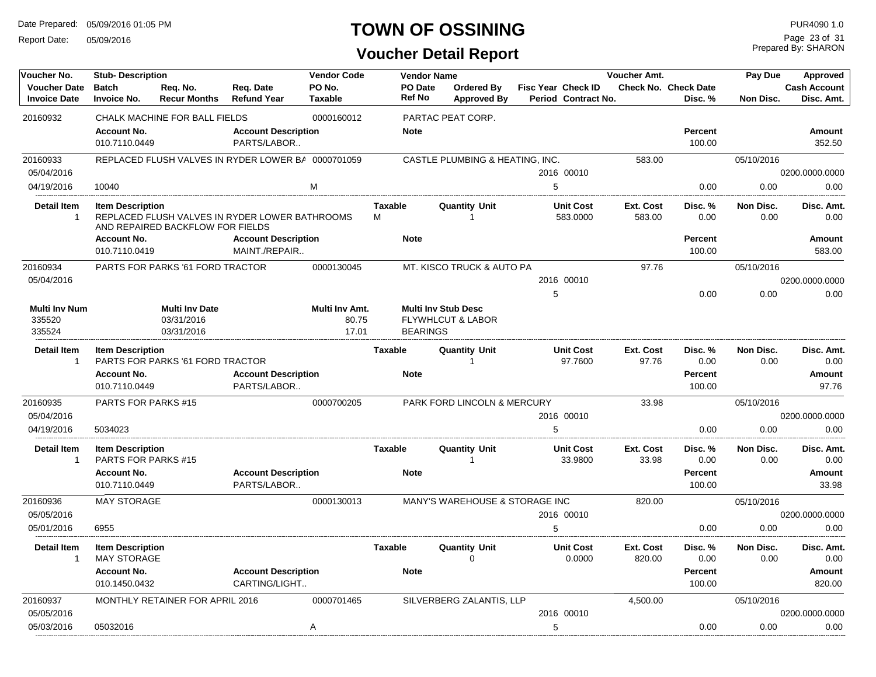Report Date: 05/09/2016

### **TOWN OF OSSINING**

Prepared By: SHARON Page 23 of 31

| Voucher No.                                | <b>Stub-Description</b>                        |                                                   |                                                    | <b>Vendor Code</b>               |                          | <b>Vendor Name</b>                                                            |                                  |                                 |                                           | Voucher Amt.               |                                 | Pay Due           | Approved                          |
|--------------------------------------------|------------------------------------------------|---------------------------------------------------|----------------------------------------------------|----------------------------------|--------------------------|-------------------------------------------------------------------------------|----------------------------------|---------------------------------|-------------------------------------------|----------------------------|---------------------------------|-------------------|-----------------------------------|
| <b>Voucher Date</b><br><b>Invoice Date</b> | <b>Batch</b><br><b>Invoice No.</b>             | Req. No.<br><b>Recur Months</b>                   | Req. Date<br><b>Refund Year</b>                    | PO No.<br><b>Taxable</b>         | PO Date<br><b>Ref No</b> |                                                                               | Ordered By<br><b>Approved By</b> |                                 | Fisc Year Check ID<br>Period Contract No. |                            | Check No. Check Date<br>Disc. % | Non Disc.         | <b>Cash Account</b><br>Disc. Amt. |
| 20160932                                   |                                                | CHALK MACHINE FOR BALL FIELDS                     |                                                    | 0000160012                       |                          | PARTAC PEAT CORP.                                                             |                                  |                                 |                                           |                            |                                 |                   |                                   |
|                                            | <b>Account No.</b><br>010.7110.0449            |                                                   | <b>Account Description</b><br>PARTS/LABOR          |                                  | <b>Note</b>              |                                                                               |                                  |                                 |                                           |                            | Percent<br>100.00               |                   | Amount<br>352.50                  |
| 20160933                                   |                                                |                                                   | REPLACED FLUSH VALVES IN RYDER LOWER BA 0000701059 |                                  |                          |                                                                               |                                  | CASTLE PLUMBING & HEATING, INC. |                                           | 583.00                     |                                 | 05/10/2016        |                                   |
| 05/04/2016                                 |                                                |                                                   |                                                    |                                  |                          |                                                                               |                                  |                                 | 2016 00010                                |                            |                                 |                   | 0200.0000.0000                    |
| 04/19/2016                                 | 10040                                          |                                                   |                                                    | M                                |                          |                                                                               |                                  | 5                               |                                           |                            | 0.00                            | 0.00              | 0.00                              |
| <b>Detail Item</b><br>$\mathbf 1$          | <b>Item Description</b>                        | AND REPAIRED BACKFLOW FOR FIELDS                  | REPLACED FLUSH VALVES IN RYDER LOWER BATHROOMS     |                                  | <b>Taxable</b><br>М      |                                                                               | <b>Quantity Unit</b>             |                                 | <b>Unit Cost</b><br>583.0000              | Ext. Cost<br>583.00        | Disc. %<br>0.00                 | Non Disc.<br>0.00 | Disc. Amt.<br>0.00                |
|                                            | <b>Account No.</b><br>010.7110.0419            |                                                   | <b>Account Description</b><br>MAINT./REPAIR        |                                  | <b>Note</b>              |                                                                               |                                  |                                 |                                           |                            | Percent<br>100.00               |                   | Amount<br>583.00                  |
| 20160934                                   |                                                | PARTS FOR PARKS '61 FORD TRACTOR                  |                                                    | 0000130045                       |                          |                                                                               | MT. KISCO TRUCK & AUTO PA        |                                 |                                           | 97.76                      |                                 | 05/10/2016        |                                   |
| 05/04/2016                                 |                                                |                                                   |                                                    |                                  |                          |                                                                               |                                  | 5                               | 2016 00010                                |                            | 0.00                            | 0.00              | 0200.0000.0000<br>0.00            |
| <b>Multi Inv Num</b><br>335520<br>335524   |                                                | <b>Multi Inv Date</b><br>03/31/2016<br>03/31/2016 |                                                    | Multi Inv Amt.<br>80.75<br>17.01 |                          | <b>Multi Inv Stub Desc</b><br><b>FLYWHLCUT &amp; LABOR</b><br><b>BEARINGS</b> |                                  |                                 |                                           |                            |                                 |                   |                                   |
| <b>Detail Item</b><br>$\mathbf{1}$         | <b>Item Description</b>                        | PARTS FOR PARKS '61 FORD TRACTOR                  |                                                    |                                  | <b>Taxable</b>           |                                                                               | <b>Quantity Unit</b><br>1        |                                 | <b>Unit Cost</b>                          | <b>Ext. Cost</b>           | Disc. %                         | Non Disc.         | Disc. Amt.                        |
|                                            | <b>Account No.</b>                             |                                                   | <b>Account Description</b>                         |                                  | <b>Note</b>              |                                                                               |                                  |                                 | 97.7600                                   | 97.76                      | 0.00<br><b>Percent</b>          | 0.00              | 0.00<br>Amount                    |
|                                            | 010.7110.0449                                  |                                                   | PARTS/LABOR                                        |                                  |                          |                                                                               |                                  |                                 |                                           |                            | 100.00                          |                   | 97.76                             |
| 20160935                                   | PARTS FOR PARKS #15                            |                                                   |                                                    | 0000700205                       |                          |                                                                               | PARK FORD LINCOLN & MERCURY      |                                 |                                           | 33.98                      |                                 | 05/10/2016        |                                   |
| 05/04/2016                                 |                                                |                                                   |                                                    |                                  |                          |                                                                               |                                  |                                 | 2016 00010                                |                            |                                 |                   | 0200.0000.0000                    |
| 04/19/2016                                 | 5034023                                        |                                                   |                                                    |                                  |                          |                                                                               |                                  | 5                               |                                           |                            | 0.00                            | 0.00              | 0.00                              |
| <b>Detail Item</b><br>$\mathbf{1}$         | <b>Item Description</b><br>PARTS FOR PARKS #15 |                                                   |                                                    |                                  | Taxable                  |                                                                               | <b>Quantity Unit</b>             |                                 | <b>Unit Cost</b><br>33.9800               | Ext. Cost<br>33.98         | Disc. %<br>0.00                 | Non Disc.<br>0.00 | Disc. Amt.<br>0.00                |
|                                            | <b>Account No.</b><br>010.7110.0449            |                                                   | <b>Account Description</b><br>PARTS/LABOR          |                                  | <b>Note</b>              |                                                                               |                                  |                                 |                                           |                            | <b>Percent</b><br>100.00        |                   | Amount<br>33.98                   |
| 20160936<br>05/05/2016                     | <b>MAY STORAGE</b>                             |                                                   |                                                    | 0000130013                       |                          |                                                                               |                                  | MANY'S WAREHOUSE & STORAGE INC  | 2016 00010                                | 820.00                     |                                 | 05/10/2016        | 0200.0000.0000                    |
| 05/01/2016                                 | 6955                                           |                                                   |                                                    |                                  |                          |                                                                               |                                  | 5                               |                                           |                            | 0.00                            | 0.00              | 0.00                              |
| <b>Detail Item</b><br>$\mathbf 1$          | <b>Item Description</b><br><b>MAY STORAGE</b>  |                                                   |                                                    |                                  | Taxable                  |                                                                               | <b>Quantity Unit</b><br>$\Omega$ |                                 | <b>Unit Cost</b><br>0.0000                | <b>Ext. Cost</b><br>820.00 | Disc. %<br>0.00                 | Non Disc.<br>0.00 | Disc. Amt.<br>0.00                |
|                                            | <b>Account No.</b>                             |                                                   | <b>Account Description</b>                         |                                  | <b>Note</b>              |                                                                               |                                  |                                 |                                           |                            | <b>Percent</b>                  |                   | Amount                            |
|                                            | 010.1450.0432                                  |                                                   | CARTING/LIGHT                                      |                                  |                          |                                                                               |                                  |                                 |                                           |                            | 100.00                          |                   | 820.00                            |
| 20160937                                   |                                                | MONTHLY RETAINER FOR APRIL 2016                   |                                                    | 0000701465                       |                          |                                                                               | SILVERBERG ZALANTIS, LLP         |                                 |                                           | 4,500.00                   |                                 | 05/10/2016        |                                   |
| 05/05/2016                                 |                                                |                                                   |                                                    |                                  |                          |                                                                               |                                  |                                 | 2016 00010                                |                            |                                 |                   | 0200.0000.0000                    |
| 05/03/2016                                 | 05032016                                       |                                                   |                                                    | Α                                |                          |                                                                               |                                  | 5                               |                                           |                            | 0.00                            | 0.00              | 0.00                              |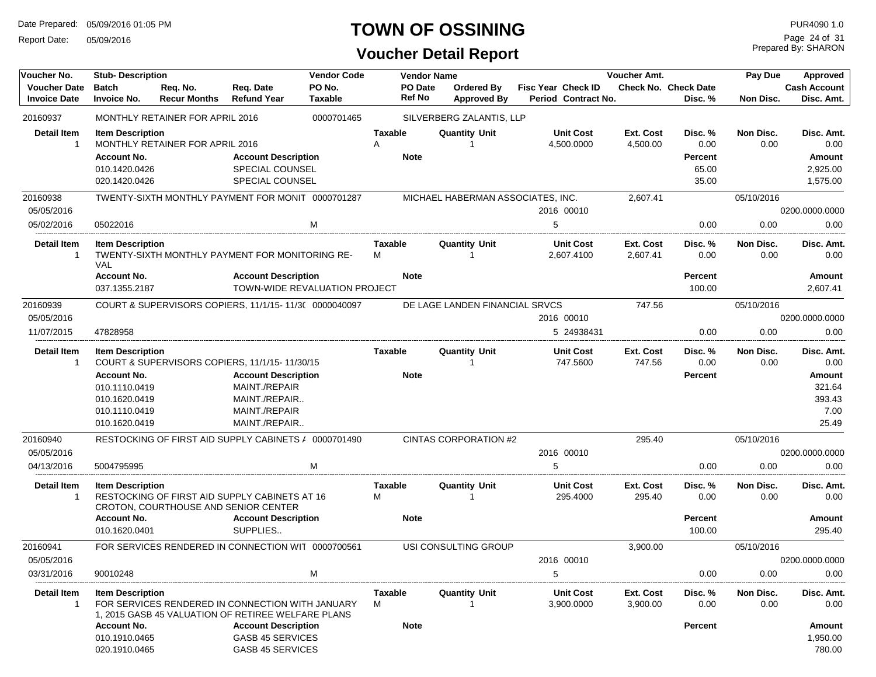Report Date: 05/09/2016

### **TOWN OF OSSINING**

### **Voucher Detail Report**

Prepared By: SHARON Page 24 of 31

| Voucher No.                                | <b>Stub-Description</b>               |                                 |                                                                                                        | <b>Vendor Code</b>            |                     | <b>Vendor Name</b> |                                   |                                                  | Voucher Amt.          |                                        | Pay Due           | Approved                   |
|--------------------------------------------|---------------------------------------|---------------------------------|--------------------------------------------------------------------------------------------------------|-------------------------------|---------------------|--------------------|-----------------------------------|--------------------------------------------------|-----------------------|----------------------------------------|-------------------|----------------------------|
| <b>Voucher Date</b><br><b>Invoice Date</b> | <b>Batch</b><br><b>Invoice No.</b>    | Reg. No.<br><b>Recur Months</b> | Req. Date<br><b>Refund Year</b>                                                                        | PO No.<br><b>Taxable</b>      |                     | PO Date<br>Ref No  | Ordered By<br><b>Approved By</b>  | <b>Fisc Year Check ID</b><br>Period Contract No. |                       | <b>Check No. Check Date</b><br>Disc. % | Non Disc.         | Cash Account<br>Disc. Amt. |
| 20160937                                   |                                       | MONTHLY RETAINER FOR APRIL 2016 |                                                                                                        | 0000701465                    |                     |                    | SILVERBERG ZALANTIS, LLP          |                                                  |                       |                                        |                   |                            |
| <b>Detail Item</b><br>-1                   | <b>Item Description</b>               | MONTHLY RETAINER FOR APRIL 2016 |                                                                                                        |                               | <b>Taxable</b><br>A |                    | <b>Quantity Unit</b>              | <b>Unit Cost</b><br>4,500.0000                   | Ext. Cost<br>4,500.00 | Disc. %<br>0.00                        | Non Disc.<br>0.00 | Disc. Amt.<br>0.00         |
|                                            | <b>Account No.</b>                    |                                 | <b>Account Description</b>                                                                             |                               |                     | <b>Note</b>        |                                   |                                                  |                       | <b>Percent</b>                         |                   | Amount                     |
|                                            | 010.1420.0426                         |                                 | SPECIAL COUNSEL                                                                                        |                               |                     |                    |                                   |                                                  |                       | 65.00                                  |                   | 2,925.00                   |
|                                            | 020.1420.0426                         |                                 | SPECIAL COUNSEL                                                                                        |                               |                     |                    |                                   |                                                  |                       | 35.00                                  |                   | 1,575.00                   |
| 20160938                                   |                                       |                                 | TWENTY-SIXTH MONTHLY PAYMENT FOR MONIT 0000701287                                                      |                               |                     |                    | MICHAEL HABERMAN ASSOCIATES, INC. |                                                  | 2,607.41              |                                        | 05/10/2016        |                            |
| 05/05/2016                                 |                                       |                                 |                                                                                                        |                               |                     |                    |                                   | 2016 00010                                       |                       |                                        |                   | 0200.0000.0000             |
| 05/02/2016                                 | 05022016                              |                                 |                                                                                                        | м                             |                     |                    |                                   | 5                                                |                       | 0.00                                   | 0.00              | 0.00                       |
| Detail Item<br>$\mathbf{1}$                | <b>Item Description</b><br><b>VAL</b> |                                 | TWENTY-SIXTH MONTHLY PAYMENT FOR MONITORING RE-                                                        |                               | Taxable<br>М        |                    | <b>Quantity Unit</b><br>1         | <b>Unit Cost</b><br>2,607.4100                   | Ext. Cost<br>2,607.41 | Disc. %<br>0.00                        | Non Disc.<br>0.00 | Disc. Amt.<br>0.00         |
|                                            | <b>Account No.</b>                    |                                 | <b>Account Description</b>                                                                             |                               |                     | <b>Note</b>        |                                   |                                                  |                       | <b>Percent</b>                         |                   | Amount                     |
|                                            | 037.1355.2187                         |                                 |                                                                                                        | TOWN-WIDE REVALUATION PROJECT |                     |                    |                                   |                                                  |                       | 100.00                                 |                   | 2,607.41                   |
| 20160939                                   |                                       |                                 | COURT & SUPERVISORS COPIERS, 11/1/15-11/3( 0000040097                                                  |                               |                     |                    | DE LAGE LANDEN FINANCIAL SRVCS    |                                                  | 747.56                |                                        | 05/10/2016        |                            |
| 05/05/2016                                 |                                       |                                 |                                                                                                        |                               |                     |                    |                                   | 2016 00010                                       |                       |                                        |                   | 0200.0000.0000             |
| 11/07/2015                                 | 47828958                              |                                 |                                                                                                        |                               |                     |                    |                                   | 5 24938431                                       |                       | 0.00                                   | 0.00              | 0.00                       |
| <b>Detail Item</b><br>-1                   | <b>Item Description</b>               |                                 | COURT & SUPERVISORS COPIERS, 11/1/15-11/30/15                                                          |                               | Taxable             |                    | <b>Quantity Unit</b>              | <b>Unit Cost</b><br>747.5600                     | Ext. Cost<br>747.56   | Disc. %<br>0.00                        | Non Disc.<br>0.00 | Disc. Amt.<br>0.00         |
|                                            | <b>Account No.</b>                    |                                 | <b>Account Description</b>                                                                             |                               |                     | <b>Note</b>        |                                   |                                                  |                       | <b>Percent</b>                         |                   | Amount                     |
|                                            | 010.1110.0419                         |                                 | MAINT./REPAIR                                                                                          |                               |                     |                    |                                   |                                                  |                       |                                        |                   | 321.64                     |
|                                            | 010.1620.0419                         |                                 | MAINT./REPAIR                                                                                          |                               |                     |                    |                                   |                                                  |                       |                                        |                   | 393.43                     |
|                                            | 010.1110.0419                         |                                 | MAINT./REPAIR                                                                                          |                               |                     |                    |                                   |                                                  |                       |                                        |                   | 7.00                       |
|                                            | 010.1620.0419                         |                                 | MAINT./REPAIR                                                                                          |                               |                     |                    |                                   |                                                  |                       |                                        |                   | 25.49                      |
| 20160940                                   |                                       |                                 | RESTOCKING OF FIRST AID SUPPLY CABINETS / 0000701490                                                   |                               |                     |                    | <b>CINTAS CORPORATION #2</b>      |                                                  | 295.40                |                                        | 05/10/2016        |                            |
| 05/05/2016                                 |                                       |                                 |                                                                                                        |                               |                     |                    |                                   | 2016 00010                                       |                       |                                        |                   | 0200.0000.0000             |
| 04/13/2016                                 | 5004795995                            |                                 |                                                                                                        | M                             |                     |                    |                                   | 5                                                |                       | 0.00                                   | 0.00              | 0.00                       |
| <b>Detail Item</b><br>-1                   | <b>Item Description</b>               |                                 | RESTOCKING OF FIRST AID SUPPLY CABINETS AT 16<br>CROTON, COURTHOUSE AND SENIOR CENTER                  |                               | Taxable<br>M        |                    | <b>Quantity Unit</b><br>1         | <b>Unit Cost</b><br>295.4000                     | Ext. Cost<br>295.40   | Disc. %<br>0.00                        | Non Disc.<br>0.00 | Disc. Amt.<br>0.00         |
|                                            | <b>Account No.</b>                    |                                 | <b>Account Description</b>                                                                             |                               |                     | <b>Note</b>        |                                   |                                                  |                       | <b>Percent</b>                         |                   | Amount                     |
|                                            | 010.1620.0401                         |                                 | SUPPLIES                                                                                               |                               |                     |                    |                                   |                                                  |                       | 100.00                                 |                   | 295.40                     |
| 20160941                                   |                                       |                                 | FOR SERVICES RENDERED IN CONNECTION WIT 0000700561                                                     |                               |                     |                    | USI CONSULTING GROUP              |                                                  | 3.900.00              |                                        | 05/10/2016        |                            |
| 05/05/2016                                 |                                       |                                 |                                                                                                        |                               |                     |                    |                                   | 2016 00010                                       |                       |                                        |                   | 0200.0000.0000             |
| 03/31/2016                                 | 90010248                              |                                 |                                                                                                        | M                             |                     |                    |                                   | 5                                                |                       | 0.00                                   | 0.00              | 0.00                       |
| Detail Item<br>$\mathbf{1}$                | <b>Item Description</b>               |                                 | FOR SERVICES RENDERED IN CONNECTION WITH JANUARY<br>1, 2015 GASB 45 VALUATION OF RETIREE WELFARE PLANS |                               | Taxable<br>М        |                    | <b>Quantity Unit</b>              | <b>Unit Cost</b><br>3,900.0000                   | Ext. Cost<br>3,900.00 | Disc. %<br>0.00                        | Non Disc.<br>0.00 | Disc. Amt.<br>0.00         |
|                                            | <b>Account No.</b>                    |                                 | <b>Account Description</b>                                                                             |                               |                     | <b>Note</b>        |                                   |                                                  |                       | Percent                                |                   | Amount                     |
|                                            | 010.1910.0465                         |                                 | GASB 45 SERVICES                                                                                       |                               |                     |                    |                                   |                                                  |                       |                                        |                   | 1,950.00                   |
|                                            | 020.1910.0465                         |                                 | GASB 45 SERVICES                                                                                       |                               |                     |                    |                                   |                                                  |                       |                                        |                   | 780.00                     |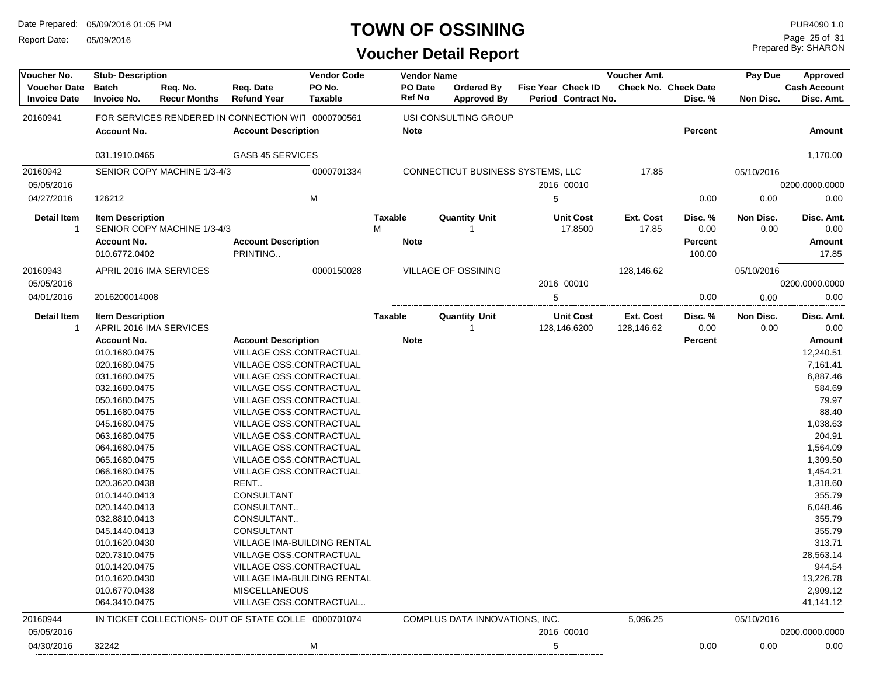Report Date: 05/09/2016

#### **TOWN OF OSSINING**

| PO No.<br>PO Date<br><b>Voucher Date</b><br><b>Batch</b><br>Req. No.<br>Req. Date<br><b>Ordered By</b><br><b>Fisc Year Check ID</b><br>Ref No<br><b>Refund Year</b><br><b>Taxable</b><br><b>Invoice Date</b><br><b>Invoice No.</b><br><b>Recur Months</b><br><b>Approved By</b><br>Period Contract No. | <b>Cash Account</b><br><b>Check No. Check Date</b><br>Disc. %<br>Non Disc.<br>Disc. Amt. |
|--------------------------------------------------------------------------------------------------------------------------------------------------------------------------------------------------------------------------------------------------------------------------------------------------------|------------------------------------------------------------------------------------------|
| FOR SERVICES RENDERED IN CONNECTION WIT 0000700561<br>20160941<br>USI CONSULTING GROUP                                                                                                                                                                                                                 |                                                                                          |
| <b>Account No.</b><br><b>Account Description</b><br><b>Note</b>                                                                                                                                                                                                                                        | <b>Percent</b><br>Amount                                                                 |
| 031.1910.0465<br><b>GASB 45 SERVICES</b>                                                                                                                                                                                                                                                               | 1,170.00                                                                                 |
| 0000701334<br>20160942<br>SENIOR COPY MACHINE 1/3-4/3<br>CONNECTICUT BUSINESS SYSTEMS, LLC                                                                                                                                                                                                             | 17.85<br>05/10/2016                                                                      |
| 05/05/2016<br>2016 00010                                                                                                                                                                                                                                                                               | 0200.0000.0000                                                                           |
| M<br>5<br>04/27/2016<br>126212                                                                                                                                                                                                                                                                         | 0.00<br>0.00<br>0.00                                                                     |
| <b>Item Description</b><br><b>Quantity Unit</b><br><b>Unit Cost</b><br>Detail Item<br><b>Taxable</b><br>M<br>SENIOR COPY MACHINE 1/3-4/3<br>17.8500<br>1                                                                                                                                               | <b>Ext. Cost</b><br>Non Disc.<br>Disc. Amt.<br>Disc. %<br>17.85<br>0.00<br>0.00<br>0.00  |
| <b>Account No.</b><br><b>Account Description</b><br><b>Note</b>                                                                                                                                                                                                                                        | <b>Percent</b><br>Amount                                                                 |
| 010.6772.0402<br>PRINTING                                                                                                                                                                                                                                                                              | 100.00<br>17.85                                                                          |
| <b>VILLAGE OF OSSINING</b><br>20160943<br>APRIL 2016 IMA SERVICES<br>0000150028                                                                                                                                                                                                                        | 128,146.62<br>05/10/2016                                                                 |
| 05/05/2016<br>2016 00010                                                                                                                                                                                                                                                                               | 0200.0000.0000                                                                           |
| 04/01/2016<br>2016200014008<br>5                                                                                                                                                                                                                                                                       | 0.00<br>0.00<br>0.00                                                                     |
| Detail Item<br><b>Item Description</b><br>Taxable<br><b>Quantity Unit</b><br><b>Unit Cost</b><br>APRIL 2016 IMA SERVICES<br>$\mathbf 1$<br>128,146.6200                                                                                                                                                | Ext. Cost<br>Non Disc.<br>Disc. %<br>Disc. Amt.<br>0.00<br>0.00<br>0.00<br>128,146.62    |
| <b>Account No.</b><br><b>Account Description</b><br><b>Note</b>                                                                                                                                                                                                                                        | Amount<br><b>Percent</b>                                                                 |
| <b>VILLAGE OSS.CONTRACTUAL</b><br>010.1680.0475                                                                                                                                                                                                                                                        | 12,240.51                                                                                |
| VILLAGE OSS.CONTRACTUAL<br>020.1680.0475                                                                                                                                                                                                                                                               | 7,161.41                                                                                 |
| VILLAGE OSS.CONTRACTUAL<br>031.1680.0475                                                                                                                                                                                                                                                               | 6,887.46                                                                                 |
| 032.1680.0475<br><b>VILLAGE OSS.CONTRACTUAL</b>                                                                                                                                                                                                                                                        | 584.69                                                                                   |
| 050.1680.0475<br><b>VILLAGE OSS.CONTRACTUAL</b>                                                                                                                                                                                                                                                        | 79.97                                                                                    |
| 051.1680.0475<br>VILLAGE OSS.CONTRACTUAL                                                                                                                                                                                                                                                               | 88.40                                                                                    |
| VILLAGE OSS.CONTRACTUAL<br>045.1680.0475                                                                                                                                                                                                                                                               | 1,038.63                                                                                 |
| VILLAGE OSS.CONTRACTUAL<br>063.1680.0475                                                                                                                                                                                                                                                               | 204.91                                                                                   |
| <b>VILLAGE OSS.CONTRACTUAL</b><br>064.1680.0475                                                                                                                                                                                                                                                        | 1,564.09                                                                                 |
| 065.1680.0475<br><b>VILLAGE OSS.CONTRACTUAL</b>                                                                                                                                                                                                                                                        | 1,309.50                                                                                 |
| 066.1680.0475<br><b>VILLAGE OSS.CONTRACTUAL</b>                                                                                                                                                                                                                                                        | 1,454.21                                                                                 |
| 020.3620.0438<br>RENT.                                                                                                                                                                                                                                                                                 | 1,318.60                                                                                 |
| 010.1440.0413<br><b>CONSULTANT</b>                                                                                                                                                                                                                                                                     | 355.79                                                                                   |
| CONSULTANT<br>020.1440.0413                                                                                                                                                                                                                                                                            | 6,048.46                                                                                 |
| CONSULTANT<br>032.8810.0413                                                                                                                                                                                                                                                                            | 355.79                                                                                   |
| 045.1440.0413<br><b>CONSULTANT</b>                                                                                                                                                                                                                                                                     | 355.79                                                                                   |
| VILLAGE IMA-BUILDING RENTAL<br>010.1620.0430                                                                                                                                                                                                                                                           | 313.71                                                                                   |
| 020.7310.0475<br>VILLAGE OSS.CONTRACTUAL                                                                                                                                                                                                                                                               | 28,563.14                                                                                |
| VILLAGE OSS.CONTRACTUAL<br>010.1420.0475                                                                                                                                                                                                                                                               | 944.54                                                                                   |
| 010.1620.0430<br>VILLAGE IMA-BUILDING RENTAL                                                                                                                                                                                                                                                           | 13,226.78                                                                                |
| 010.6770.0438<br><b>MISCELLANEOUS</b>                                                                                                                                                                                                                                                                  | 2,909.12                                                                                 |
| VILLAGE OSS.CONTRACTUAL<br>064.3410.0475                                                                                                                                                                                                                                                               | 41,141.12                                                                                |
| 20160944<br>IN TICKET COLLECTIONS- OUT OF STATE COLLE 0000701074<br>COMPLUS DATA INNOVATIONS, INC.                                                                                                                                                                                                     | 5,096.25<br>05/10/2016                                                                   |
| 05/05/2016<br>2016 00010                                                                                                                                                                                                                                                                               | 0200.0000.0000                                                                           |
| M<br>04/30/2016<br>32242<br>5                                                                                                                                                                                                                                                                          | 0.00<br>0.00<br>0.00                                                                     |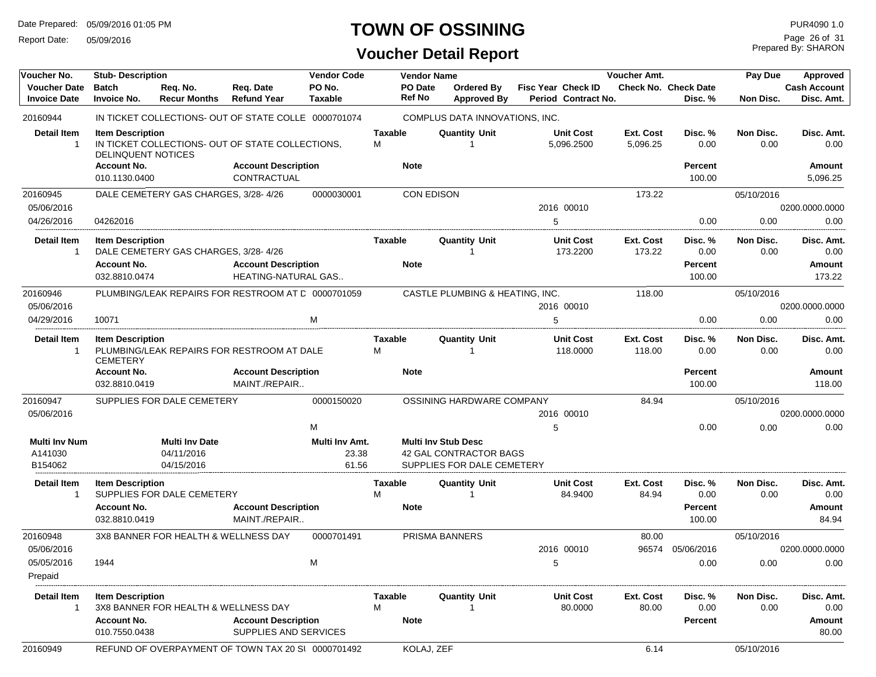Report Date: 05/09/2016

### **TOWN OF OSSINING**

| Voucher No.<br><b>Voucher Date</b>         | <b>Stub-Description</b><br><b>Batch</b>              | Req. No.                                          | Req. Date                                            | <b>Vendor Code</b><br>PO No.     | <b>Vendor Name</b><br><b>PO Date</b> | Ordered By                                                                         | Fisc Year Check ID             | <b>Voucher Amt.</b>          | <b>Check No. Check Date</b> | Pay Due           | <b>Approved</b><br><b>Cash Account</b> |
|--------------------------------------------|------------------------------------------------------|---------------------------------------------------|------------------------------------------------------|----------------------------------|--------------------------------------|------------------------------------------------------------------------------------|--------------------------------|------------------------------|-----------------------------|-------------------|----------------------------------------|
| <b>Invoice Date</b>                        | <b>Invoice No.</b>                                   | <b>Recur Months</b>                               | <b>Refund Year</b>                                   | <b>Taxable</b>                   | Ref No                               | <b>Approved By</b>                                                                 | Period Contract No.            |                              | Disc. %                     | Non Disc.         | Disc. Amt.                             |
| 20160944                                   |                                                      |                                                   | IN TICKET COLLECTIONS- OUT OF STATE COLLE 0000701074 |                                  |                                      | COMPLUS DATA INNOVATIONS, INC.                                                     |                                |                              |                             |                   |                                        |
| <b>Detail Item</b><br>$\mathbf{1}$         | <b>Item Description</b><br><b>DELINQUENT NOTICES</b> |                                                   | IN TICKET COLLECTIONS- OUT OF STATE COLLECTIONS,     |                                  | <b>Taxable</b><br>M                  | <b>Quantity Unit</b>                                                               | <b>Unit Cost</b><br>5,096.2500 | <b>Ext. Cost</b><br>5.096.25 | Disc. %<br>0.00             | Non Disc.<br>0.00 | Disc. Amt.<br>0.00                     |
|                                            | <b>Account No.</b><br>010.1130.0400                  |                                                   | <b>Account Description</b><br>CONTRACTUAL            |                                  | <b>Note</b>                          |                                                                                    |                                |                              | Percent<br>100.00           |                   | Amount<br>5,096.25                     |
| 20160945<br>05/06/2016                     |                                                      | DALE CEMETERY GAS CHARGES, 3/28-4/26              |                                                      | 0000030001                       |                                      | <b>CON EDISON</b>                                                                  | 2016 00010                     | 173.22                       |                             | 05/10/2016        | 0200.0000.0000                         |
| 04/26/2016                                 | 04262016                                             |                                                   |                                                      |                                  |                                      |                                                                                    | 5                              |                              | 0.00                        | 0.00              | 0.00                                   |
| <b>Detail Item</b><br>-1                   | <b>Item Description</b><br><b>Account No.</b>        | DALE CEMETERY GAS CHARGES, 3/28-4/26              | <b>Account Description</b>                           |                                  | Taxable<br><b>Note</b>               | <b>Quantity Unit</b>                                                               | <b>Unit Cost</b><br>173.2200   | Ext. Cost<br>173.22          | Disc. %<br>0.00<br>Percent  | Non Disc.<br>0.00 | Disc. Amt.<br>0.00<br><b>Amount</b>    |
|                                            | 032.8810.0474                                        |                                                   | HEATING-NATURAL GAS                                  |                                  |                                      |                                                                                    |                                |                              | 100.00                      |                   | 173.22                                 |
| 20160946<br>05/06/2016                     |                                                      |                                                   | PLUMBING/LEAK REPAIRS FOR RESTROOM AT C 0000701059   |                                  |                                      | CASTLE PLUMBING & HEATING, INC.                                                    | 2016 00010                     | 118.00                       |                             | 05/10/2016        | 0200.0000.0000                         |
| 04/29/2016                                 | 10071                                                |                                                   |                                                      | M                                |                                      |                                                                                    | 5                              |                              | 0.00                        | 0.00              | 0.00                                   |
| <b>Detail Item</b><br>$\mathbf{1}$         | <b>Item Description</b><br><b>CEMETERY</b>           |                                                   | PLUMBING/LEAK REPAIRS FOR RESTROOM AT DALE           |                                  | Taxable<br>м                         | Quantity Unit<br>-1                                                                | <b>Unit Cost</b><br>118.0000   | Ext. Cost<br>118.00          | Disc. %<br>0.00             | Non Disc.<br>0.00 | Disc. Amt.<br>0.00                     |
|                                            | <b>Account No.</b><br>032.8810.0419                  |                                                   | <b>Account Description</b><br>MAINT./REPAIR          |                                  | <b>Note</b>                          |                                                                                    |                                |                              | <b>Percent</b><br>100.00    |                   | <b>Amount</b><br>118.00                |
| 20160947<br>05/06/2016                     |                                                      | SUPPLIES FOR DALE CEMETERY                        |                                                      | 0000150020                       |                                      | OSSINING HARDWARE COMPANY                                                          | 2016 00010                     | 84.94                        |                             | 05/10/2016        | 0200.0000.0000                         |
|                                            |                                                      |                                                   |                                                      | M                                |                                      |                                                                                    | 5                              |                              | 0.00                        | 0.00              | 0.00                                   |
| <b>Multi Inv Num</b><br>A141030<br>B154062 |                                                      | <b>Multi Inv Date</b><br>04/11/2016<br>04/15/2016 |                                                      | Multi Inv Amt.<br>23.38<br>61.56 |                                      | <b>Multi Inv Stub Desc</b><br>42 GAL CONTRACTOR BAGS<br>SUPPLIES FOR DALE CEMETERY |                                |                              |                             |                   |                                        |
| Detail Item<br>$\mathbf{1}$                | <b>Item Description</b>                              | SUPPLIES FOR DALE CEMETERY                        |                                                      |                                  | Taxable<br>M                         | <b>Quantity Unit</b><br>-1                                                         | <b>Unit Cost</b><br>84.9400    | Ext. Cost<br>84.94           | Disc. %<br>0.00             | Non Disc.<br>0.00 | Disc. Amt.<br>0.00                     |
|                                            | <b>Account No.</b><br>032.8810.0419                  |                                                   | <b>Account Description</b><br>MAINT./REPAIR          |                                  | <b>Note</b>                          |                                                                                    |                                |                              | <b>Percent</b><br>100.00    |                   | Amount<br>84.94                        |
| 20160948<br>05/06/2016                     |                                                      | 3X8 BANNER FOR HEALTH & WELLNESS DAY              |                                                      | 0000701491                       |                                      | PRISMA BANNERS                                                                     | 2016 00010                     | 80.00<br>96574               | 05/06/2016                  | 05/10/2016        | 0200.0000.0000                         |
| 05/05/2016<br>Prepaid                      | 1944                                                 |                                                   |                                                      | M                                |                                      |                                                                                    | 5                              |                              | 0.00                        | 0.00              | 0.00                                   |
| <b>Detail Item</b><br>-1                   | <b>Item Description</b>                              | 3X8 BANNER FOR HEALTH & WELLNESS DAY              |                                                      |                                  | Taxable<br>M                         | <b>Quantity Unit</b>                                                               | <b>Unit Cost</b><br>80.0000    | Ext. Cost<br>80.00           | Disc. %<br>0.00             | Non Disc.<br>0.00 | Disc. Amt.<br>0.00                     |
|                                            | <b>Account No.</b><br>010.7550.0438                  |                                                   | <b>Account Description</b><br>SUPPLIES AND SERVICES  |                                  | <b>Note</b>                          |                                                                                    |                                |                              | Percent                     |                   | Amount<br>80.00                        |
| 20160949                                   |                                                      |                                                   | REFUND OF OVERPAYMENT OF TOWN TAX 20 SI 0000701492   |                                  | KOLAJ, ZEF                           |                                                                                    |                                | 6.14                         |                             | 05/10/2016        |                                        |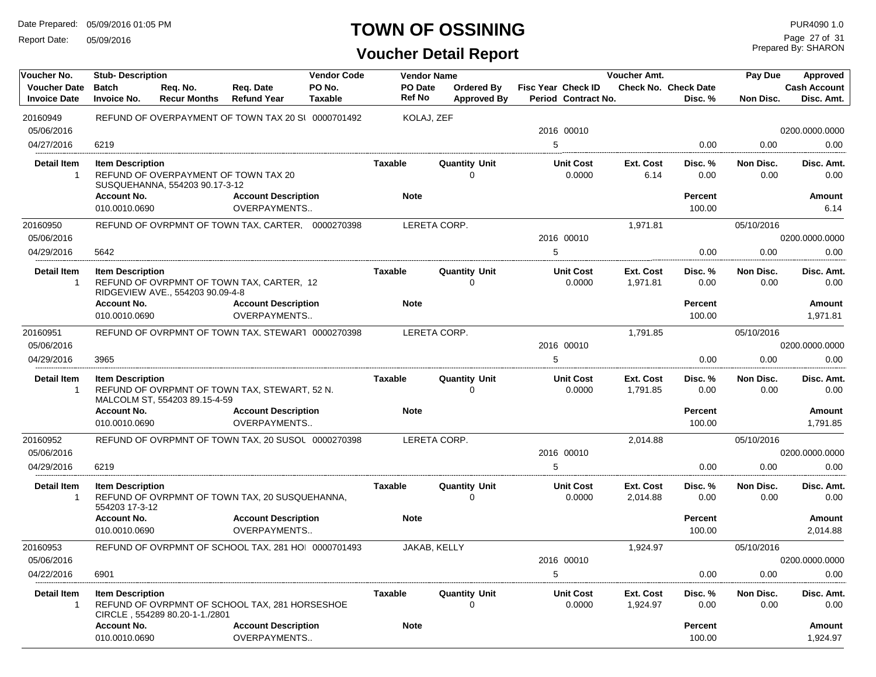Report Date: 05/09/2016

#### **TOWN OF OSSINING**

| Voucher No.                                | <b>Stub-Description</b>                   |                                                                        |                                                     | <b>Vendor Code</b>       |                          | <b>Vendor Name</b> |                                         |                                           | Voucher Amt.          |                                        | Pay Due           | Approved                          |
|--------------------------------------------|-------------------------------------------|------------------------------------------------------------------------|-----------------------------------------------------|--------------------------|--------------------------|--------------------|-----------------------------------------|-------------------------------------------|-----------------------|----------------------------------------|-------------------|-----------------------------------|
| <b>Voucher Date</b><br><b>Invoice Date</b> | <b>Batch</b><br><b>Invoice No.</b>        | Req. No.<br><b>Recur Months</b>                                        | Req. Date<br><b>Refund Year</b>                     | PO No.<br><b>Taxable</b> | PO Date<br><b>Ref No</b> |                    | <b>Ordered By</b><br><b>Approved By</b> | Fisc Year Check ID<br>Period Contract No. |                       | <b>Check No. Check Date</b><br>Disc. % | Non Disc.         | <b>Cash Account</b><br>Disc. Amt. |
| 20160949                                   |                                           |                                                                        | REFUND OF OVERPAYMENT OF TOWN TAX 20 SI 0000701492  |                          |                          | KOLAJ, ZEF         |                                         |                                           |                       |                                        |                   |                                   |
| 05/06/2016                                 |                                           |                                                                        |                                                     |                          |                          |                    |                                         | 2016 00010                                |                       |                                        |                   | 0200.0000.0000                    |
| 04/27/2016                                 | 6219                                      |                                                                        |                                                     |                          |                          |                    |                                         | 5                                         |                       | 0.00                                   | 0.00              | 0.00                              |
| Detail Item<br>$\mathbf 1$                 | <b>Item Description</b>                   | REFUND OF OVERPAYMENT OF TOWN TAX 20<br>SUSQUEHANNA, 554203 90.17-3-12 |                                                     |                          | <b>Taxable</b>           |                    | <b>Quantity Unit</b><br>$\Omega$        | <b>Unit Cost</b><br>0.0000                | Ext. Cost<br>6.14     | Disc. %<br>0.00                        | Non Disc.<br>0.00 | Disc. Amt.<br>0.00                |
|                                            | <b>Account No.</b><br>010.0010.0690       |                                                                        | <b>Account Description</b><br>OVERPAYMENTS          |                          | <b>Note</b>              |                    |                                         |                                           |                       | <b>Percent</b><br>100.00               |                   | Amount<br>6.14                    |
| 20160950                                   |                                           |                                                                        | REFUND OF OVRPMNT OF TOWN TAX, CARTER. 0000270398   |                          |                          |                    | LERETA CORP.                            |                                           | 1,971.81              |                                        | 05/10/2016        |                                   |
| 05/06/2016                                 |                                           |                                                                        |                                                     |                          |                          |                    |                                         | 2016 00010                                |                       |                                        |                   | 0200.0000.0000                    |
| 04/29/2016                                 | 5642                                      |                                                                        |                                                     |                          |                          |                    |                                         | 5                                         |                       | 0.00                                   | 0.00              | 0.00                              |
| <b>Detail Item</b><br>$\mathbf{1}$         | <b>Item Description</b>                   | RIDGEVIEW AVE., 554203 90.09-4-8                                       | REFUND OF OVRPMNT OF TOWN TAX, CARTER, 12           |                          | <b>Taxable</b>           |                    | <b>Quantity Unit</b><br>$\mathbf 0$     | <b>Unit Cost</b><br>0.0000                | Ext. Cost<br>1,971.81 | Disc. %<br>0.00                        | Non Disc.<br>0.00 | Disc. Amt.<br>0.00                |
|                                            | <b>Account No.</b>                        |                                                                        | <b>Account Description</b>                          |                          | <b>Note</b>              |                    |                                         |                                           |                       | <b>Percent</b>                         |                   | Amount                            |
|                                            | 010.0010.0690                             |                                                                        | OVERPAYMENTS                                        |                          |                          |                    |                                         |                                           |                       | 100.00                                 |                   | 1,971.81                          |
| 20160951                                   |                                           |                                                                        | REFUND OF OVRPMNT OF TOWN TAX, STEWAR1 0000270398   |                          |                          |                    | LERETA CORP.                            |                                           | 1.791.85              |                                        | 05/10/2016        |                                   |
| 05/06/2016                                 |                                           |                                                                        |                                                     |                          |                          |                    |                                         | 2016 00010                                |                       |                                        |                   | 0200.0000.0000                    |
| 04/29/2016                                 | 3965                                      |                                                                        |                                                     |                          |                          |                    |                                         | 5                                         |                       | 0.00                                   | 0.00              | 0.00                              |
| <b>Detail Item</b><br>$\mathbf{1}$         | <b>Item Description</b>                   | MALCOLM ST, 554203 89.15-4-59                                          | REFUND OF OVRPMNT OF TOWN TAX, STEWART, 52 N.       |                          | <b>Taxable</b>           |                    | <b>Quantity Unit</b><br>0               | <b>Unit Cost</b><br>0.0000                | Ext. Cost<br>1,791.85 | Disc. %<br>0.00                        | Non Disc.<br>0.00 | Disc. Amt.<br>0.00                |
|                                            | <b>Account No.</b><br>010.0010.0690       |                                                                        | <b>Account Description</b><br>OVERPAYMENTS          |                          | <b>Note</b>              |                    |                                         |                                           |                       | <b>Percent</b><br>100.00               |                   | Amount<br>1,791.85                |
| 20160952                                   |                                           |                                                                        | REFUND OF OVRPMNT OF TOWN TAX, 20 SUSQL 0000270398  |                          |                          |                    | LERETA CORP.                            |                                           | 2,014.88              |                                        | 05/10/2016        |                                   |
| 05/06/2016                                 |                                           |                                                                        |                                                     |                          |                          |                    |                                         | 2016 00010                                |                       |                                        |                   | 0200.0000.0000                    |
| 04/29/2016                                 | 6219                                      |                                                                        |                                                     |                          |                          |                    |                                         | 5                                         |                       | 0.00                                   | 0.00              | 0.00                              |
| <b>Detail Item</b><br>$\mathbf{1}$         | <b>Item Description</b><br>554203 17-3-12 |                                                                        | REFUND OF OVRPMNT OF TOWN TAX, 20 SUSQUEHANNA,      |                          | <b>Taxable</b>           |                    | <b>Quantity Unit</b><br>0               | <b>Unit Cost</b><br>0.0000                | Ext. Cost<br>2,014.88 | Disc.%<br>0.00                         | Non Disc.<br>0.00 | Disc. Amt.<br>0.00                |
|                                            | <b>Account No.</b><br>010.0010.0690       |                                                                        | <b>Account Description</b><br>OVERPAYMENTS          |                          | <b>Note</b>              |                    |                                         |                                           |                       | <b>Percent</b><br>100.00               |                   | Amount<br>2,014.88                |
| 20160953                                   |                                           |                                                                        | REFUND OF OVRPMNT OF SCHOOL TAX, 281 HOI 0000701493 |                          |                          | JAKAB, KELLY       |                                         |                                           | 1,924.97              |                                        | 05/10/2016        |                                   |
| 05/06/2016                                 |                                           |                                                                        |                                                     |                          |                          |                    |                                         | 2016 00010                                |                       |                                        |                   | 0200.0000.0000                    |
| 04/22/2016                                 | 6901                                      |                                                                        |                                                     |                          |                          |                    |                                         | 5                                         |                       | 0.00                                   | 0.00              | 0.00                              |
| <b>Detail Item</b>                         | <b>Item Description</b>                   |                                                                        |                                                     |                          | <b>Taxable</b>           |                    | <b>Quantity Unit</b>                    | <b>Unit Cost</b>                          | Ext. Cost             | Disc.%                                 | Non Disc.         | Disc. Amt.                        |
| $\mathbf{1}$                               |                                           | CIRCLE, 554289 80.20-1-1./2801                                         | REFUND OF OVRPMNT OF SCHOOL TAX, 281 HORSESHOE      |                          |                          |                    | $\mathbf 0$                             | 0.0000                                    | 1,924.97              | 0.00                                   | 0.00              | 0.00                              |
|                                            | <b>Account No.</b><br>010.0010.0690       |                                                                        | <b>Account Description</b><br>OVERPAYMENTS          |                          | <b>Note</b>              |                    |                                         |                                           |                       | <b>Percent</b><br>100.00               |                   | Amount<br>1,924.97                |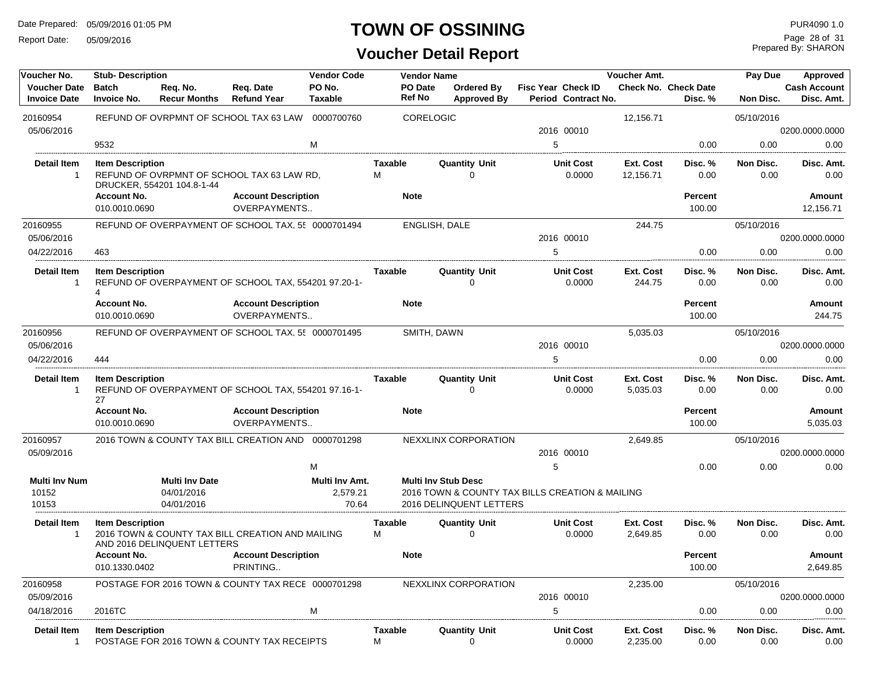Report Date: 05/09/2016

#### **TOWN OF OSSINING**

### **Voucher Detail Report**

Prepared By: SHARON Page 28 of 31

| Voucher No.                                | <b>Stub-Description</b>             | <b>Vendor Code</b>                                |                                                      | <b>Vendor Name</b>                  |                     |                            | Voucher Amt.                            |                                                 | Pay Due<br>Approved           |                                 |                   |                                   |
|--------------------------------------------|-------------------------------------|---------------------------------------------------|------------------------------------------------------|-------------------------------------|---------------------|----------------------------|-----------------------------------------|-------------------------------------------------|-------------------------------|---------------------------------|-------------------|-----------------------------------|
| <b>Voucher Date</b><br><b>Invoice Date</b> | <b>Batch</b><br><b>Invoice No.</b>  | Req. No.<br><b>Recur Months</b>                   | Req. Date<br><b>Refund Year</b>                      | PO No.<br><b>Taxable</b>            |                     | PO Date<br>Ref No          | <b>Ordered By</b><br><b>Approved By</b> | Fisc Year Check ID<br>Period Contract No.       |                               | Check No. Check Date<br>Disc. % | <b>Non Disc.</b>  | <b>Cash Account</b><br>Disc. Amt. |
| 20160954                                   |                                     |                                                   | REFUND OF OVRPMNT OF SCHOOL TAX 63 LAW               | 0000700760                          |                     | CORELOGIC                  |                                         |                                                 | 12,156.71                     |                                 | 05/10/2016        |                                   |
| 05/06/2016                                 |                                     |                                                   |                                                      |                                     |                     |                            |                                         | 2016 00010                                      |                               |                                 |                   | 0200.0000.0000                    |
|                                            | 9532                                |                                                   |                                                      | M                                   |                     |                            |                                         | 5                                               |                               | 0.00                            | 0.00              | 0.00                              |
| <b>Detail Item</b><br>$\overline{1}$       | <b>Item Description</b>             | DRUCKER, 554201 104.8-1-44                        | REFUND OF OVRPMNT OF SCHOOL TAX 63 LAW RD.           |                                     | <b>Taxable</b><br>M |                            | <b>Quantity Unit</b><br>$\Omega$        | <b>Unit Cost</b><br>0.0000                      | <b>Ext. Cost</b><br>12,156.71 | Disc. %<br>0.00                 | Non Disc.<br>0.00 | Disc. Amt.<br>0.00                |
|                                            | <b>Account No.</b><br>010.0010.0690 |                                                   | <b>Account Description</b><br>OVERPAYMENTS           |                                     |                     | <b>Note</b>                |                                         |                                                 |                               | <b>Percent</b><br>100.00        |                   | Amount<br>12,156.71               |
| 20160955                                   |                                     |                                                   | REFUND OF OVERPAYMENT OF SCHOOL TAX, 55 0000701494   |                                     |                     | ENGLISH, DALE              |                                         |                                                 | 244.75                        |                                 | 05/10/2016        |                                   |
| 05/06/2016                                 |                                     |                                                   |                                                      |                                     |                     |                            |                                         | 2016 00010                                      |                               |                                 |                   | 0200.0000.0000                    |
| 04/22/2016                                 | 463                                 |                                                   |                                                      |                                     |                     |                            |                                         | 5                                               |                               | 0.00                            | 0.00              | 0.00                              |
| <b>Detail Item</b><br>$\overline{1}$       | <b>Item Description</b><br>4        |                                                   | REFUND OF OVERPAYMENT OF SCHOOL TAX, 554201 97.20-1- |                                     | <b>Taxable</b>      |                            | <b>Quantity Unit</b><br>$\Omega$        | <b>Unit Cost</b><br>0.0000                      | Ext. Cost<br>244.75           | Disc. %<br>0.00                 | Non Disc.<br>0.00 | Disc. Amt.<br>0.00                |
|                                            | <b>Account No.</b><br>010.0010.0690 |                                                   | <b>Account Description</b><br><b>OVERPAYMENTS</b>    |                                     |                     | <b>Note</b>                |                                         |                                                 |                               | Percent<br>100.00               |                   | Amount<br>244.75                  |
| 20160956                                   |                                     |                                                   | REFUND OF OVERPAYMENT OF SCHOOL TAX, 55 0000701495   |                                     |                     | SMITH, DAWN                |                                         |                                                 | 5,035.03                      |                                 | 05/10/2016        |                                   |
| 05/06/2016                                 |                                     |                                                   |                                                      |                                     |                     |                            |                                         | 2016 00010                                      |                               |                                 |                   | 0200.0000.0000                    |
| 04/22/2016                                 | 444                                 |                                                   |                                                      |                                     |                     |                            |                                         | 5                                               |                               | 0.00                            | 0.00              | 0.00                              |
| <b>Detail Item</b><br>$\overline{1}$       | <b>Item Description</b><br>27       |                                                   | REFUND OF OVERPAYMENT OF SCHOOL TAX, 554201 97.16-1- |                                     | Taxable             |                            | <b>Quantity Unit</b><br>$\Omega$        | <b>Unit Cost</b><br>0.0000                      | Ext. Cost<br>5,035.03         | Disc. %<br>0.00                 | Non Disc.<br>0.00 | Disc. Amt.<br>0.00                |
|                                            | <b>Account No.</b><br>010.0010.0690 |                                                   | <b>Account Description</b><br>OVERPAYMENTS           |                                     |                     | <b>Note</b>                |                                         |                                                 |                               | <b>Percent</b><br>100.00        |                   | Amount<br>5,035.03                |
| 20160957                                   |                                     |                                                   | 2016 TOWN & COUNTY TAX BILL CREATION AND 0000701298  |                                     |                     |                            | NEXXLINX CORPORATION                    |                                                 | 2,649.85                      |                                 | 05/10/2016        |                                   |
| 05/09/2016                                 |                                     |                                                   |                                                      |                                     |                     |                            |                                         | 2016 00010                                      |                               |                                 |                   | 0200.0000.0000                    |
|                                            |                                     |                                                   |                                                      | м                                   |                     |                            |                                         | 5                                               |                               | 0.00                            | 0.00              | 0.00                              |
| <b>Multi Inv Num</b><br>10152<br>10153     |                                     | <b>Multi Inv Date</b><br>04/01/2016<br>04/01/2016 |                                                      | Multi Inv Amt.<br>2,579.21<br>70.64 |                     | <b>Multi Inv Stub Desc</b> | 2016 DELINQUENT LETTERS                 | 2016 TOWN & COUNTY TAX BILLS CREATION & MAILING |                               |                                 |                   |                                   |
| <b>Detail Item</b><br>$\overline{1}$       | <b>Item Description</b>             | AND 2016 DELINQUENT LETTERS                       | 2016 TOWN & COUNTY TAX BILL CREATION AND MAILING     |                                     | <b>Taxable</b><br>м |                            | <b>Quantity Unit</b><br>$\Omega$        | <b>Unit Cost</b><br>0.0000                      | Ext. Cost<br>2,649.85         | Disc. %<br>0.00                 | Non Disc.<br>0.00 | Disc. Amt.<br>0.00                |
|                                            | <b>Account No.</b><br>010.1330.0402 |                                                   | <b>Account Description</b><br>PRINTING               |                                     |                     | <b>Note</b>                |                                         |                                                 |                               | <b>Percent</b><br>100.00        |                   | Amount<br>2.649.85                |
| 20160958                                   |                                     |                                                   | POSTAGE FOR 2016 TOWN & COUNTY TAX RECE 0000701298   |                                     |                     |                            | NEXXLINX CORPORATION                    |                                                 | 2,235.00                      |                                 | 05/10/2016        |                                   |
| 05/09/2016                                 |                                     |                                                   |                                                      |                                     |                     |                            |                                         | 2016 00010                                      |                               |                                 |                   | 0200.0000.0000                    |
| 04/18/2016                                 | 2016TC                              |                                                   |                                                      | M                                   |                     |                            |                                         | 5                                               |                               | 0.00                            | 0.00              | 0.00                              |
| <b>Detail Item</b><br>$\overline{1}$       | <b>Item Description</b>             |                                                   | POSTAGE FOR 2016 TOWN & COUNTY TAX RECEIPTS          |                                     | Taxable<br>M        |                            | <b>Quantity Unit</b><br>$\mathbf 0$     | <b>Unit Cost</b><br>0.0000                      | Ext. Cost<br>2,235.00         | Disc. %<br>0.00                 | Non Disc.<br>0.00 | Disc. Amt.<br>0.00                |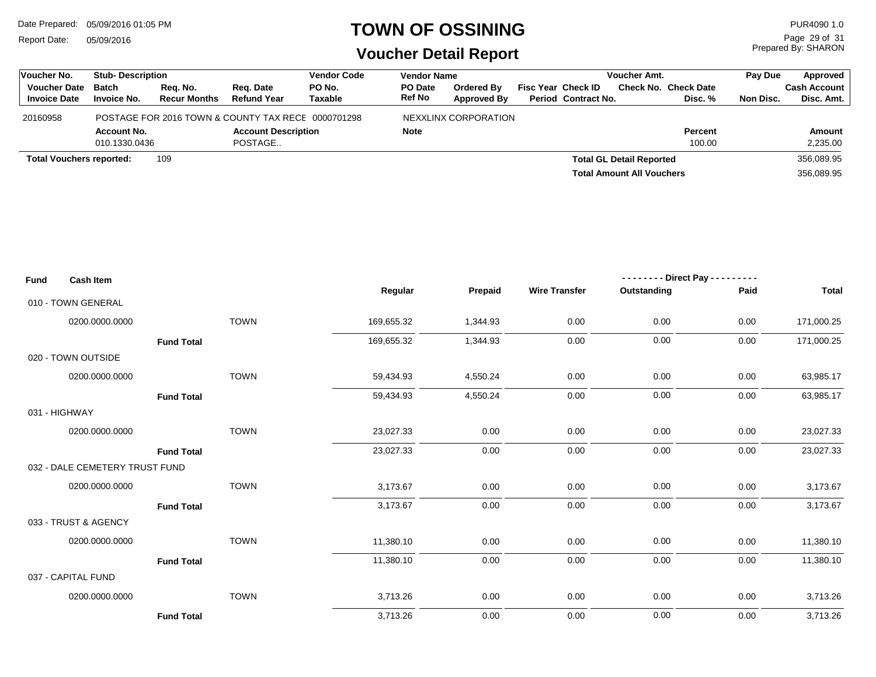Report Date: 05/09/2016

#### **TOWN OF OSSINING**

Prepared By: SHARON Page 29 of 31

| Voucher No.                     | <b>Stub-Description</b> |                     |                                                    | <b>Vendor Code</b> | <b>Vendor Name</b> |                      | <b>Voucher Amt.</b> |                            |                                  |                      | Pav Due   | Approved            |
|---------------------------------|-------------------------|---------------------|----------------------------------------------------|--------------------|--------------------|----------------------|---------------------|----------------------------|----------------------------------|----------------------|-----------|---------------------|
| <b>Voucher Date</b>             | <b>Batch</b>            | Rea. No.            | Reg. Date                                          | PO No.             | PO Date            | <b>Ordered By</b>    |                     | <b>Fisc Year Check ID</b>  |                                  | Check No. Check Date |           | <b>Cash Account</b> |
| <b>Invoice Date</b>             | <b>Invoice No.</b>      | <b>Recur Months</b> | <b>Refund Year</b>                                 | Taxable            | Ref No             | <b>Approved By</b>   |                     | <b>Period Contract No.</b> |                                  | Disc. %              | Non Disc. | Disc. Amt.          |
| 20160958                        |                         |                     | POSTAGE FOR 2016 TOWN & COUNTY TAX RECE 0000701298 |                    |                    | NEXXLINX CORPORATION |                     |                            |                                  |                      |           |                     |
|                                 | <b>Account No.</b>      |                     | <b>Account Description</b>                         |                    | <b>Note</b>        |                      |                     |                            |                                  | <b>Percent</b>       |           | Amount              |
|                                 | 010.1330.0436           |                     | POSTAGE                                            |                    |                    |                      |                     |                            |                                  | 100.00               |           | 2,235.00            |
| <b>Total Vouchers reported:</b> |                         | 109                 |                                                    |                    |                    |                      |                     |                            | <b>Total GL Detail Reported</b>  |                      |           | 356,089.95          |
|                                 |                         |                     |                                                    |                    |                    |                      |                     |                            | <b>Total Amount All Vouchers</b> |                      |           | 356,089.95          |

| <b>Fund</b> | <b>Cash Item</b>               |             |            |          |                      | -------- Direct Pay --------- |          |              |
|-------------|--------------------------------|-------------|------------|----------|----------------------|-------------------------------|----------|--------------|
|             |                                |             | Regular    | Prepaid  | <b>Wire Transfer</b> | Outstanding                   | Paid     | <b>Total</b> |
|             | 010 - TOWN GENERAL             |             |            |          |                      |                               |          |              |
|             | 0200.0000.0000                 | <b>TOWN</b> | 169,655.32 | 1,344.93 | 0.00                 | 0.00                          | 0.00     | 171,000.25   |
|             | <b>Fund Total</b>              |             | 169,655.32 | 1,344.93 | 0.00                 | 0.00                          | 0.00     | 171,000.25   |
|             | 020 - TOWN OUTSIDE             |             |            |          |                      |                               |          |              |
|             | 0200.0000.0000                 | <b>TOWN</b> | 59,434.93  | 4,550.24 | 0.00                 | 0.00                          | 0.00     | 63,985.17    |
|             | <b>Fund Total</b>              |             | 59,434.93  | 4,550.24 | 0.00                 | 0.00                          | 0.00     | 63,985.17    |
|             | 031 - HIGHWAY                  |             |            |          |                      |                               |          |              |
|             | 0200.0000.0000                 | <b>TOWN</b> | 23,027.33  | 0.00     | 0.00                 | 0.00                          | $0.00\,$ | 23,027.33    |
|             | <b>Fund Total</b>              |             | 23,027.33  | 0.00     | 0.00                 | 0.00                          | 0.00     | 23,027.33    |
|             | 032 - DALE CEMETERY TRUST FUND |             |            |          |                      |                               |          |              |
|             | 0200.0000.0000                 | <b>TOWN</b> | 3,173.67   | 0.00     | 0.00                 | 0.00                          | 0.00     | 3,173.67     |
|             | <b>Fund Total</b>              |             | 3,173.67   | 0.00     | 0.00                 | 0.00                          | 0.00     | 3,173.67     |
|             | 033 - TRUST & AGENCY           |             |            |          |                      |                               |          |              |
|             | 0200.0000.0000                 | <b>TOWN</b> | 11,380.10  | 0.00     | 0.00                 | 0.00                          | 0.00     | 11,380.10    |
|             | <b>Fund Total</b>              |             | 11,380.10  | 0.00     | 0.00                 | 0.00                          | 0.00     | 11,380.10    |
|             | 037 - CAPITAL FUND             |             |            |          |                      |                               |          |              |
|             | 0200.0000.0000                 | <b>TOWN</b> | 3,713.26   | 0.00     | 0.00                 | 0.00                          | 0.00     | 3,713.26     |
|             | <b>Fund Total</b>              |             | 3,713.26   | 0.00     | 0.00                 | 0.00                          | 0.00     | 3,713.26     |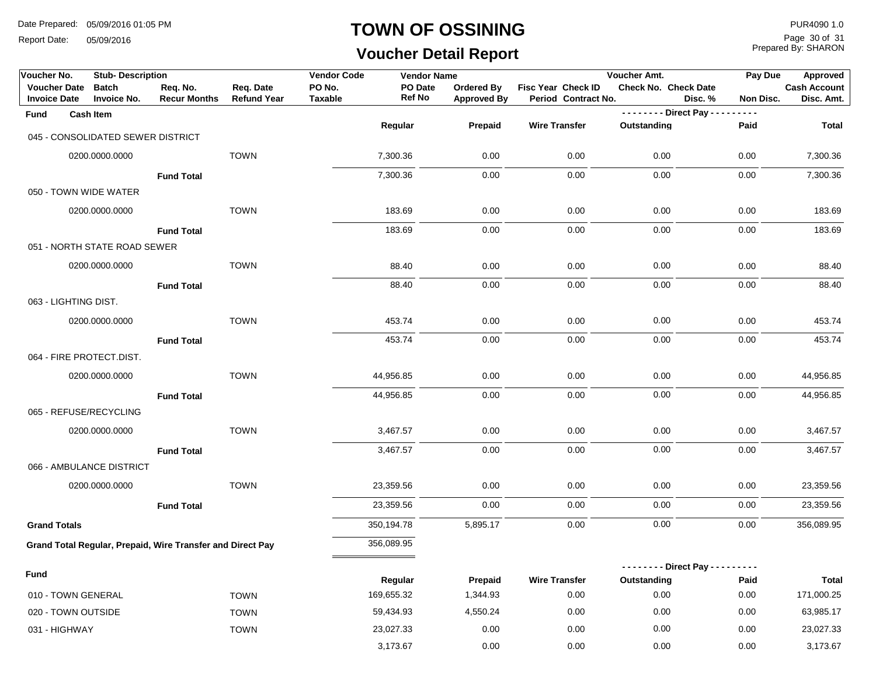Report Date: 05/09/2016

#### **TOWN OF OSSINING**

# **Voucher Detail Report**

Prepared By: SHARON Page 30 of 31

| Voucher No.                                | <b>Stub-Description</b>            |                                                            |                                 | <b>Vendor Code</b> | <b>Vendor Name</b>       |                                  |                                           | Voucher Amt.            | Pay Due              | Approved                          |
|--------------------------------------------|------------------------------------|------------------------------------------------------------|---------------------------------|--------------------|--------------------------|----------------------------------|-------------------------------------------|-------------------------|----------------------|-----------------------------------|
| <b>Voucher Date</b><br><b>Invoice Date</b> | <b>Batch</b><br><b>Invoice No.</b> | Req. No.<br><b>Recur Months</b>                            | Req. Date<br><b>Refund Year</b> | PO No.<br>Taxable  | PO Date<br><b>Ref No</b> | Ordered By<br><b>Approved By</b> | Fisc Year Check ID<br>Period Contract No. | Check No. Check Date    | Disc. %<br>Non Disc. | <b>Cash Account</b><br>Disc. Amt. |
| Fund                                       | <b>Cash Item</b>                   |                                                            |                                 |                    |                          |                                  |                                           | -------- Direct Pay --- | $- - - -$            |                                   |
|                                            | 045 - CONSOLIDATED SEWER DISTRICT  |                                                            |                                 |                    | Regular                  | Prepaid                          | <b>Wire Transfer</b>                      | Outstanding             | Paid                 | <b>Total</b>                      |
|                                            |                                    |                                                            |                                 |                    |                          |                                  |                                           |                         |                      |                                   |
|                                            | 0200.0000.0000                     |                                                            | <b>TOWN</b>                     |                    | 7,300.36                 | 0.00                             | 0.00                                      | 0.00                    | 0.00                 | 7,300.36                          |
|                                            |                                    | <b>Fund Total</b>                                          |                                 |                    | 7,300.36                 | 0.00                             | 0.00                                      | 0.00                    | 0.00                 | 7,300.36                          |
| 050 - TOWN WIDE WATER                      |                                    |                                                            |                                 |                    |                          |                                  |                                           |                         |                      |                                   |
|                                            | 0200.0000.0000                     |                                                            | <b>TOWN</b>                     |                    | 183.69                   | 0.00                             | 0.00                                      | 0.00                    | 0.00                 | 183.69                            |
|                                            |                                    | <b>Fund Total</b>                                          |                                 |                    | 183.69                   | 0.00                             | 0.00                                      | 0.00                    | 0.00                 | 183.69                            |
|                                            | 051 - NORTH STATE ROAD SEWER       |                                                            |                                 |                    |                          |                                  |                                           |                         |                      |                                   |
|                                            | 0200.0000.0000                     |                                                            | <b>TOWN</b>                     |                    | 88.40                    | 0.00                             | 0.00                                      | 0.00                    | 0.00                 | 88.40                             |
|                                            |                                    | <b>Fund Total</b>                                          |                                 |                    | 88.40                    | 0.00                             | 0.00                                      | 0.00                    | 0.00                 | 88.40                             |
| 063 - LIGHTING DIST.                       |                                    |                                                            |                                 |                    |                          |                                  |                                           |                         |                      |                                   |
|                                            | 0200.0000.0000                     |                                                            | <b>TOWN</b>                     |                    | 453.74                   | 0.00                             | 0.00                                      | 0.00                    | 0.00                 | 453.74                            |
|                                            |                                    | <b>Fund Total</b>                                          |                                 |                    | 453.74                   | 0.00                             | 0.00                                      | 0.00                    | 0.00                 | 453.74                            |
| 064 - FIRE PROTECT.DIST.                   |                                    |                                                            |                                 |                    |                          |                                  |                                           |                         |                      |                                   |
|                                            | 0200.0000.0000                     |                                                            | <b>TOWN</b>                     |                    | 44,956.85                | 0.00                             | 0.00                                      | 0.00                    | 0.00                 | 44,956.85                         |
|                                            |                                    | <b>Fund Total</b>                                          |                                 |                    | 44,956.85                | 0.00                             | 0.00                                      | 0.00                    | 0.00                 | 44,956.85                         |
| 065 - REFUSE/RECYCLING                     |                                    |                                                            |                                 |                    |                          |                                  |                                           |                         |                      |                                   |
|                                            | 0200.0000.0000                     |                                                            | <b>TOWN</b>                     |                    | 3,467.57                 | 0.00                             | 0.00                                      | 0.00                    | 0.00                 | 3,467.57                          |
|                                            |                                    | <b>Fund Total</b>                                          |                                 |                    | 3,467.57                 | 0.00                             | 0.00                                      | 0.00                    | 0.00                 | 3,467.57                          |
|                                            | 066 - AMBULANCE DISTRICT           |                                                            |                                 |                    |                          |                                  |                                           |                         |                      |                                   |
|                                            | 0200.0000.0000                     |                                                            | <b>TOWN</b>                     |                    | 23,359.56                | 0.00                             | 0.00                                      | 0.00                    | 0.00                 | 23,359.56                         |
|                                            |                                    | <b>Fund Total</b>                                          |                                 |                    | 23,359.56                | 0.00                             | 0.00                                      | 0.00                    | 0.00                 | 23,359.56                         |
| <b>Grand Totals</b>                        |                                    |                                                            |                                 |                    | 350,194.78               | 5,895.17                         | 0.00                                      | 0.00                    | 0.00                 | 356,089.95                        |
|                                            |                                    | Grand Total Regular, Prepaid, Wire Transfer and Direct Pay |                                 |                    | 356,089.95               |                                  |                                           |                         |                      |                                   |
|                                            |                                    |                                                            |                                 |                    |                          |                                  |                                           | -------- Direct Pay --- | -----                |                                   |
| <b>Fund</b>                                |                                    |                                                            |                                 |                    | Regular                  | Prepaid                          | <b>Wire Transfer</b>                      | Outstanding             | Paid                 | <b>Total</b>                      |
| 010 - TOWN GENERAL                         |                                    |                                                            | <b>TOWN</b>                     |                    | 169,655.32               | 1,344.93                         | 0.00                                      | 0.00                    | 0.00                 | 171,000.25                        |
| 020 - TOWN OUTSIDE                         |                                    |                                                            | <b>TOWN</b>                     |                    | 59,434.93                | 4,550.24                         | 0.00                                      | 0.00                    | 0.00                 | 63,985.17                         |
| 031 - HIGHWAY                              |                                    |                                                            | <b>TOWN</b>                     |                    | 23,027.33                | 0.00                             | 0.00                                      | 0.00                    | 0.00                 | 23,027.33                         |
|                                            |                                    |                                                            |                                 |                    | 3,173.67                 | 0.00                             | 0.00                                      | 0.00                    | 0.00                 | 3,173.67                          |